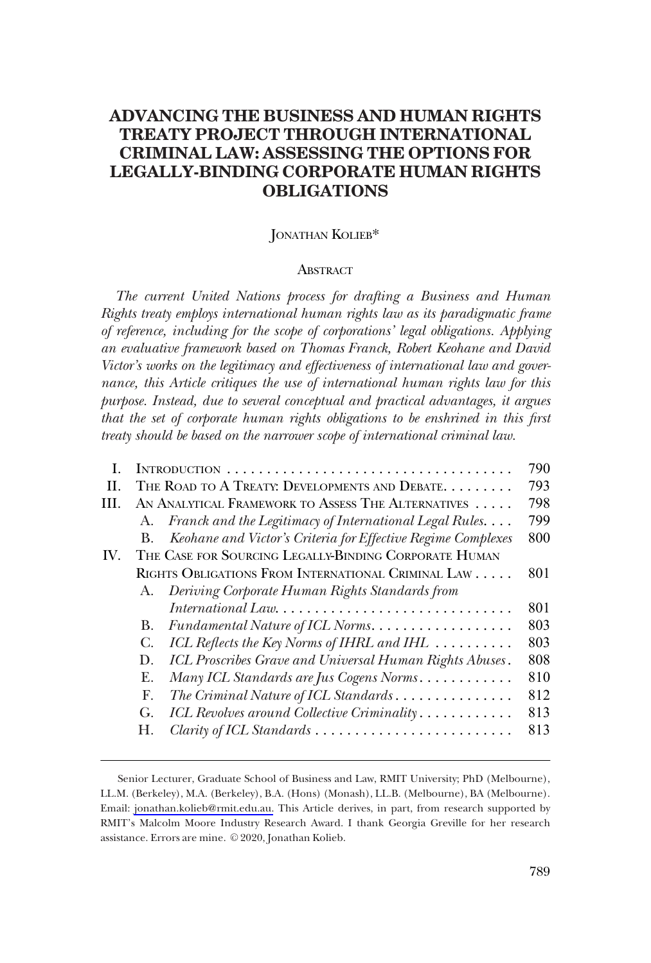# **ADVANCING THE BUSINESS AND HUMAN RIGHTS TREATY PROJECT THROUGH INTERNATIONAL CRIMINAL LAW: ASSESSING THE OPTIONS FOR LEGALLY-BINDING CORPORATE HUMAN RIGHTS OBLIGATIONS**

## JONATHAN KOLIEB\*

#### **ABSTRACT**

*The current United Nations process for drafting a Business and Human Rights treaty employs international human rights law as its paradigmatic frame of reference, including for the scope of corporations' legal obligations. Applying an evaluative framework based on Thomas Franck, Robert Keohane and David Victor's works on the legitimacy and effectiveness of international law and governance, this Article critiques the use of international human rights law for this purpose. Instead, due to several conceptual and practical advantages, it argues that the set of corporate human rights obligations to be enshrined in this frst treaty should be based on the narrower scope of international criminal law.* 

|     |                                                       |                                                                                     | 790 |
|-----|-------------------------------------------------------|-------------------------------------------------------------------------------------|-----|
| H.  | THE ROAD TO A TREATY: DEVELOPMENTS AND DEBATE.        |                                                                                     |     |
| HL. |                                                       | AN ANALYTICAL FRAMEWORK TO ASSESS THE ALTERNATIVES                                  | 798 |
|     | А.                                                    | Franck and the Legitimacy of International Legal Rules                              | 799 |
|     | <b>B.</b>                                             | Keohane and Victor's Criteria for Effective Regime Complexes                        | 800 |
| IV. | THE CASE FOR SOURCING LEGALLY-BINDING CORPORATE HUMAN |                                                                                     |     |
|     |                                                       | RIGHTS OBLIGATIONS FROM INTERNATIONAL CRIMINAL LAW                                  | 801 |
|     | A.                                                    | Deriving Corporate Human Rights Standards from                                      |     |
|     |                                                       | $International Law. \ldots \ldots \ldots \ldots \ldots \ldots \ldots \ldots \ldots$ | 801 |
|     | В.                                                    | Fundamental Nature of ICL Norms.                                                    | 803 |
|     | C.                                                    | ICL Reflects the Key Norms of IHRL and IHL                                          | 803 |
|     | D.                                                    | ICL Proscribes Grave and Universal Human Rights Abuses.                             | 808 |
|     | Е.                                                    | Many ICL Standards are Jus Cogens Norms                                             | 810 |
|     | F.                                                    | The Criminal Nature of ICL Standards                                                | 812 |
|     | G.                                                    | ICL Revolves around Collective Criminality                                          | 813 |
|     |                                                       | Clarity of ICL Standards                                                            | 813 |
|     |                                                       |                                                                                     |     |

Email: [jonathan.kolieb@rmit.edu.au.](mailto:jonathan.kolieb@rmit.edu.au) This Article derives, in part, from research supported by RMIT's Malcolm Moore Industry Research Award. I thank Georgia Greville for her research assistance. Errors are mine. © 2020, Jonathan Kolieb. Senior Lecturer, Graduate School of Business and Law, RMIT University; PhD (Melbourne), LL.M. (Berkeley), M.A. (Berkeley), B.A. (Hons) (Monash), LL.B. (Melbourne), BA (Melbourne).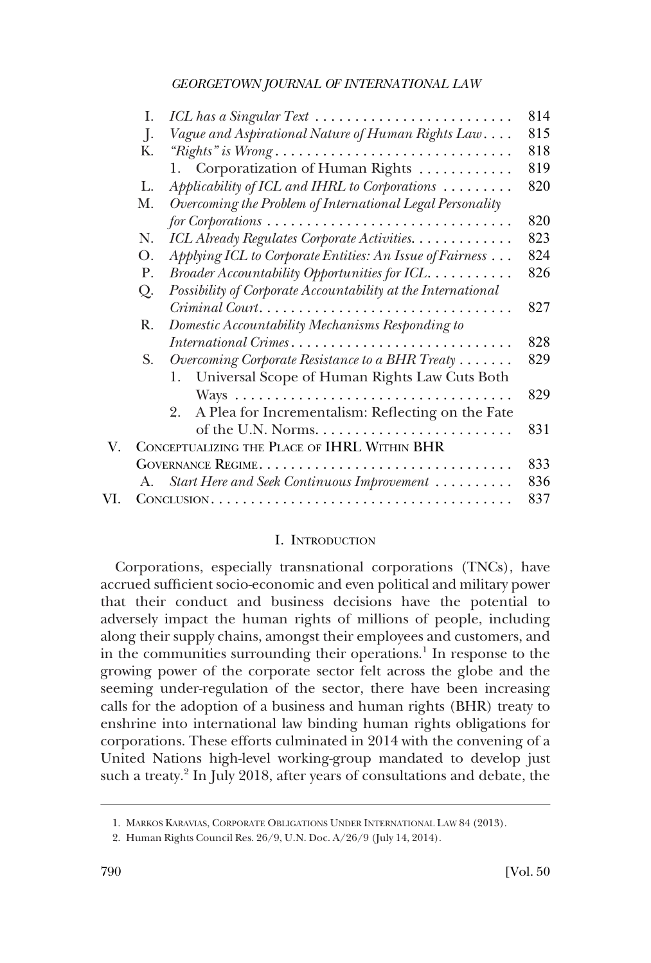<span id="page-1-0"></span>

| Ι.      |                                                                                               | 814                                                                                                                                                                                                                                                                                                         |
|---------|-----------------------------------------------------------------------------------------------|-------------------------------------------------------------------------------------------------------------------------------------------------------------------------------------------------------------------------------------------------------------------------------------------------------------|
| $\cdot$ |                                                                                               | 815                                                                                                                                                                                                                                                                                                         |
| Κ.      | "Rights" is Wrong                                                                             | 818                                                                                                                                                                                                                                                                                                         |
|         | 1. Corporatization of Human Rights                                                            | 819                                                                                                                                                                                                                                                                                                         |
| L.      | Applicability of ICL and IHRL to Corporations                                                 | 820                                                                                                                                                                                                                                                                                                         |
| М.      | Overcoming the Problem of International Legal Personality                                     |                                                                                                                                                                                                                                                                                                             |
|         | $for \textit{Corporations} \dots \dots \dots \dots \dots \dots \dots \dots \dots \dots \dots$ | 820                                                                                                                                                                                                                                                                                                         |
| N.      | ICL Already Regulates Corporate Activities.                                                   | 823                                                                                                                                                                                                                                                                                                         |
| О.      | Applying ICL to Corporate Entities: An Issue of Fairness                                      | 824                                                                                                                                                                                                                                                                                                         |
| P.      | Broader Accountability Opportunities for ICL.                                                 | 826                                                                                                                                                                                                                                                                                                         |
| Q.      | Possibility of Corporate Accountability at the International                                  |                                                                                                                                                                                                                                                                                                             |
|         | Criminal Court                                                                                | 827                                                                                                                                                                                                                                                                                                         |
| R.      |                                                                                               |                                                                                                                                                                                                                                                                                                             |
|         |                                                                                               | 828                                                                                                                                                                                                                                                                                                         |
| S.      | Overcoming Corporate Resistance to a BHR Treaty                                               | 829                                                                                                                                                                                                                                                                                                         |
|         | Universal Scope of Human Rights Law Cuts Both<br>1.                                           |                                                                                                                                                                                                                                                                                                             |
|         |                                                                                               | 829                                                                                                                                                                                                                                                                                                         |
|         | 2.                                                                                            |                                                                                                                                                                                                                                                                                                             |
|         |                                                                                               | 831                                                                                                                                                                                                                                                                                                         |
|         |                                                                                               |                                                                                                                                                                                                                                                                                                             |
|         |                                                                                               | 833                                                                                                                                                                                                                                                                                                         |
| A.      |                                                                                               | 836                                                                                                                                                                                                                                                                                                         |
|         |                                                                                               | 837                                                                                                                                                                                                                                                                                                         |
|         |                                                                                               | ICL has a Singular Text<br>Vague and Aspirational Nature of Human Rights Law<br>Domestic Accountability Mechanisms Responding to<br>International Crimes<br>A Plea for Incrementalism: Reflecting on the Fate<br>CONCEPTUALIZING THE PLACE OF IHRL WITHIN BHR<br>Start Here and Seek Continuous Improvement |

## I. INTRODUCTION

Corporations, especially transnational corporations (TNCs), have accrued suffcient socio-economic and even political and military power that their conduct and business decisions have the potential to adversely impact the human rights of millions of people, including along their supply chains, amongst their employees and customers, and in the communities surrounding their operations.<sup>1</sup> In response to the growing power of the corporate sector felt across the globe and the seeming under-regulation of the sector, there have been increasing calls for the adoption of a business and human rights (BHR) treaty to enshrine into international law binding human rights obligations for corporations. These efforts culminated in 2014 with the convening of a United Nations high-level working-group mandated to develop just such a treaty.<sup>2</sup> In July 2018, after years of consultations and debate, the

<sup>1.</sup> MARKOS KARAVIAS, CORPORATE OBLIGATIONS UNDER INTERNATIONAL LAW 84 (2013).

<sup>2.</sup> Human Rights Council Res. 26/9, U.N. Doc. A/26/9 (July 14, 2014).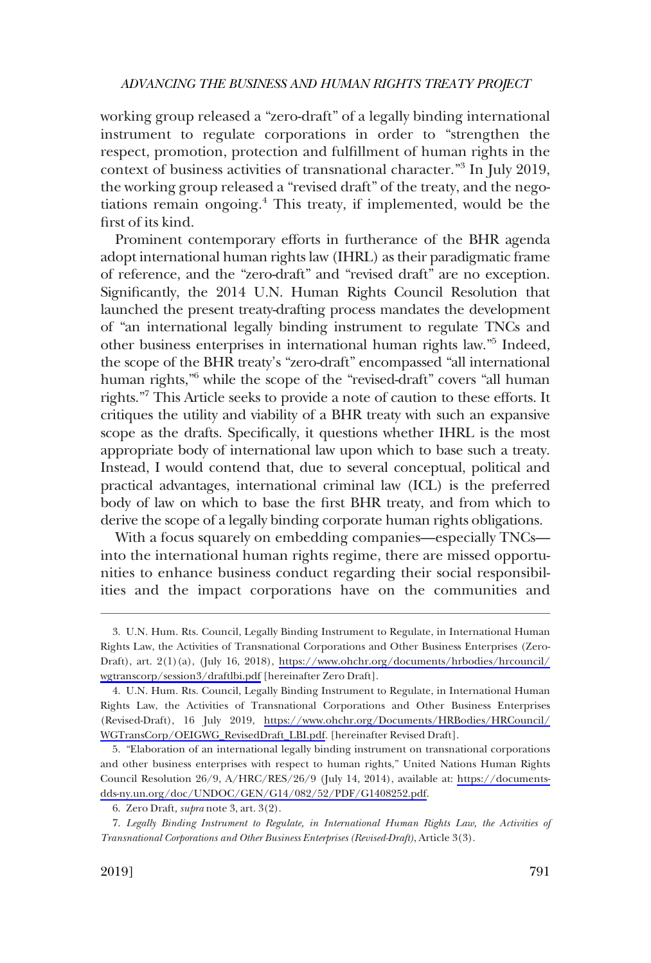working group released a "zero-draft" of a legally binding international instrument to regulate corporations in order to "strengthen the respect, promotion, protection and fulfllment of human rights in the context of business activities of transnational character."<sup>3</sup> In July 2019, the working group released a "revised draft" of the treaty, and the negotiations remain ongoing.4 This treaty, if implemented, would be the frst of its kind.

Prominent contemporary efforts in furtherance of the BHR agenda adopt international human rights law (IHRL) as their paradigmatic frame of reference, and the "zero-draft" and "revised draft" are no exception. Signifcantly, the 2014 U.N. Human Rights Council Resolution that launched the present treaty-drafting process mandates the development of "an international legally binding instrument to regulate TNCs and other business enterprises in international human rights law."5 Indeed, the scope of the BHR treaty's "zero-draft" encompassed "all international human rights,<sup>"6</sup> while the scope of the "revised-draft" covers "all human rights."7 This Article seeks to provide a note of caution to these efforts. It critiques the utility and viability of a BHR treaty with such an expansive scope as the drafts. Specifcally, it questions whether IHRL is the most appropriate body of international law upon which to base such a treaty. Instead, I would contend that, due to several conceptual, political and practical advantages, international criminal law (ICL) is the preferred body of law on which to base the frst BHR treaty, and from which to derive the scope of a legally binding corporate human rights obligations.

With a focus squarely on embedding companies—especially TNCs into the international human rights regime, there are missed opportunities to enhance business conduct regarding their social responsibilities and the impact corporations have on the communities and

<sup>3.</sup> U.N. Hum. Rts. Council, Legally Binding Instrument to Regulate, in International Human Rights Law, the Activities of Transnational Corporations and Other Business Enterprises (Zero-Draft), art. 2(1)(a), (July 16, 2018), [https://www.ohchr.org/documents/hrbodies/hrcouncil/](https://www.ohchr.org/documents/hrbodies/hrcouncil/wgtranscorp/session3/draftlbi.pdf)  [wgtranscorp/session3/draftlbi.pdf](https://www.ohchr.org/documents/hrbodies/hrcouncil/wgtranscorp/session3/draftlbi.pdf) [hereinafter Zero Draft].

<sup>4.</sup> U.N. Hum. Rts. Council, Legally Binding Instrument to Regulate, in International Human Rights Law, the Activities of Transnational Corporations and Other Business Enterprises (Revised-Draft), 16 July 2019, [https://www.ohchr.org/Documents/HRBodies/HRCouncil/](https://www.ohchr.org/Documents/HRBodies/HRCouncil/WGTransCorp/OEIGWG_RevisedDraft_LBI.pdf)  [WGTransCorp/OEIGWG\\_RevisedDraft\\_LBI.pdf.](https://www.ohchr.org/Documents/HRBodies/HRCouncil/WGTransCorp/OEIGWG_RevisedDraft_LBI.pdf) [hereinafter Revised Draft].

<sup>5. &</sup>quot;Elaboration of an international legally binding instrument on transnational corporations and other business enterprises with respect to human rights," United Nations Human Rights Council Resolution 26/9, A/HRC/RES/26/9 (July 14, 2014), available at: [https://documents](https://documents-dds-ny.un.org/doc/UNDOC/GEN/G14/082/52/PDF/G1408252.pdf)[dds-ny.un.org/doc/UNDOC/GEN/G14/082/52/PDF/G1408252.pdf.](https://documents-dds-ny.un.org/doc/UNDOC/GEN/G14/082/52/PDF/G1408252.pdf)

<sup>6.</sup> Zero Draft*, supra* note 3, art. 3(2).

<sup>7.</sup> *Legally Binding Instrument to Regulate, in International Human Rights Law, the Activities of Transnational Corporations and Other Business Enterprises (Revised-Draft)*, Article 3(3).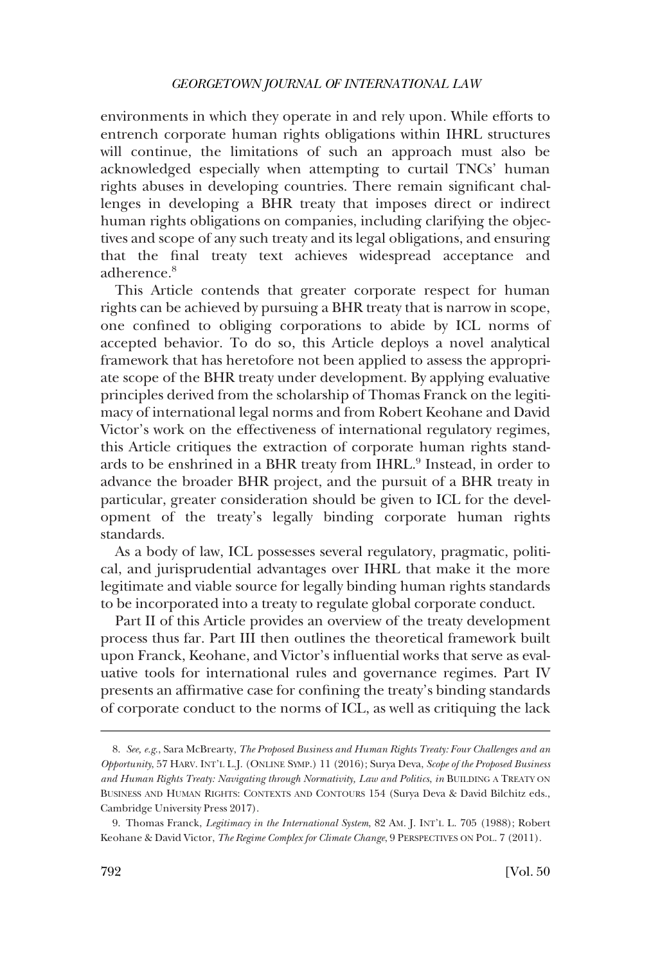environments in which they operate in and rely upon. While efforts to entrench corporate human rights obligations within IHRL structures will continue, the limitations of such an approach must also be acknowledged especially when attempting to curtail TNCs' human rights abuses in developing countries. There remain signifcant challenges in developing a BHR treaty that imposes direct or indirect human rights obligations on companies, including clarifying the objectives and scope of any such treaty and its legal obligations, and ensuring that the fnal treaty text achieves widespread acceptance and adherence.8

This Article contends that greater corporate respect for human rights can be achieved by pursuing a BHR treaty that is narrow in scope, one confned to obliging corporations to abide by ICL norms of accepted behavior. To do so, this Article deploys a novel analytical framework that has heretofore not been applied to assess the appropriate scope of the BHR treaty under development. By applying evaluative principles derived from the scholarship of Thomas Franck on the legitimacy of international legal norms and from Robert Keohane and David Victor's work on the effectiveness of international regulatory regimes, this Article critiques the extraction of corporate human rights standards to be enshrined in a BHR treaty from IHRL.9 Instead, in order to advance the broader BHR project, and the pursuit of a BHR treaty in particular, greater consideration should be given to ICL for the development of the treaty's legally binding corporate human rights standards.

As a body of law, ICL possesses several regulatory, pragmatic, political, and jurisprudential advantages over IHRL that make it the more legitimate and viable source for legally binding human rights standards to be incorporated into a treaty to regulate global corporate conduct.

Part II of this Article provides an overview of the treaty development process thus far. Part III then outlines the theoretical framework built upon Franck, Keohane, and Victor's infuential works that serve as evaluative tools for international rules and governance regimes. Part IV presents an affrmative case for confning the treaty's binding standards of corporate conduct to the norms of ICL, as well as critiquing the lack

<sup>8.</sup> *See, e.g*., Sara McBrearty, *The Proposed Business and Human Rights Treaty: Four Challenges and an Opportunity*, 57 HARV. INT'L L.J. (ONLINE SYMP.) 11 (2016); Surya Deva, *Scope of the Proposed Business and Human Rights Treaty: Navigating through Normativity, Law and Politics*, *in* BUILDING A TREATY ON BUSINESS AND HUMAN RIGHTS: CONTEXTS AND CONTOURS 154 (Surya Deva & David Bilchitz eds., Cambridge University Press 2017).

<sup>9.</sup> Thomas Franck, *Legitimacy in the International System*, 82 AM. J. INT'L L. 705 (1988); Robert Keohane & David Victor, *The Regime Complex for Climate Change*, 9 PERSPECTIVES ON POL. 7 (2011).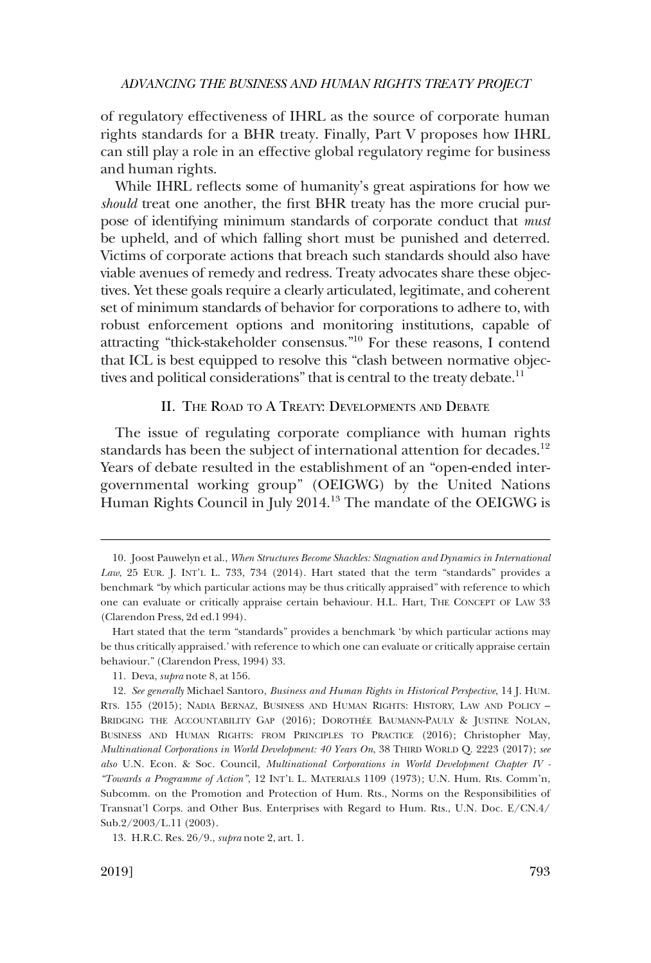<span id="page-4-0"></span>of regulatory effectiveness of IHRL as the source of corporate human rights standards for a BHR treaty. Finally, Part V proposes how IHRL can still play a role in an effective global regulatory regime for business and human rights.

While IHRL reflects some of humanity's great aspirations for how we *should* treat one another, the first BHR treaty has the more crucial purpose of identifying minimum standards of corporate conduct that *must*  be upheld, and of which falling short must be punished and deterred. Victims of corporate actions that breach such standards should also have viable avenues of remedy and redress. Treaty advocates share these objectives. Yet these goals require a clearly articulated, legitimate, and coherent set of minimum standards of behavior for corporations to adhere to, with robust enforcement options and monitoring institutions, capable of attracting "thick-stakeholder consensus."10 For these reasons, I contend that ICL is best equipped to resolve this "clash between normative objectives and political considerations" that is central to the treaty debate.<sup>11</sup>

## II. THE ROAD TO A TREATY: DEVELOPMENTS AND DEBATE

The issue of regulating corporate compliance with human rights standards has been the subject of international attention for decades.<sup>12</sup> Years of debate resulted in the establishment of an "open-ended intergovernmental working group" (OEIGWG) by the United Nations Human Rights Council in July 2014.13 The mandate of the OEIGWG is

<sup>10.</sup> Joost Pauwelyn et al., *When Structures Become Shackles: Stagnation and Dynamics in International Law*, 25 EUR. J. INT'L L. 733, 734 (2014). Hart stated that the term "standards" provides a benchmark "by which particular actions may be thus critically appraised" with reference to which one can evaluate or critically appraise certain behaviour. H.L. Hart, THE CONCEPT OF LAW 33 (Clarendon Press, 2d ed.1 994).

Hart stated that the term "standards" provides a benchmark 'by which particular actions may be thus critically appraised.' with reference to which one can evaluate or critically appraise certain behaviour." (Clarendon Press, 1994) 33.

<sup>11.</sup> Deva, *supra* note 8, at 156.

<sup>12.</sup> *See generally* Michael Santoro, *Business and Human Rights in Historical Perspective*, 14 J. HUM. RTS. 155 (2015); NADIA BERNAZ, BUSINESS AND HUMAN RIGHTS: HISTORY, LAW AND POLICY – BRIDGING THE ACCOUNTABILITY GAP (2016); DOROTHÉE BAUMANN-PAULY & JUSTINE NOLAN, BUSINESS AND HUMAN RIGHTS: FROM PRINCIPLES TO PRACTICE (2016); Christopher May, *Multinational Corporations in World Development: 40 Years On*, 38 THIRD WORLD Q. 2223 (2017); *see also* U.N. Econ. & Soc. Council, *Multinational Corporations in World Development Chapter IV - "Towards a Programme of Action"*, 12 INT'L L. MATERIALS 1109 (1973); U.N. Hum. Rts. Comm'n, Subcomm. on the Promotion and Protection of Hum. Rts., Norms on the Responsibilities of Transnat'l Corps. and Other Bus. Enterprises with Regard to Hum. Rts., U.N. Doc. E/CN.4/ Sub.2/2003/L.11 (2003).

<sup>13.</sup> H.R.C. Res. 26/9., *supra* note 2, art. 1.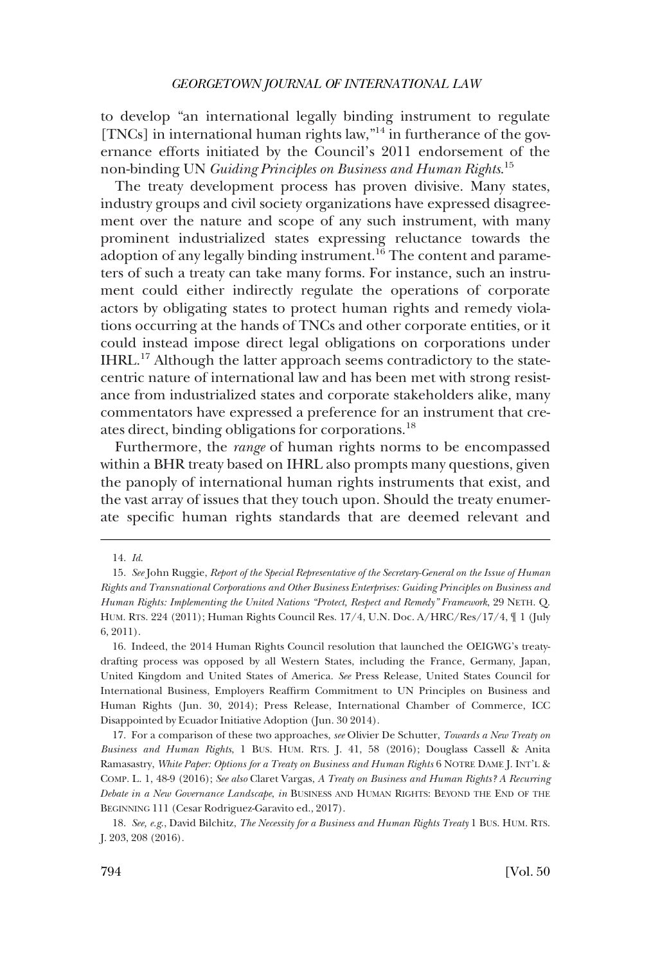to develop "an international legally binding instrument to regulate [TNCs] in international human rights law,"<sup>14</sup> in furtherance of the governance efforts initiated by the Council's 2011 endorsement of the non-binding UN *Guiding Principles on Business and Human Rights*. 15

The treaty development process has proven divisive. Many states, industry groups and civil society organizations have expressed disagreement over the nature and scope of any such instrument, with many prominent industrialized states expressing reluctance towards the adoption of any legally binding instrument.<sup>16</sup> The content and parameters of such a treaty can take many forms. For instance, such an instrument could either indirectly regulate the operations of corporate actors by obligating states to protect human rights and remedy violations occurring at the hands of TNCs and other corporate entities, or it could instead impose direct legal obligations on corporations under IHRL.17 Although the latter approach seems contradictory to the statecentric nature of international law and has been met with strong resistance from industrialized states and corporate stakeholders alike, many commentators have expressed a preference for an instrument that creates direct, binding obligations for corporations.<sup>18</sup>

Furthermore, the *range* of human rights norms to be encompassed within a BHR treaty based on IHRL also prompts many questions, given the panoply of international human rights instruments that exist, and the vast array of issues that they touch upon. Should the treaty enumerate specifc human rights standards that are deemed relevant and

<sup>14.</sup> *Id*.

<sup>15.</sup> *See* John Ruggie, *Report of the Special Representative of the Secretary-General on the Issue of Human Rights and Transnational Corporations and Other Business Enterprises: Guiding Principles on Business and Human Rights: Implementing the United Nations "Protect, Respect and Remedy" Framework*, 29 NETH. Q. HUM. RTS. 224 (2011); Human Rights Council Res. 17/4, U.N. Doc. A/HRC/Res/17/4, ¶ 1 (July 6, 2011).

<sup>16.</sup> Indeed, the 2014 Human Rights Council resolution that launched the OEIGWG's treatydrafting process was opposed by all Western States, including the France, Germany, Japan, United Kingdom and United States of America. *See* Press Release, United States Council for International Business, Employers Reaffrm Commitment to UN Principles on Business and Human Rights (Jun. 30, 2014); Press Release, International Chamber of Commerce, ICC Disappointed by Ecuador Initiative Adoption (Jun. 30 2014).

<sup>17.</sup> For a comparison of these two approaches, *see* Olivier De Schutter, *Towards a New Treaty on Business and Human Rights*, 1 BUS. HUM. RTS. J. 41, 58 (2016); Douglass Cassell & Anita Ramasastry, *White Paper: Options for a Treaty on Business and Human Rights* 6 NOTRE DAME J. INT'L & COMP. L. 1, 48-9 (2016); *See also* Claret Vargas, *A Treaty on Business and Human Rights? A Recurring Debate in a New Governance Landscape*, *in* BUSINESS AND HUMAN RIGHTS: BEYOND THE END OF THE BEGINNING 111 (Cesar Rodriguez-Garavito ed., 2017).

<sup>18.</sup> *See, e.g*., David Bilchitz, *The Necessity for a Business and Human Rights Treaty* 1 BUS. HUM. RTS. J. 203, 208 (2016).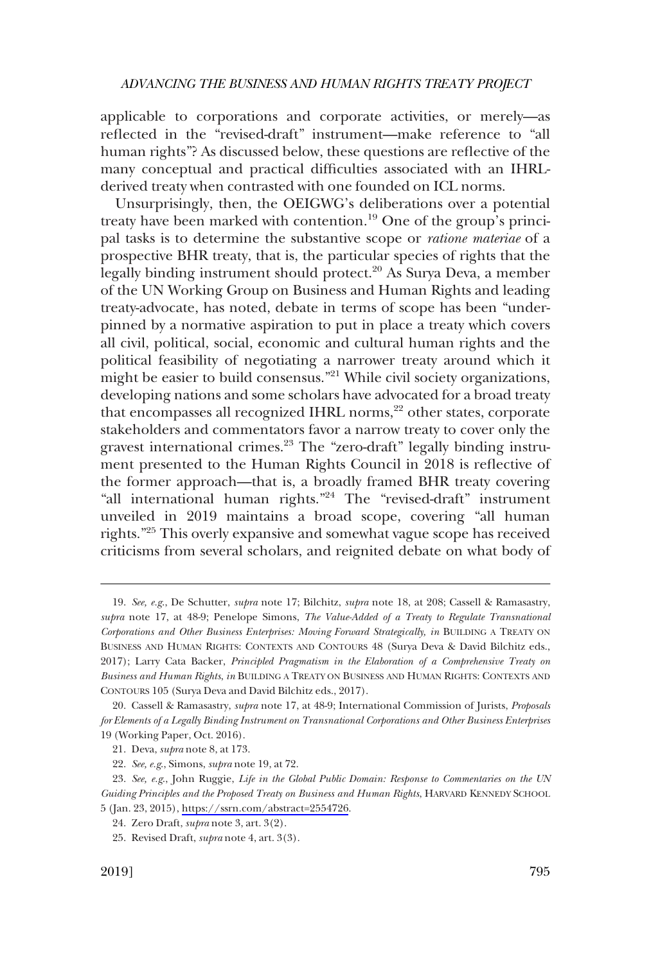applicable to corporations and corporate activities, or merely—as refected in the "revised-draft" instrument—make reference to "all human rights"? As discussed below, these questions are refective of the many conceptual and practical diffculties associated with an IHRLderived treaty when contrasted with one founded on ICL norms.

Unsurprisingly, then, the OEIGWG's deliberations over a potential treaty have been marked with contention.<sup>19</sup> One of the group's principal tasks is to determine the substantive scope or *ratione materiae* of a prospective BHR treaty, that is, the particular species of rights that the legally binding instrument should protect.<sup>20</sup> As Surya Deva, a member of the UN Working Group on Business and Human Rights and leading treaty-advocate, has noted, debate in terms of scope has been "underpinned by a normative aspiration to put in place a treaty which covers all civil, political, social, economic and cultural human rights and the political feasibility of negotiating a narrower treaty around which it might be easier to build consensus."21 While civil society organizations, developing nations and some scholars have advocated for a broad treaty that encompasses all recognized IHRL norms,<sup>22</sup> other states, corporate stakeholders and commentators favor a narrow treaty to cover only the gravest international crimes.<sup>23</sup> The "zero-draft" legally binding instrument presented to the Human Rights Council in 2018 is refective of the former approach—that is, a broadly framed BHR treaty covering "all international human rights."24 The "revised-draft" instrument unveiled in 2019 maintains a broad scope, covering "all human rights."25 This overly expansive and somewhat vague scope has received criticisms from several scholars, and reignited debate on what body of

<sup>19.</sup> *See, e.g*., De Schutter, *supra* note 17; Bilchitz, *supra* note 18, at 208; Cassell & Ramasastry, *supra* note 17, at 48-9; Penelope Simons, *The Value-Added of a Treaty to Regulate Transnational Corporations and Other Business Enterprises: Moving Forward Strategically, in* BUILDING A TREATY ON BUSINESS AND HUMAN RIGHTS: CONTEXTS AND CONTOURS 48 (Surya Deva & David Bilchitz eds., 2017); Larry Cata Backer, *Principled Pragmatism in the Elaboration of a Comprehensive Treaty on Business and Human Rights*, *in* BUILDING A TREATY ON BUSINESS AND HUMAN RIGHTS: CONTEXTS AND CONTOURS 105 (Surya Deva and David Bilchitz eds., 2017).

<sup>20.</sup> Cassell & Ramasastry, *supra* note 17, at 48-9; International Commission of Jurists, *Proposals for Elements of a Legally Binding Instrument on Transnational Corporations and Other Business Enterprises*  19 (Working Paper, Oct. 2016).

<sup>21.</sup> Deva, *supra* note 8, at 173.

<sup>22.</sup> *See, e.g*., Simons, *supra* note 19, at 72.

*See, e.g*., John Ruggie, *Life in the Global Public Domain: Response to Commentaries on the UN*  23. *Guiding Principles and the Proposed Treaty on Business and Human Rights*, HARVARD KENNEDY SCHOOL 5 (Jan. 23, 2015),<https://ssrn.com/abstract=2554726>.

<sup>24.</sup> Zero Draft, *supra* note 3, art. 3(2).

<sup>25.</sup> Revised Draft, *supra* note 4, art. 3(3).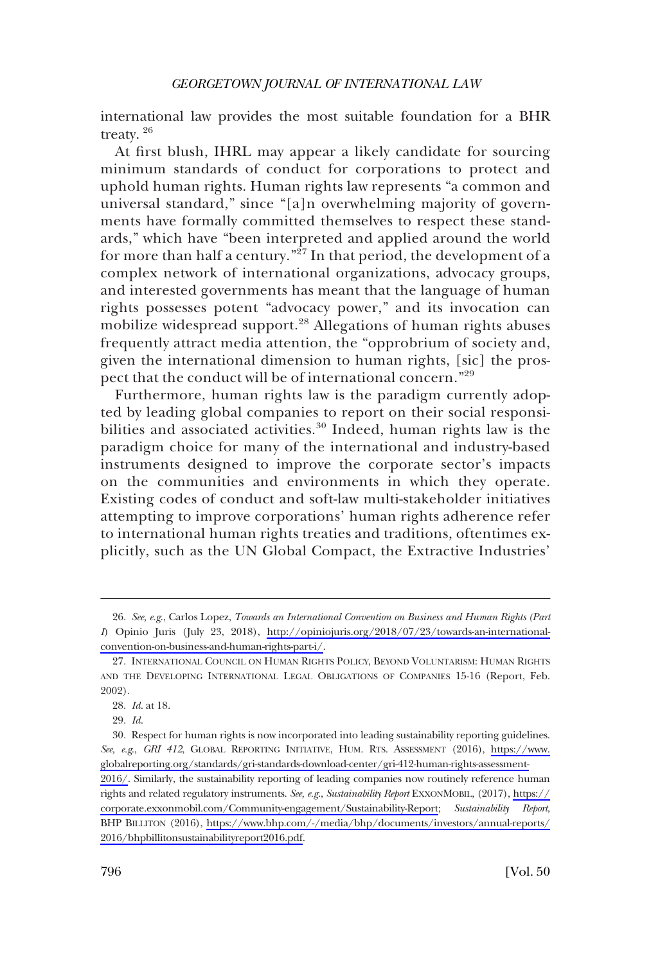international law provides the most suitable foundation for a BHR treaty. 26

At frst blush, IHRL may appear a likely candidate for sourcing minimum standards of conduct for corporations to protect and uphold human rights. Human rights law represents "a common and universal standard," since "[a]n overwhelming majority of governments have formally committed themselves to respect these standards," which have "been interpreted and applied around the world for more than half a century."27 In that period, the development of a complex network of international organizations, advocacy groups, and interested governments has meant that the language of human rights possesses potent "advocacy power," and its invocation can mobilize widespread support.28 Allegations of human rights abuses frequently attract media attention, the "opprobrium of society and, given the international dimension to human rights, [sic] the prospect that the conduct will be of international concern."<sup>29</sup>

Furthermore, human rights law is the paradigm currently adopted by leading global companies to report on their social responsibilities and associated activities.<sup>30</sup> Indeed, human rights law is the paradigm choice for many of the international and industry-based instruments designed to improve the corporate sector's impacts on the communities and environments in which they operate. Existing codes of conduct and soft-law multi-stakeholder initiatives attempting to improve corporations' human rights adherence refer to international human rights treaties and traditions, oftentimes explicitly, such as the UN Global Compact, the Extractive Industries'

*See, e.g*., Carlos Lopez, *Towards an International Convention on Business and Human Rights (Part*  26. *I*) Opinio Juris (July 23, 2018), [http://opiniojuris.org/2018/07/23/towards-an-international](http://opiniojuris.org/2018/07/23/towards-an-international-convention-on-business-and-human-rights-part-i/)[convention-on-business-and-human-rights-part-i/](http://opiniojuris.org/2018/07/23/towards-an-international-convention-on-business-and-human-rights-part-i/).

<sup>27.</sup> INTERNATIONAL COUNCIL ON HUMAN RIGHTS POLICY, BEYOND VOLUNTARISM: HUMAN RIGHTS AND THE DEVELOPING INTERNATIONAL LEGAL OBLIGATIONS OF COMPANIES 15-16 (Report, Feb. 2002).

<sup>28.</sup> *Id*. at 18.

<sup>29.</sup> *Id*.

<sup>30.</sup> Respect for human rights is now incorporated into leading sustainability reporting guidelines. *See, e.g*., *GRI 412*, GLOBAL REPORTING INITIATIVE, HUM. RTS. ASSESSMENT (2016), [https://www.](https://www.globalreporting.org/standards/gri-standards-download-center/gri-412-human-rights-assessment-2016/)  [globalreporting.org/standards/gri-standards-download-center/gri-412-human-rights-assessment-](https://www.globalreporting.org/standards/gri-standards-download-center/gri-412-human-rights-assessment-2016/)[2016/](https://www.globalreporting.org/standards/gri-standards-download-center/gri-412-human-rights-assessment-2016/). Similarly, the sustainability reporting of leading companies now routinely reference human rights and related regulatory instruments. *See, e.g*., *Sustainability Report* EXXONMOBIL, (2017), [https://](https://corporate.exxonmobil.com/Community-engagement/Sustainability-Report)  [corporate.exxonmobil.com/Community-engagement/Sustainability-Report](https://corporate.exxonmobil.com/Community-engagement/Sustainability-Report); *Sustainability Report*, BHP BILLITON (2016), [https://www.bhp.com/-/media/bhp/documents/investors/annual-reports/](https://www.bhp.com/-/media/bhp/documents/investors/annual-reports/2016/bhpbillitonsustainabilityreport2016.pdf)  [2016/bhpbillitonsustainabilityreport2016.pdf](https://www.bhp.com/-/media/bhp/documents/investors/annual-reports/2016/bhpbillitonsustainabilityreport2016.pdf).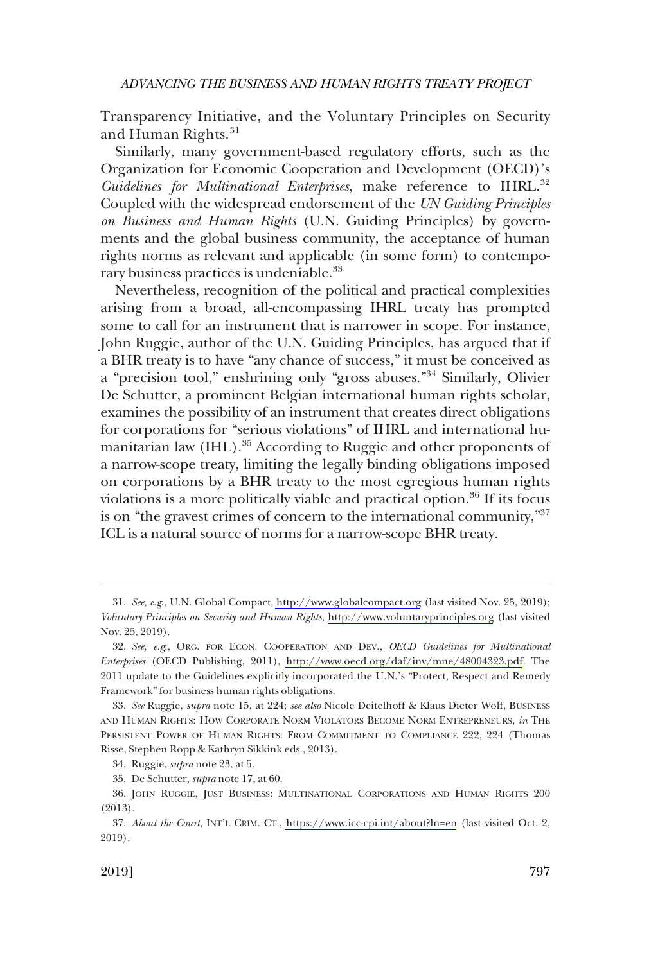Transparency Initiative, and the Voluntary Principles on Security and Human Rights.<sup>31</sup>

Similarly, many government-based regulatory efforts, such as the Organization for Economic Cooperation and Development (OECD)'s Guidelines for Multinational Enterprises, make reference to IHRL.<sup>32</sup> Coupled with the widespread endorsement of the *UN Guiding Principles on Business and Human Rights* (U.N. Guiding Principles) by governments and the global business community, the acceptance of human rights norms as relevant and applicable (in some form) to contemporary business practices is undeniable.<sup>33</sup>

Nevertheless, recognition of the political and practical complexities arising from a broad, all-encompassing IHRL treaty has prompted some to call for an instrument that is narrower in scope. For instance, John Ruggie, author of the U.N. Guiding Principles, has argued that if a BHR treaty is to have "any chance of success," it must be conceived as a "precision tool," enshrining only "gross abuses."34 Similarly, Olivier De Schutter, a prominent Belgian international human rights scholar, examines the possibility of an instrument that creates direct obligations for corporations for "serious violations" of IHRL and international humanitarian law (IHL).<sup>35</sup> According to Ruggie and other proponents of a narrow-scope treaty, limiting the legally binding obligations imposed on corporations by a BHR treaty to the most egregious human rights violations is a more politically viable and practical option.<sup>36</sup> If its focus is on "the gravest crimes of concern to the international community,"37 ICL is a natural source of norms for a narrow-scope BHR treaty.

*See, e.g*., U.N. Global Compact,<http://www.globalcompact.org> (last visited Nov. 25, 2019); 31. *Voluntary Principles on Security and Human Rights*, <http://www.voluntaryprinciples.org> (last visited Nov. 25, 2019).

*See, e.g*., ORG. FOR ECON. COOPERATION AND DEV., *OECD Guidelines for Multinational*  32. *Enterprises* (OECD Publishing, 2011), <http://www.oecd.org/daf/inv/mne/48004323.pdf>. The 2011 update to the Guidelines explicitly incorporated the U.N.'s "Protect, Respect and Remedy Framework" for business human rights obligations.

<sup>33.</sup> *See* Ruggie, *supra* note 15, at 224; *see also* Nicole Deitelhoff & Klaus Dieter Wolf, BUSINESS AND HUMAN RIGHTS: HOW CORPORATE NORM VIOLATORS BECOME NORM ENTREPRENEURS, *in* THE PERSISTENT POWER OF HUMAN RIGHTS: FROM COMMITMENT TO COMPLIANCE 222, 224 (Thomas Risse, Stephen Ropp & Kathryn Sikkink eds., 2013).

<sup>34.</sup> Ruggie, *supra* note 23, at 5.

<sup>35.</sup> De Schutter, *supra* note 17, at 60.

<sup>36.</sup> JOHN RUGGIE, JUST BUSINESS: MULTINATIONAL CORPORATIONS AND HUMAN RIGHTS 200 (2013).

<sup>37.</sup> About the Court, INT'L CRIM. CT., <https://www.icc-cpi.int/about?ln=en> (last visited Oct. 2, 2019).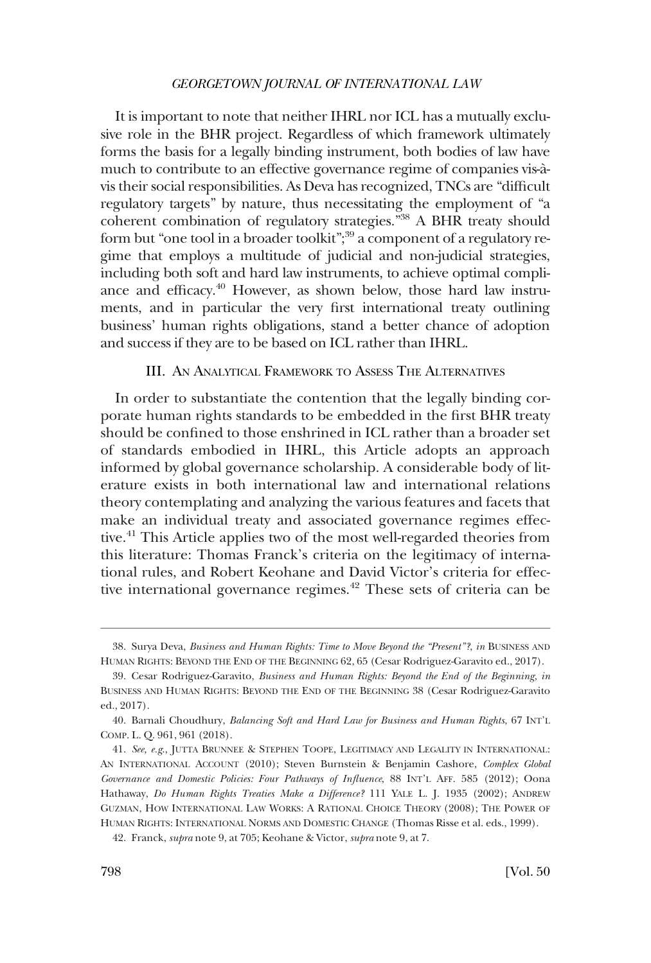<span id="page-9-0"></span>It is important to note that neither IHRL nor ICL has a mutually exclusive role in the BHR project. Regardless of which framework ultimately forms the basis for a legally binding instrument, both bodies of law have much to contribute to an effective governance regime of companies vis-àvis their social responsibilities. As Deva has recognized, TNCs are "diffcult regulatory targets" by nature, thus necessitating the employment of "a coherent combination of regulatory strategies."38 A BHR treaty should form but "one tool in a broader toolkit";<sup>39</sup> a component of a regulatory regime that employs a multitude of judicial and non-judicial strategies, including both soft and hard law instruments, to achieve optimal compliance and efficacy.<sup>40</sup> However, as shown below, those hard law instruments, and in particular the very frst international treaty outlining business' human rights obligations, stand a better chance of adoption and success if they are to be based on ICL rather than IHRL.

#### III. AN ANALYTICAL FRAMEWORK TO ASSESS THE ALTERNATIVES

In order to substantiate the contention that the legally binding corporate human rights standards to be embedded in the frst BHR treaty should be confned to those enshrined in ICL rather than a broader set of standards embodied in IHRL, this Article adopts an approach informed by global governance scholarship. A considerable body of literature exists in both international law and international relations theory contemplating and analyzing the various features and facets that make an individual treaty and associated governance regimes effective.<sup>41</sup> This Article applies two of the most well-regarded theories from this literature: Thomas Franck's criteria on the legitimacy of international rules, and Robert Keohane and David Victor's criteria for effective international governance regimes.<sup>42</sup> These sets of criteria can be

<sup>38.</sup> Surya Deva, *Business and Human Rights: Time to Move Beyond the "Present"?*, *in* BUSINESS AND HUMAN RIGHTS: BEYOND THE END OF THE BEGINNING 62, 65 (Cesar Rodriguez-Garavito ed., 2017).

<sup>39.</sup> Cesar Rodriguez-Garavito, *Business and Human Rights: Beyond the End of the Beginning*, *in*  BUSINESS AND HUMAN RIGHTS: BEYOND THE END OF THE BEGINNING 38 (Cesar Rodriguez-Garavito ed., 2017).

<sup>40.</sup> Barnali Choudhury, *Balancing Soft and Hard Law for Business and Human Rights*, 67 INT'L COMP. L. Q. 961, 961 (2018).

<sup>41.</sup> *See, e.g*., JUTTA BRUNNEE & STEPHEN TOOPE, LEGITIMACY AND LEGALITY IN INTERNATIONAL: AN INTERNATIONAL ACCOUNT (2010); Steven Burnstein & Benjamin Cashore, *Complex Global Governance and Domestic Policies: Four Pathways of Infuence*, 88 INT'L AFF. 585 (2012); Oona Hathaway, *Do Human Rights Treaties Make a Difference?* 111 YALE L. J. 1935 (2002); ANDREW GUZMAN, HOW INTERNATIONAL LAW WORKS: A RATIONAL CHOICE THEORY (2008); THE POWER OF HUMAN RIGHTS: INTERNATIONAL NORMS AND DOMESTIC CHANGE (Thomas Risse et al. eds., 1999).

<sup>42.</sup> Franck, *supra* note 9, at 705; Keohane & Victor, *supra* note 9, at 7.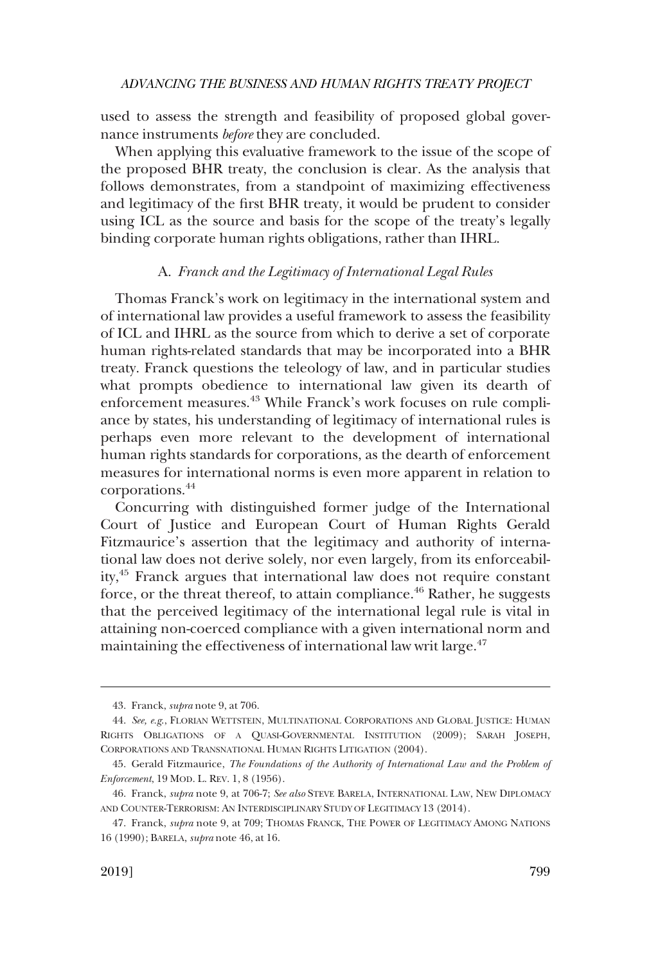<span id="page-10-0"></span>used to assess the strength and feasibility of proposed global governance instruments *before* they are concluded.

When applying this evaluative framework to the issue of the scope of the proposed BHR treaty, the conclusion is clear. As the analysis that follows demonstrates, from a standpoint of maximizing effectiveness and legitimacy of the frst BHR treaty, it would be prudent to consider using ICL as the source and basis for the scope of the treaty's legally binding corporate human rights obligations, rather than IHRL.

### A. *Franck and the Legitimacy of International Legal Rules*

Thomas Franck's work on legitimacy in the international system and of international law provides a useful framework to assess the feasibility of ICL and IHRL as the source from which to derive a set of corporate human rights-related standards that may be incorporated into a BHR treaty. Franck questions the teleology of law, and in particular studies what prompts obedience to international law given its dearth of enforcement measures.<sup>43</sup> While Franck's work focuses on rule compliance by states, his understanding of legitimacy of international rules is perhaps even more relevant to the development of international human rights standards for corporations, as the dearth of enforcement measures for international norms is even more apparent in relation to corporations.44

Concurring with distinguished former judge of the International Court of Justice and European Court of Human Rights Gerald Fitzmaurice's assertion that the legitimacy and authority of international law does not derive solely, nor even largely, from its enforceability,45 Franck argues that international law does not require constant force, or the threat thereof, to attain compliance.<sup>46</sup> Rather, he suggests that the perceived legitimacy of the international legal rule is vital in attaining non-coerced compliance with a given international norm and maintaining the effectiveness of international law writ large.<sup>47</sup>

<sup>43.</sup> Franck, *supra* note 9, at 706.

<sup>44.</sup> *See, e.g*., FLORIAN WETTSTEIN, MULTINATIONAL CORPORATIONS AND GLOBAL JUSTICE: HUMAN RIGHTS OBLIGATIONS OF A QUASI-GOVERNMENTAL INSTITUTION (2009); SARAH JOSEPH, CORPORATIONS AND TRANSNATIONAL HUMAN RIGHTS LITIGATION (2004).

<sup>45.</sup> Gerald Fitzmaurice, *The Foundations of the Authority of International Law and the Problem of Enforcement*, 19 MOD. L. REV. 1, 8 (1956).

<sup>46.</sup> Franck, *supra* note 9, at 706-7; *See also* STEVE BARELA, INTERNATIONAL LAW, NEW DIPLOMACY AND COUNTER-TERRORISM: AN INTERDISCIPLINARY STUDY OF LEGITIMACY 13 (2014).

<sup>47.</sup> Franck, *supra* note 9, at 709; THOMAS FRANCK, THE POWER OF LEGITIMACY AMONG NATIONS 16 (1990); BARELA, *supra* note 46, at 16.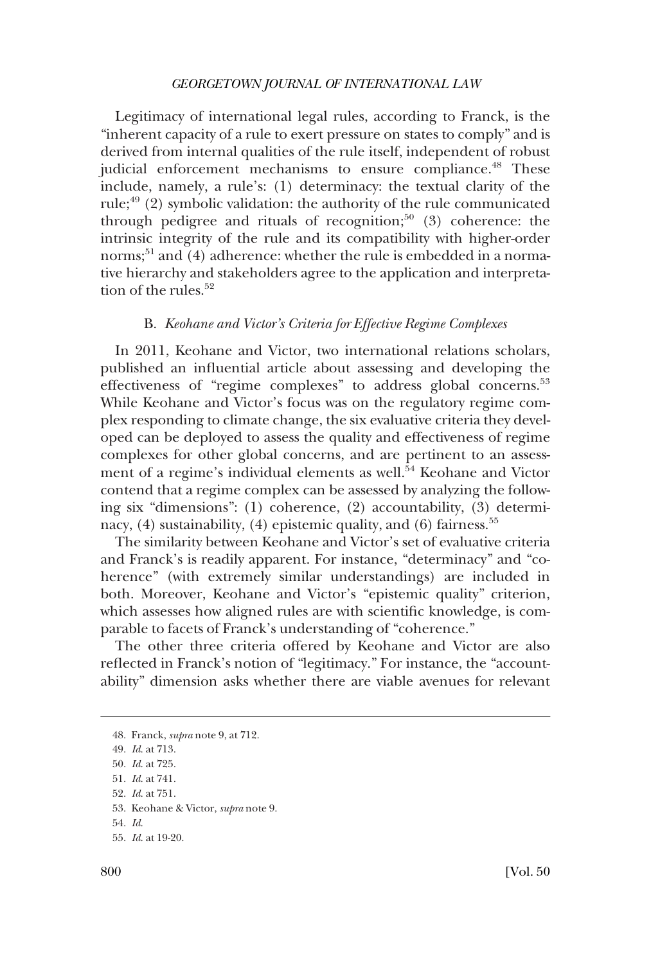<span id="page-11-0"></span>Legitimacy of international legal rules, according to Franck, is the "inherent capacity of a rule to exert pressure on states to comply" and is derived from internal qualities of the rule itself, independent of robust judicial enforcement mechanisms to ensure compliance.<sup>48</sup> These include, namely, a rule's: (1) determinacy: the textual clarity of the rule; $49$  (2) symbolic validation: the authority of the rule communicated through pedigree and rituals of recognition;<sup>50</sup> (3) coherence: the intrinsic integrity of the rule and its compatibility with higher-order norms;<sup>51</sup> and (4) adherence: whether the rule is embedded in a normative hierarchy and stakeholders agree to the application and interpretation of the rules  $52$ 

#### B. *Keohane and Victor's Criteria for Effective Regime Complexes*

In 2011, Keohane and Victor, two international relations scholars, published an infuential article about assessing and developing the effectiveness of "regime complexes" to address global concerns.<sup>53</sup> While Keohane and Victor's focus was on the regulatory regime complex responding to climate change, the six evaluative criteria they developed can be deployed to assess the quality and effectiveness of regime complexes for other global concerns, and are pertinent to an assessment of a regime's individual elements as well.<sup>54</sup> Keohane and Victor contend that a regime complex can be assessed by analyzing the following six "dimensions": (1) coherence, (2) accountability, (3) determinacy,  $(4)$  sustainability,  $(4)$  epistemic quality, and  $(6)$  fairness.<sup>55</sup>

The similarity between Keohane and Victor's set of evaluative criteria and Franck's is readily apparent. For instance, "determinacy" and "coherence" (with extremely similar understandings) are included in both. Moreover, Keohane and Victor's "epistemic quality" criterion, which assesses how aligned rules are with scientifc knowledge, is comparable to facets of Franck's understanding of "coherence."

The other three criteria offered by Keohane and Victor are also refected in Franck's notion of "legitimacy." For instance, the "accountability" dimension asks whether there are viable avenues for relevant

<sup>48.</sup> Franck, *supra* note 9, at 712.

<sup>49.</sup> *Id*. at 713.

<sup>50.</sup> *Id*. at 725.

<sup>51.</sup> *Id*. at 741.

<sup>52.</sup> *Id*. at 751.

<sup>53.</sup> Keohane & Victor, *supra* note 9.

<sup>54.</sup> *Id*.

<sup>55.</sup> *Id*. at 19-20.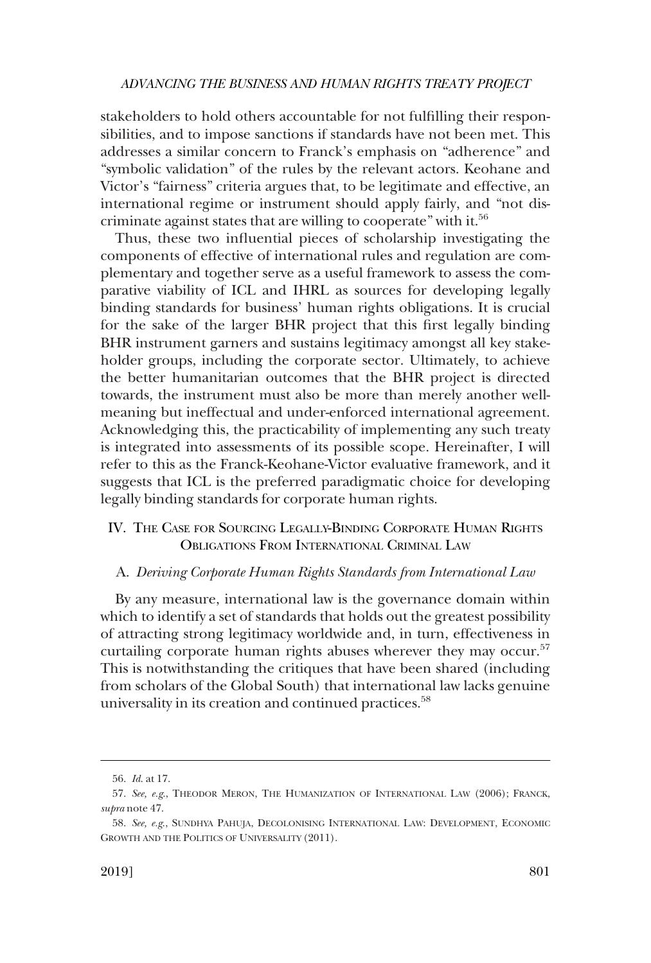<span id="page-12-0"></span>stakeholders to hold others accountable for not fulflling their responsibilities, and to impose sanctions if standards have not been met. This addresses a similar concern to Franck's emphasis on "adherence" and "symbolic validation" of the rules by the relevant actors. Keohane and Victor's "fairness" criteria argues that, to be legitimate and effective, an international regime or instrument should apply fairly, and "not discriminate against states that are willing to cooperate" with it.56

Thus, these two infuential pieces of scholarship investigating the components of effective of international rules and regulation are complementary and together serve as a useful framework to assess the comparative viability of ICL and IHRL as sources for developing legally binding standards for business' human rights obligations. It is crucial for the sake of the larger BHR project that this frst legally binding BHR instrument garners and sustains legitimacy amongst all key stakeholder groups, including the corporate sector. Ultimately, to achieve the better humanitarian outcomes that the BHR project is directed towards, the instrument must also be more than merely another wellmeaning but ineffectual and under-enforced international agreement. Acknowledging this, the practicability of implementing any such treaty is integrated into assessments of its possible scope. Hereinafter, I will refer to this as the Franck-Keohane-Victor evaluative framework, and it suggests that ICL is the preferred paradigmatic choice for developing legally binding standards for corporate human rights.

## IV. THE CASE FOR SOURCING LEGALLY-BINDING CORPORATE HUMAN RIGHTS OBLIGATIONS FROM INTERNATIONAL CRIMINAL LAW

## A. *Deriving Corporate Human Rights Standards from International Law*

By any measure, international law is the governance domain within which to identify a set of standards that holds out the greatest possibility of attracting strong legitimacy worldwide and, in turn, effectiveness in curtailing corporate human rights abuses wherever they may occur.<sup>57</sup> This is notwithstanding the critiques that have been shared (including from scholars of the Global South) that international law lacks genuine universality in its creation and continued practices.<sup>58</sup>

<sup>56.</sup> *Id*. at 17.

<sup>57.</sup> *See, e.g*., THEODOR MERON, THE HUMANIZATION OF INTERNATIONAL LAW (2006); FRANCK, *supra* note 47.

<sup>58.</sup> *See, e.g*., SUNDHYA PAHUJA, DECOLONISING INTERNATIONAL LAW: DEVELOPMENT, ECONOMIC GROWTH AND THE POLITICS OF UNIVERSALITY (2011).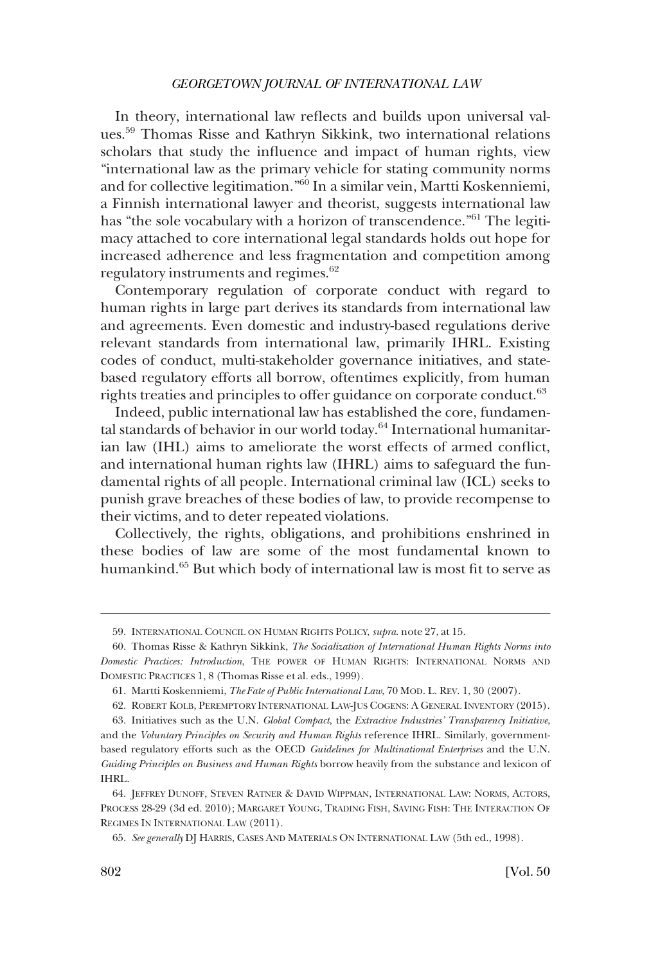In theory, international law refects and builds upon universal values.59 Thomas Risse and Kathryn Sikkink, two international relations scholars that study the infuence and impact of human rights, view "international law as the primary vehicle for stating community norms and for collective legitimation."60 In a similar vein, Martti Koskenniemi, a Finnish international lawyer and theorist, suggests international law has "the sole vocabulary with a horizon of transcendence."<sup>61</sup> The legitimacy attached to core international legal standards holds out hope for increased adherence and less fragmentation and competition among regulatory instruments and regimes.<sup>62</sup>

Contemporary regulation of corporate conduct with regard to human rights in large part derives its standards from international law and agreements. Even domestic and industry-based regulations derive relevant standards from international law, primarily IHRL. Existing codes of conduct, multi-stakeholder governance initiatives, and statebased regulatory efforts all borrow, oftentimes explicitly, from human rights treaties and principles to offer guidance on corporate conduct.<sup>63</sup>

Indeed, public international law has established the core, fundamental standards of behavior in our world today.<sup>64</sup> International humanitarian law (IHL) aims to ameliorate the worst effects of armed confict, and international human rights law (IHRL) aims to safeguard the fundamental rights of all people. International criminal law (ICL) seeks to punish grave breaches of these bodies of law, to provide recompense to their victims, and to deter repeated violations.

Collectively, the rights, obligations, and prohibitions enshrined in these bodies of law are some of the most fundamental known to humankind.<sup>65</sup> But which body of international law is most fit to serve as

<sup>59.</sup> INTERNATIONAL COUNCIL ON HUMAN RIGHTS POLICY, *supra*. note 27, at 15.

<sup>60.</sup> Thomas Risse & Kathryn Sikkink, *The Socialization of International Human Rights Norms into Domestic Practices: Introduction*, THE POWER OF HUMAN RIGHTS: INTERNATIONAL NORMS AND DOMESTIC PRACTICES 1, 8 (Thomas Risse et al. eds., 1999).

<sup>61.</sup> Martti Koskenniemi, *The Fate of Public International Law*, 70 MOD. L. REV. 1, 30 (2007).

<sup>62.</sup> ROBERT KOLB, PEREMPTORY INTERNATIONAL LAW-JUS COGENS: A GENERAL INVENTORY (2015).

<sup>63.</sup> Initiatives such as the U.N. *Global Compact*, the *Extractive Industries' Transparency Initiative*, and the *Voluntary Principles on Security and Human Rights* reference IHRL. Similarly, governmentbased regulatory efforts such as the OECD *Guidelines for Multinational Enterprises* and the U.N. *Guiding Principles on Business and Human Rights* borrow heavily from the substance and lexicon of IHRL.

<sup>64.</sup> JEFFREY DUNOFF, STEVEN RATNER & DAVID WIPPMAN, INTERNATIONAL LAW: NORMS, ACTORS, PROCESS 28-29 (3d ed. 2010); MARGARET YOUNG, TRADING FISH, SAVING FISH: THE INTERACTION OF REGIMES IN INTERNATIONAL LAW (2011).

<sup>65.</sup> *See generally* DJ HARRIS, CASES AND MATERIALS ON INTERNATIONAL LAW (5th ed., 1998).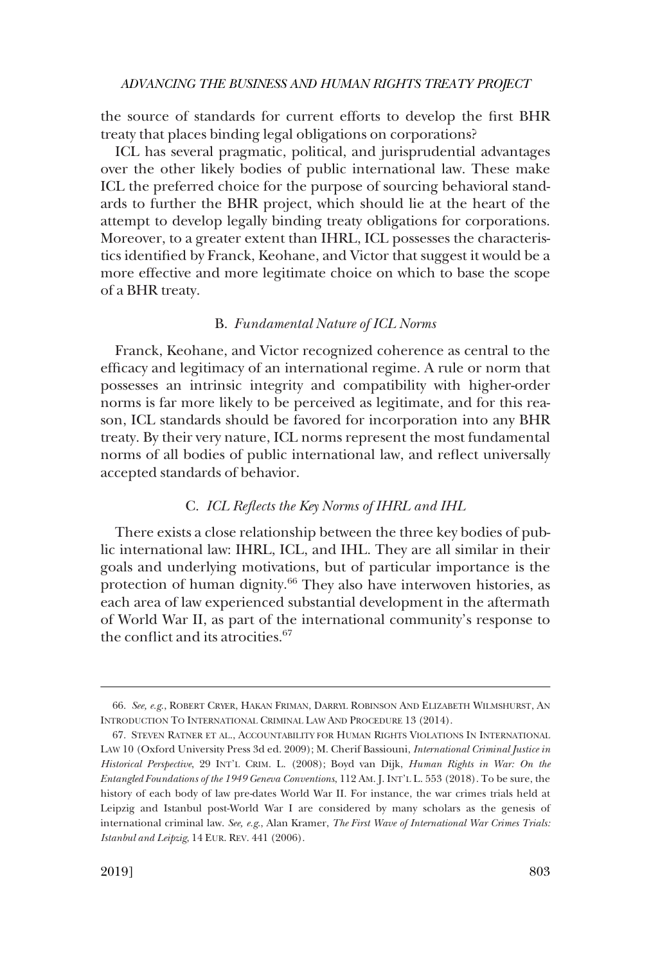<span id="page-14-0"></span>the source of standards for current efforts to develop the frst BHR treaty that places binding legal obligations on corporations?

ICL has several pragmatic, political, and jurisprudential advantages over the other likely bodies of public international law. These make ICL the preferred choice for the purpose of sourcing behavioral standards to further the BHR project, which should lie at the heart of the attempt to develop legally binding treaty obligations for corporations. Moreover, to a greater extent than IHRL, ICL possesses the characteristics identifed by Franck, Keohane, and Victor that suggest it would be a more effective and more legitimate choice on which to base the scope of a BHR treaty.

#### B. *Fundamental Nature of ICL Norms*

Franck, Keohane, and Victor recognized coherence as central to the effcacy and legitimacy of an international regime. A rule or norm that possesses an intrinsic integrity and compatibility with higher-order norms is far more likely to be perceived as legitimate, and for this reason, ICL standards should be favored for incorporation into any BHR treaty. By their very nature, ICL norms represent the most fundamental norms of all bodies of public international law, and refect universally accepted standards of behavior.

#### C. *ICL Refects the Key Norms of IHRL and IHL*

There exists a close relationship between the three key bodies of public international law: IHRL, ICL, and IHL. They are all similar in their goals and underlying motivations, but of particular importance is the protection of human dignity.<sup>66</sup> They also have interwoven histories, as each area of law experienced substantial development in the aftermath of World War II, as part of the international community's response to the conflict and its atrocities.<sup>67</sup>

<sup>66.</sup> *See, e.g*., ROBERT CRYER, HAKAN FRIMAN, DARRYL ROBINSON AND ELIZABETH WILMSHURST, AN INTRODUCTION TO INTERNATIONAL CRIMINAL LAW AND PROCEDURE 13 (2014).

<sup>67.</sup> STEVEN RATNER ET AL., ACCOUNTABILITY FOR HUMAN RIGHTS VIOLATIONS IN INTERNATIONAL LAW 10 (Oxford University Press 3d ed. 2009); M. Cherif Bassiouni, *International Criminal Justice in Historical Perspective*, 29 INT'L CRIM. L. (2008); Boyd van Dijk, *Human Rights in War: On the Entangled Foundations of the 1949 Geneva Conventions*, 112 AM. J. INT'L L. 553 (2018). To be sure, the history of each body of law pre-dates World War II. For instance, the war crimes trials held at Leipzig and Istanbul post-World War I are considered by many scholars as the genesis of international criminal law. *See, e.g*., Alan Kramer, *The First Wave of International War Crimes Trials: Istanbul and Leipzig*, 14 EUR. REV. 441 (2006).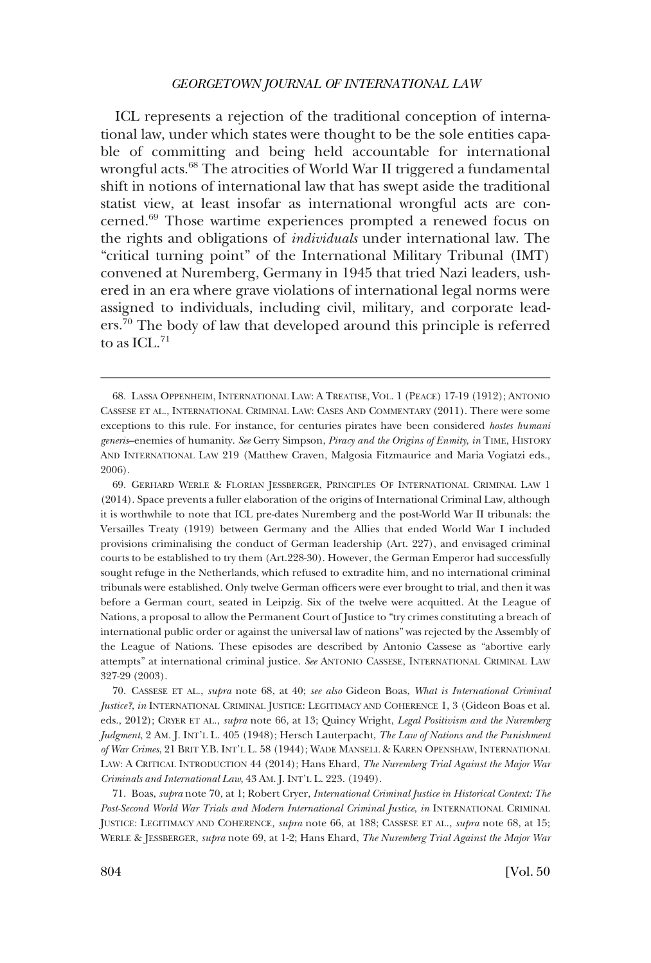ICL represents a rejection of the traditional conception of international law, under which states were thought to be the sole entities capable of committing and being held accountable for international wrongful acts.<sup>68</sup> The atrocities of World War II triggered a fundamental shift in notions of international law that has swept aside the traditional statist view, at least insofar as international wrongful acts are concerned.69 Those wartime experiences prompted a renewed focus on the rights and obligations of *individuals* under international law. The "critical turning point" of the International Military Tribunal (IMT) convened at Nuremberg, Germany in 1945 that tried Nazi leaders, ushered in an era where grave violations of international legal norms were assigned to individuals, including civil, military, and corporate leaders.70 The body of law that developed around this principle is referred to as ICL $^{71}$ 

69. GERHARD WERLE & FLORIAN JESSBERGER, PRINCIPLES OF INTERNATIONAL CRIMINAL LAW 1 (2014). Space prevents a fuller elaboration of the origins of International Criminal Law, although it is worthwhile to note that ICL pre-dates Nuremberg and the post-World War II tribunals: the Versailles Treaty (1919) between Germany and the Allies that ended World War I included provisions criminalising the conduct of German leadership (Art. 227), and envisaged criminal courts to be established to try them (Art.228-30). However, the German Emperor had successfully sought refuge in the Netherlands, which refused to extradite him, and no international criminal tribunals were established. Only twelve German offcers were ever brought to trial, and then it was before a German court, seated in Leipzig. Six of the twelve were acquitted. At the League of Nations, a proposal to allow the Permanent Court of Justice to "try crimes constituting a breach of international public order or against the universal law of nations" was rejected by the Assembly of the League of Nations. These episodes are described by Antonio Cassese as "abortive early attempts" at international criminal justice. *See* ANTONIO CASSESE, INTERNATIONAL CRIMINAL LAW 327-29 (2003).

70. CASSESE ET AL., *supra* note 68, at 40; *see also* Gideon Boas, *What is International Criminal Justice?*, *in* INTERNATIONAL CRIMINAL JUSTICE: LEGITIMACY AND COHERENCE 1, 3 (Gideon Boas et al. eds., 2012); CRYER ET AL., *supra* note 66, at 13; Quincy Wright, *Legal Positivism and the Nuremberg Judgment*, 2 AM. J. INT'L L. 405 (1948); Hersch Lauterpacht, *The Law of Nations and the Punishment of War Crimes*, 21 BRIT Y.B. INT'L L. 58 (1944); WADE MANSELL & KAREN OPENSHAW, INTERNATIONAL LAW: A CRITICAL INTRODUCTION 44 (2014); Hans Ehard, *The Nuremberg Trial Against the Major War Criminals and International Law*, 43 AM. J. INT'L L. 223. (1949).

71. Boas, *supra* note 70, at 1; Robert Cryer, *International Criminal Justice in Historical Context: The Post-Second World War Trials and Modern International Criminal Justice*, *in* INTERNATIONAL CRIMINAL JUSTICE: LEGITIMACY AND COHERENCE*, supra* note 66, at 188; CASSESE ET AL., *supra* note 68, at 15; WERLE & JESSBERGER, *supra* note 69, at 1-2; Hans Ehard, *The Nuremberg Trial Against the Major War* 

<sup>68.</sup> LASSA OPPENHEIM, INTERNATIONAL LAW: A TREATISE, VOL. 1 (PEACE) 17-19 (1912); ANTONIO CASSESE ET AL., INTERNATIONAL CRIMINAL LAW: CASES AND COMMENTARY (2011). There were some exceptions to this rule. For instance, for centuries pirates have been considered *hostes humani generis*–enemies of humanity. *See* Gerry Simpson, *Piracy and the Origins of Enmity*, *in* TIME, HISTORY AND INTERNATIONAL LAW 219 (Matthew Craven, Malgosia Fitzmaurice and Maria Vogiatzi eds., 2006).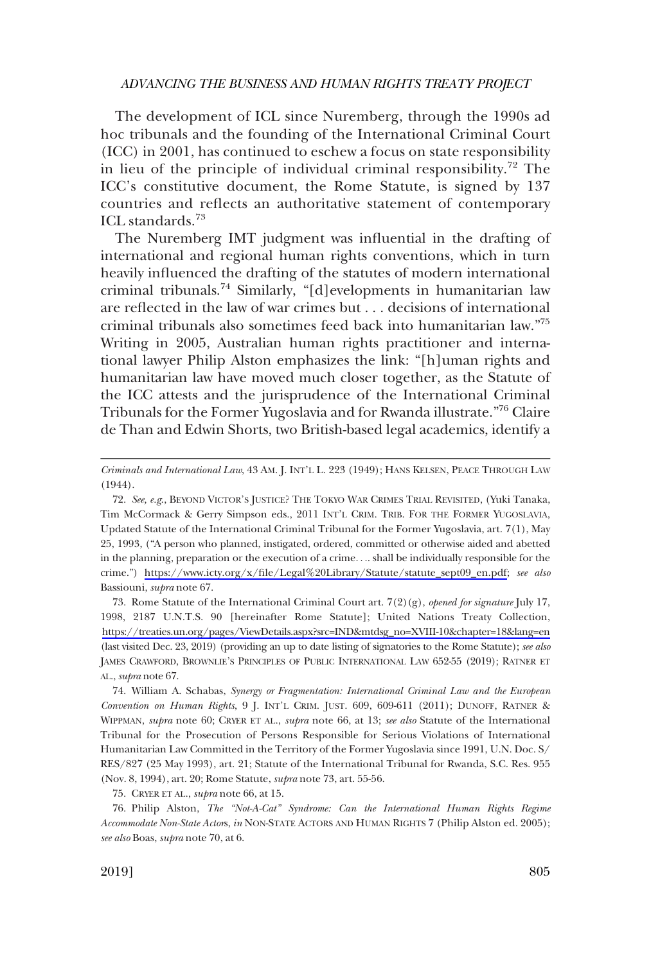The development of ICL since Nuremberg, through the 1990s ad hoc tribunals and the founding of the International Criminal Court (ICC) in 2001, has continued to eschew a focus on state responsibility in lieu of the principle of individual criminal responsibility.<sup>72</sup> The ICC's constitutive document, the Rome Statute, is signed by 137 countries and refects an authoritative statement of contemporary ICL standards.<sup>73</sup>

The Nuremberg IMT judgment was infuential in the drafting of international and regional human rights conventions, which in turn heavily infuenced the drafting of the statutes of modern international criminal tribunals.74 Similarly, "[d]evelopments in humanitarian law are refected in the law of war crimes but . . . decisions of international criminal tribunals also sometimes feed back into humanitarian law."75 Writing in 2005, Australian human rights practitioner and international lawyer Philip Alston emphasizes the link: "[h]uman rights and humanitarian law have moved much closer together, as the Statute of the ICC attests and the jurisprudence of the International Criminal Tribunals for the Former Yugoslavia and for Rwanda illustrate."76 Claire de Than and Edwin Shorts, two British-based legal academics, identify a

73. Rome Statute of the International Criminal Court art.  $7(2)(g)$ , *opened for signature* July 17, 1998, 2187 U.N.T.S. 90 [hereinafter Rome Statute]; United Nations Treaty Collection, [https://treaties.un.org/pages/ViewDetails.aspx?src=IND&mtdsg\\_no=XVIII-10&chapter=18&lang=en](https://treaties.un.org/pages/ViewDetails.aspx?src=IND&mtdsg_no=XVIII-10&chapter=18&lang=en)  (last visited Dec. 23, 2019) (providing an up to date listing of signatories to the Rome Statute); *see also*  JAMES CRAWFORD, BROWNLIE'S PRINCIPLES OF PUBLIC INTERNATIONAL LAW 652-55 (2019); RATNER ET AL., *supra* note 67.

74. William A. Schabas, *Synergy or Fragmentation: International Criminal Law and the European Convention on Human Rights*, 9 J. INT'L CRIM. JUST. 609, 609-611 (2011); DUNOFF, RATNER & WIPPMAN, *supra* note 60; CRYER ET AL., *supra* note 66, at 13; *see also* Statute of the International Tribunal for the Prosecution of Persons Responsible for Serious Violations of International Humanitarian Law Committed in the Territory of the Former Yugoslavia since 1991, U.N. Doc. S/ RES/827 (25 May 1993), art. 21; Statute of the International Tribunal for Rwanda, S.C. Res. 955 (Nov. 8, 1994), art. 20; Rome Statute, *supra* note 73, art. 55-56.

75. CRYER ET AL., *supra* note 66, at 15.

76. Philip Alston, *The "Not-A-Cat" Syndrome: Can the International Human Rights Regime Accommodate Non-State Actor*s, *in* NON-STATE ACTORS AND HUMAN RIGHTS 7 (Philip Alston ed. 2005); *see also* Boas, *supra* note 70, at 6.

*Criminals and International Law*, 43 AM. J. INT'L L. 223 (1949); HANS KELSEN, PEACE THROUGH LAW (1944).

<sup>72.</sup> See, e.g., BEYOND VICTOR'S JUSTICE? THE TOKYO WAR CRIMES TRIAL REVISITED, (Yuki Tanaka, Tim McCormack & Gerry Simpson eds., 2011 INT'L CRIM. TRIB. FOR THE FORMER YUGOSLAVIA, Updated Statute of the International Criminal Tribunal for the Former Yugoslavia, art. 7(1), May 25, 1993, ("A person who planned, instigated, ordered, committed or otherwise aided and abetted in the planning, preparation or the execution of a crime. . .. shall be individually responsible for the crime.") [https://www.icty.org/x/fle/Legal%20Library/Statute/statute\\_sept09\\_en.pdf;](https://www.icty.org/x/file/Legal%20Library/Statute/statute_sept09_en.pdf) *see also*  Bassiouni, *supra* note 67.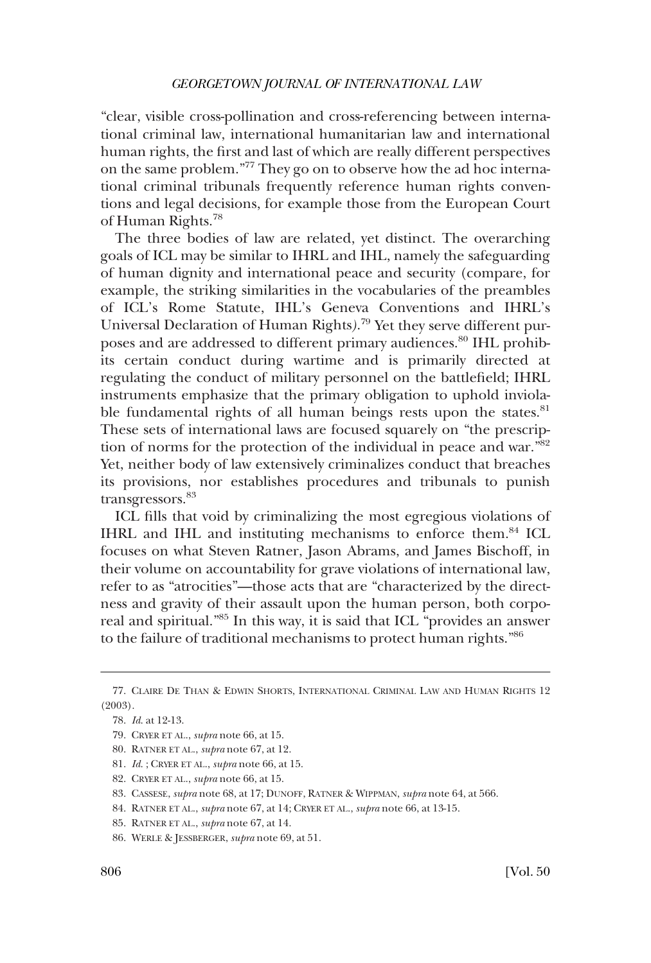"clear, visible cross-pollination and cross-referencing between international criminal law, international humanitarian law and international human rights, the frst and last of which are really different perspectives on the same problem."77 They go on to observe how the ad hoc international criminal tribunals frequently reference human rights conventions and legal decisions, for example those from the European Court of Human Rights.78

The three bodies of law are related, yet distinct. The overarching goals of ICL may be similar to IHRL and IHL, namely the safeguarding of human dignity and international peace and security (compare, for example, the striking similarities in the vocabularies of the preambles of ICL's Rome Statute, IHL's Geneva Conventions and IHRL's Universal Declaration of Human Rights*)*. 79 Yet they serve different purposes and are addressed to different primary audiences.<sup>80</sup> IHL prohibits certain conduct during wartime and is primarily directed at regulating the conduct of military personnel on the battlefeld; IHRL instruments emphasize that the primary obligation to uphold inviolable fundamental rights of all human beings rests upon the states.<sup>81</sup> These sets of international laws are focused squarely on "the prescription of norms for the protection of the individual in peace and war.<sup>882</sup> Yet, neither body of law extensively criminalizes conduct that breaches its provisions, nor establishes procedures and tribunals to punish transgressors.<sup>83</sup>

ICL flls that void by criminalizing the most egregious violations of IHRL and IHL and instituting mechanisms to enforce them.84 ICL focuses on what Steven Ratner, Jason Abrams, and James Bischoff, in their volume on accountability for grave violations of international law, refer to as "atrocities"—those acts that are "characterized by the directness and gravity of their assault upon the human person, both corporeal and spiritual."85 In this way, it is said that ICL "provides an answer to the failure of traditional mechanisms to protect human rights."86

<sup>77.</sup> CLAIRE DE THAN & EDWIN SHORTS, INTERNATIONAL CRIMINAL LAW AND HUMAN RIGHTS 12 (2003).

<sup>78.</sup> *Id*. at 12-13.

<sup>79.</sup> CRYER ET AL., *supra* note 66, at 15.

<sup>80.</sup> RATNER ET AL., *supra* note 67, at 12.

<sup>81.</sup> *Id*. ; CRYER ET AL., *supra* note 66, at 15.

<sup>82.</sup> CRYER ET AL., *supra* note 66, at 15.

<sup>83.</sup> CASSESE, *supra* note 68, at 17; DUNOFF, RATNER & WIPPMAN, *supra* note 64, at 566.

<sup>84.</sup> RATNER ET AL., *supra* note 67, at 14; CRYER ET AL., *supra* note 66, at 13-15.

<sup>85.</sup> RATNER ET AL., *supra* note 67, at 14.

<sup>86.</sup> WERLE & JESSBERGER, *supra* note 69, at 51.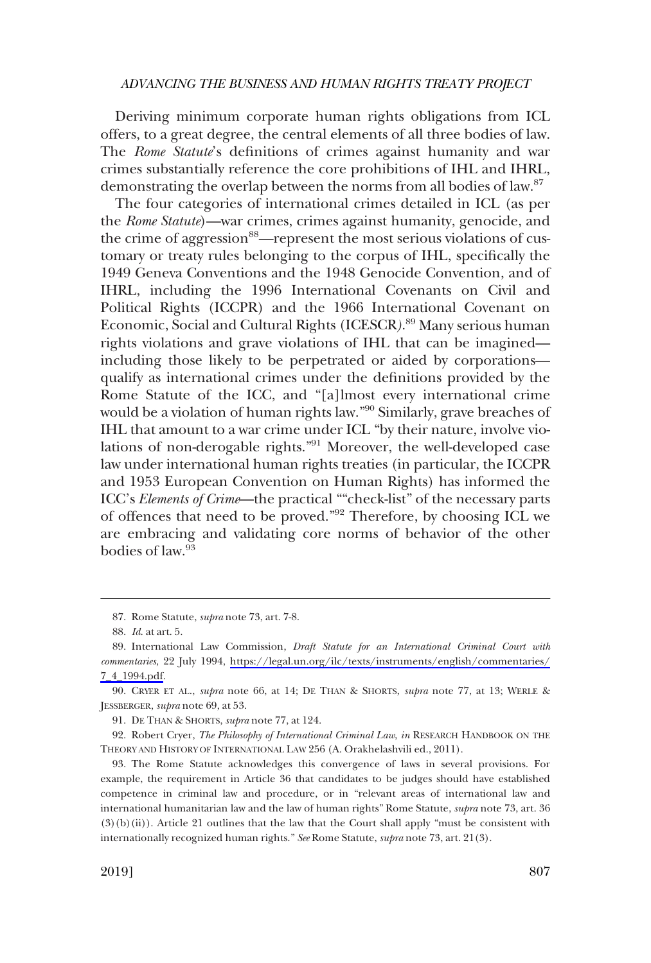Deriving minimum corporate human rights obligations from ICL offers, to a great degree, the central elements of all three bodies of law. The *Rome Statute*'s defnitions of crimes against humanity and war crimes substantially reference the core prohibitions of IHL and IHRL, demonstrating the overlap between the norms from all bodies of law.87

The four categories of international crimes detailed in ICL (as per the *Rome Statute*)—war crimes, crimes against humanity, genocide, and the crime of aggression<sup>88</sup>—represent the most serious violations of customary or treaty rules belonging to the corpus of IHL, specifcally the 1949 Geneva Conventions and the 1948 Genocide Convention, and of IHRL, including the 1996 International Covenants on Civil and Political Rights (ICCPR) and the 1966 International Covenant on Economic, Social and Cultural Rights (ICESCR*)*. 89 Many serious human rights violations and grave violations of IHL that can be imagined including those likely to be perpetrated or aided by corporations qualify as international crimes under the defnitions provided by the Rome Statute of the ICC, and "[a]lmost every international crime would be a violation of human rights law."90 Similarly, grave breaches of IHL that amount to a war crime under ICL "by their nature, involve violations of non-derogable rights."91 Moreover, the well-developed case law under international human rights treaties (in particular, the ICCPR and 1953 European Convention on Human Rights) has informed the ICC's *Elements of Crime*—the practical ""check-list" of the necessary parts of offences that need to be proved."92 Therefore, by choosing ICL we are embracing and validating core norms of behavior of the other bodies of law.93

91. DE THAN & SHORTS, *supra* note 77, at 124.

92. Robert Cryer, *The Philosophy of International Criminal Law*, *in* RESEARCH HANDBOOK ON THE THEORY AND HISTORY OF INTERNATIONAL LAW 256 (A. Orakhelashvili ed., 2011).

93. The Rome Statute acknowledges this convergence of laws in several provisions. For example, the requirement in Article 36 that candidates to be judges should have established competence in criminal law and procedure, or in "relevant areas of international law and international humanitarian law and the law of human rights" Rome Statute, *supra* note 73, art. 36 (3)(b)(ii)). Article 21 outlines that the law that the Court shall apply "must be consistent with internationally recognized human rights." *See* Rome Statute, *supra* note 73, art. 21(3).

<sup>87.</sup> Rome Statute, *supra* note 73, art. 7-8.

<sup>88.</sup> *Id*. at art. 5.

International Law Commission, *Draft Statute for an International Criminal Court with*  89. *commentaries*, 22 July 1994, [https://legal.un.org/ilc/texts/instruments/english/commentaries/](https://legal.un.org/ilc/texts/instruments/english/commentaries/7_4_1994.pdf)  [7\\_4\\_1994.pdf.](https://legal.un.org/ilc/texts/instruments/english/commentaries/7_4_1994.pdf)

<sup>90.</sup> CRYER ET AL., *supra* note 66, at 14; DE THAN & SHORTS, *supra* note 77, at 13; WERLE & JESSBERGER, *supra* note 69, at 53.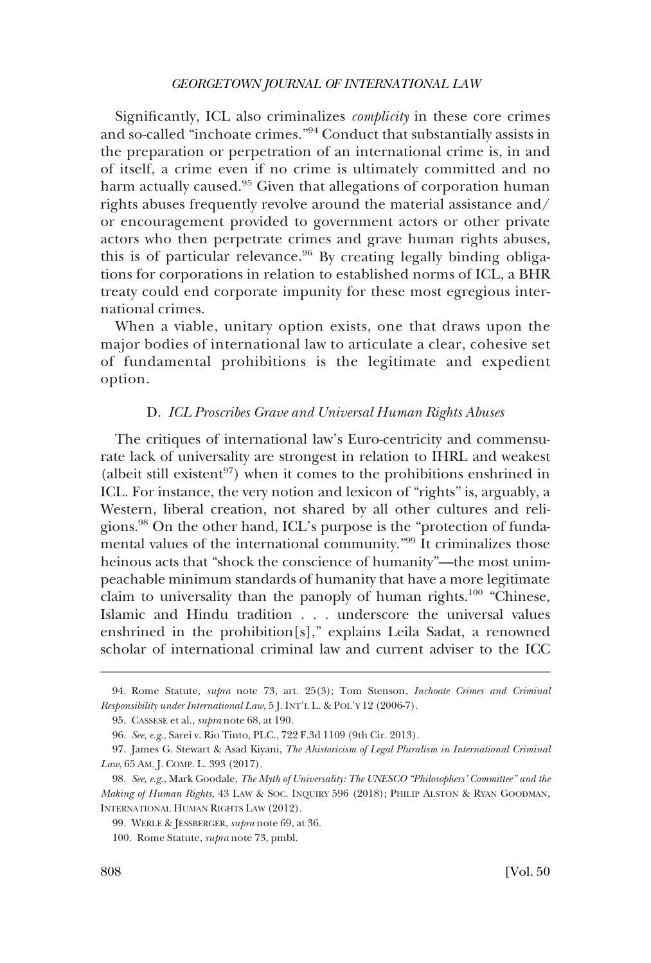<span id="page-19-0"></span>Signifcantly, ICL also criminalizes *complicity* in these core crimes and so-called "inchoate crimes."94 Conduct that substantially assists in the preparation or perpetration of an international crime is, in and of itself, a crime even if no crime is ultimately committed and no harm actually caused.<sup>95</sup> Given that allegations of corporation human rights abuses frequently revolve around the material assistance and/ or encouragement provided to government actors or other private actors who then perpetrate crimes and grave human rights abuses, this is of particular relevance.<sup>96</sup> By creating legally binding obligations for corporations in relation to established norms of ICL, a BHR treaty could end corporate impunity for these most egregious international crimes.

When a viable, unitary option exists, one that draws upon the major bodies of international law to articulate a clear, cohesive set of fundamental prohibitions is the legitimate and expedient option.

#### D. *ICL Proscribes Grave and Universal Human Rights Abuses*

The critiques of international law's Euro-centricity and commensurate lack of universality are strongest in relation to IHRL and weakest (albeit still existent<sup>97</sup>) when it comes to the prohibitions enshrined in ICL. For instance, the very notion and lexicon of "rights" is, arguably, a Western, liberal creation, not shared by all other cultures and religions.98 On the other hand, ICL's purpose is the "protection of fundamental values of the international community."99 It criminalizes those heinous acts that "shock the conscience of humanity"—the most unimpeachable minimum standards of humanity that have a more legitimate claim to universality than the panoply of human rights.<sup>100</sup> "Chinese, Islamic and Hindu tradition . . . underscore the universal values enshrined in the prohibition[s]," explains Leila Sadat, a renowned scholar of international criminal law and current adviser to the ICC

<sup>94.</sup> Rome Statute*, supra* note 73, art. 25(3); Tom Stenson, *Inchoate Crimes and Criminal Responsibility under International Law*, 5 J. INT'L L. & POL'Y 12 (2006-7).

<sup>95.</sup> CASSESE et al., *supra* note 68, at 190.

<sup>96.</sup> *See, e.g*., Sarei v. Rio Tinto, PLC., 722 F.3d 1109 (9th Cir. 2013).

<sup>97.</sup> James G. Stewart & Asad Kiyani, *The Ahistoricism of Legal Pluralism in International Criminal Law*, 65 AM. J. COMP. L. 393 (2017).

<sup>98.</sup> *See, e.g*., Mark Goodale, *The Myth of Universality: The UNESCO "Philosophers' Committee" and the Making of Human Rights*, 43 LAW & SOC. INQUIRY 596 (2018); PHILIP ALSTON & RYAN GOODMAN, INTERNATIONAL HUMAN RIGHTS LAW (2012).

<sup>99.</sup> WERLE & JESSBERGER, *supra* note 69, at 36.

<sup>100.</sup> Rome Statute, *supra* note 73, pmbl.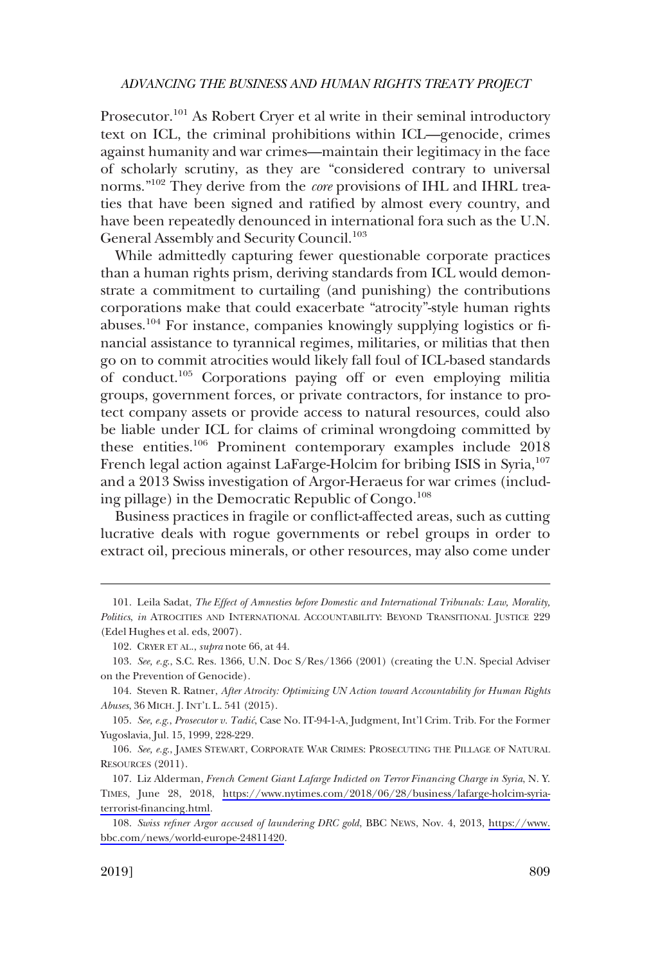Prosecutor.<sup>101</sup> As Robert Cryer et al write in their seminal introductory text on ICL, the criminal prohibitions within ICL—genocide, crimes against humanity and war crimes—maintain their legitimacy in the face of scholarly scrutiny, as they are "considered contrary to universal norms."102 They derive from the *core* provisions of IHL and IHRL treaties that have been signed and ratifed by almost every country, and have been repeatedly denounced in international fora such as the U.N. General Assembly and Security Council.<sup>103</sup>

While admittedly capturing fewer questionable corporate practices than a human rights prism, deriving standards from ICL would demonstrate a commitment to curtailing (and punishing) the contributions corporations make that could exacerbate "atrocity"-style human rights abuses.104 For instance, companies knowingly supplying logistics or fnancial assistance to tyrannical regimes, militaries, or militias that then go on to commit atrocities would likely fall foul of ICL-based standards of conduct.105 Corporations paying off or even employing militia groups, government forces, or private contractors, for instance to protect company assets or provide access to natural resources, could also be liable under ICL for claims of criminal wrongdoing committed by these entities.106 Prominent contemporary examples include 2018 French legal action against LaFarge-Holcim for bribing ISIS in Syria,<sup>107</sup> and a 2013 Swiss investigation of Argor-Heraeus for war crimes (including pillage) in the Democratic Republic of Congo. $^{108}$ 

Business practices in fragile or confict-affected areas, such as cutting lucrative deals with rogue governments or rebel groups in order to extract oil, precious minerals, or other resources, may also come under

105. *See, e.g*., *Prosecutor v. Tadic´*, Case No. IT-94-1-A, Judgment, Int'l Crim. Trib. For the Former Yugoslavia, Jul. 15, 1999, 228-229.

106. *See, e.g*., JAMES STEWART, CORPORATE WAR CRIMES: PROSECUTING THE PILLAGE OF NATURAL RESOURCES (2011).

<sup>101.</sup> Leila Sadat, *The Effect of Amnesties before Domestic and International Tribunals: Law, Morality, Politics*, *in* ATROCITIES AND INTERNATIONAL ACCOUNTABILITY: BEYOND TRANSITIONAL JUSTICE 229 (Edel Hughes et al. eds, 2007).

<sup>102.</sup> CRYER ET AL., *supra* note 66, at 44.

<sup>103.</sup> *See, e.g*., S.C. Res. 1366, U.N. Doc S/Res/1366 (2001) (creating the U.N. Special Adviser on the Prevention of Genocide).

<sup>104.</sup> Steven R. Ratner, *After Atrocity: Optimizing UN Action toward Accountability for Human Rights Abuses*, 36 MICH. J. INT'L L. 541 (2015).

<sup>107.</sup> Liz Alderman, *French Cement Giant Lafarge Indicted on Terror Financing Charge in Syria*, N.Y. TIMES, June 28, 2018, [https://www.nytimes.com/2018/06/28/business/lafarge-holcim-syria](https://www.nytimes.com/2018/06/28/business/lafarge-holcim-syria-terrorist-financing.html)[terrorist-fnancing.html.](https://www.nytimes.com/2018/06/28/business/lafarge-holcim-syria-terrorist-financing.html)

*Swiss refner Argor accused of laundering DRC gold*, BBC NEWS, Nov. 4, 2013, [https://www.](https://www.bbc.com/news/world-europe-24811420) 108. [bbc.com/news/world-europe-24811420](https://www.bbc.com/news/world-europe-24811420).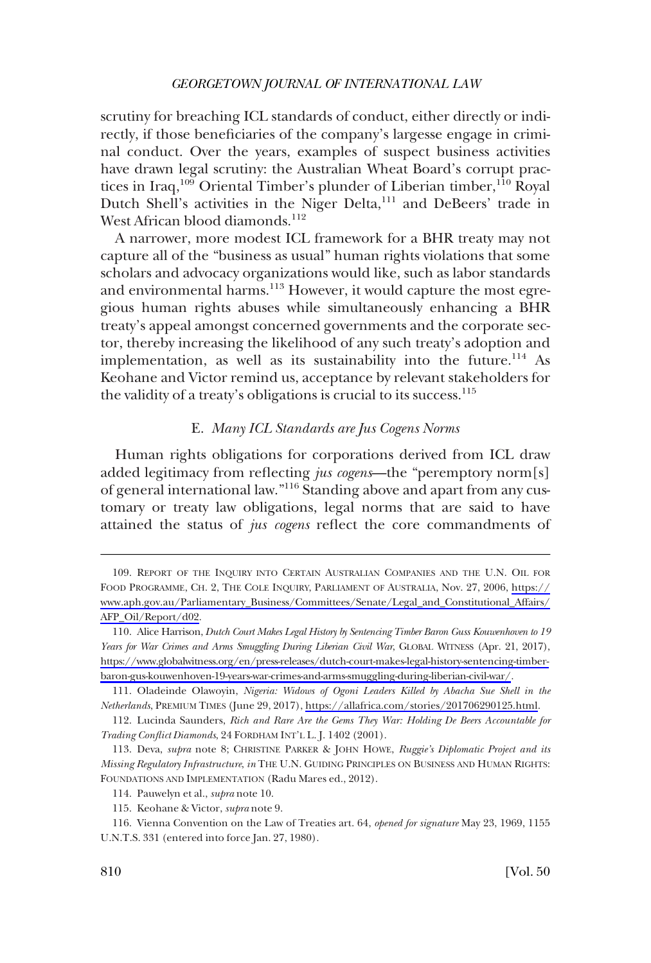<span id="page-21-0"></span>scrutiny for breaching ICL standards of conduct, either directly or indirectly, if those benefciaries of the company's largesse engage in criminal conduct. Over the years, examples of suspect business activities have drawn legal scrutiny: the Australian Wheat Board's corrupt practices in Iraq,<sup>109</sup> Oriental Timber's plunder of Liberian timber,<sup>110</sup> Royal Dutch Shell's activities in the Niger Delta,<sup>111</sup> and DeBeers' trade in West African blood diamonds. $112$ 

A narrower, more modest ICL framework for a BHR treaty may not capture all of the "business as usual" human rights violations that some scholars and advocacy organizations would like, such as labor standards and environmental harms.<sup>113</sup> However, it would capture the most egregious human rights abuses while simultaneously enhancing a BHR treaty's appeal amongst concerned governments and the corporate sector, thereby increasing the likelihood of any such treaty's adoption and implementation, as well as its sustainability into the future.<sup>114</sup> As Keohane and Victor remind us, acceptance by relevant stakeholders for the validity of a treaty's obligations is crucial to its success. $^{115}$ 

## E. *Many ICL Standards are Jus Cogens Norms*

Human rights obligations for corporations derived from ICL draw added legitimacy from refecting *jus cogens*—the "peremptory norm[s] of general international law."116 Standing above and apart from any customary or treaty law obligations, legal norms that are said to have attained the status of *jus cogens* refect the core commandments of

<sup>109.</sup> REPORT OF THE INQUIRY INTO CERTAIN AUSTRALIAN COMPANIES AND THE U.N. OIL FOR FOOD PROGRAMME, CH. 2, THE COLE INQUIRY, PARLIAMENT OF AUSTRALIA, Nov. 27, 2006, [https://](https://www.aph.gov.au/Parliamentary_Business/Committees/Senate/Legal_and_Constitutional_Affairs/AFP_Oil/Report/d02) [www.aph.gov.au/Parliamentary\\_Business/Committees/Senate/Legal\\_and\\_Constitutional\\_Affairs/](https://www.aph.gov.au/Parliamentary_Business/Committees/Senate/Legal_and_Constitutional_Affairs/AFP_Oil/Report/d02)  [AFP\\_Oil/Report/d02.](https://www.aph.gov.au/Parliamentary_Business/Committees/Senate/Legal_and_Constitutional_Affairs/AFP_Oil/Report/d02)

Alice Harrison, *Dutch Court Makes Legal History by Sentencing Timber Baron Guss Kouwenhoven to 19*  110. *Years for War Crimes and Arms Smuggling During Liberian Civil War*, GLOBAL WITNESS (Apr. 21, 2017), [https://www.globalwitness.org/en/press-releases/dutch-court-makes-legal-history-sentencing-timber](https://www.globalwitness.org/en/press-releases/dutch-court-makes-legal-history-sentencing-timber-baron-gus-kouwenhoven-19-years-war-crimes-and-arms-smuggling-during-liberian-civil-war/)[baron-gus-kouwenhoven-19-years-war-crimes-and-arms-smuggling-during-liberian-civil-war/.](https://www.globalwitness.org/en/press-releases/dutch-court-makes-legal-history-sentencing-timber-baron-gus-kouwenhoven-19-years-war-crimes-and-arms-smuggling-during-liberian-civil-war/)

<sup>111.</sup> Oladeinde Olawoyin, Nigeria: Widows of Ogoni Leaders Killed by Abacha Sue Shell in the *Netherlands*, PREMIUM TIMES (June 29, 2017), [https://allafrica.com/stories/201706290125.html.](https://allafrica.com/stories/201706290125.html)

<sup>112.</sup> Lucinda Saunders, *Rich and Rare Are the Gems They War: Holding De Beers Accountable for Trading Confict Diamonds*, 24 FORDHAM INT'L L. J. 1402 (2001).

<sup>113.</sup> Deva, *supra* note 8; CHRISTINE PARKER & JOHN HOWE, *Ruggie's Diplomatic Project and its Missing Regulatory Infrastructure*, *in* THE U.N. GUIDING PRINCIPLES ON BUSINESS AND HUMAN RIGHTS: FOUNDATIONS AND IMPLEMENTATION (Radu Mares ed., 2012).

<sup>114.</sup> Pauwelyn et al., *supra* note 10.

<sup>115.</sup> Keohane & Victor, *supra* note 9.

<sup>116.</sup> Vienna Convention on the Law of Treaties art. 64, *opened for signature* May 23, 1969, 1155 U.N.T.S. 331 (entered into force Jan. 27, 1980).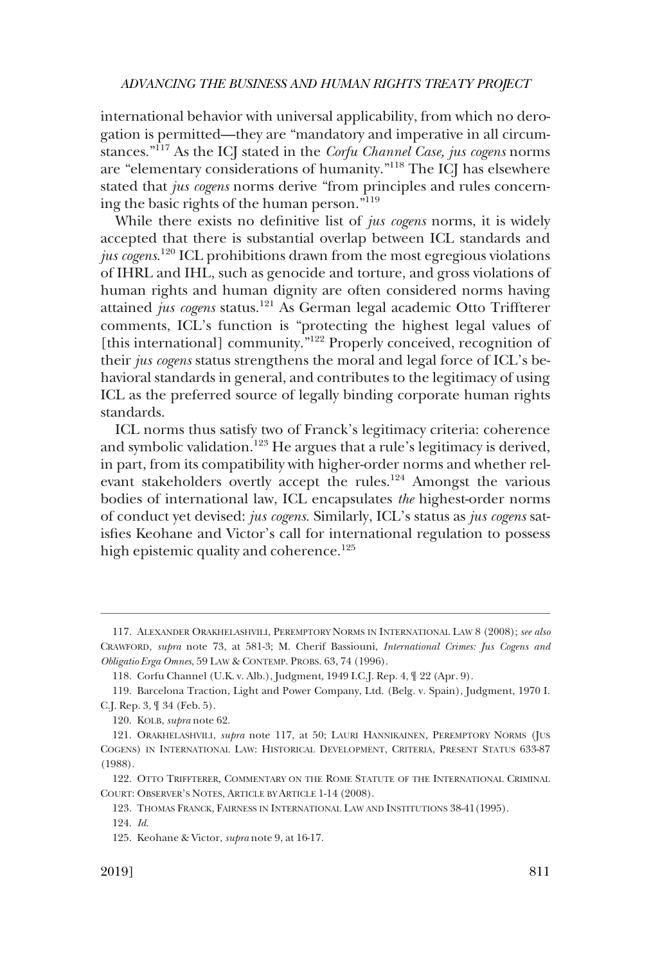international behavior with universal applicability, from which no derogation is permitted—they are "mandatory and imperative in all circumstances."117 As the ICJ stated in the *Corfu Channel Case, jus cogens* norms are "elementary considerations of humanity."118 The ICJ has elsewhere stated that *jus cogens* norms derive "from principles and rules concerning the basic rights of the human person."119

While there exists no defnitive list of *jus cogens* norms, it is widely accepted that there is substantial overlap between ICL standards and *jus cogens*. 120 ICL prohibitions drawn from the most egregious violations of IHRL and IHL, such as genocide and torture, and gross violations of human rights and human dignity are often considered norms having attained *jus cogens* status.121 As German legal academic Otto Triffterer comments, ICL's function is "protecting the highest legal values of [this international] community."<sup>122</sup> Properly conceived, recognition of their *jus cogens* status strengthens the moral and legal force of ICL's behavioral standards in general, and contributes to the legitimacy of using ICL as the preferred source of legally binding corporate human rights standards.

ICL norms thus satisfy two of Franck's legitimacy criteria: coherence and symbolic validation.<sup>123</sup> He argues that a rule's legitimacy is derived, in part, from its compatibility with higher-order norms and whether relevant stakeholders overtly accept the rules.<sup>124</sup> Amongst the various bodies of international law, ICL encapsulates *the* highest-order norms of conduct yet devised: *jus cogens*. Similarly, ICL's status as *jus cogens* satisfes Keohane and Victor's call for international regulation to possess high epistemic quality and coherence.<sup>125</sup>

<sup>117.</sup> ALEXANDER ORAKHELASHVILI, PEREMPTORY NORMS IN INTERNATIONAL LAW 8 (2008); *see also*  CRAWFORD, *supra* note 73, at 581-3; M. Cherif Bassiouni, *International Crimes: Jus Cogens and Obligatio Erga Omnes*, 59 LAW & CONTEMP. PROBS. 63, 74 (1996).

<sup>118.</sup> Corfu Channel (U.K. v. Alb.), Judgment, 1949 I.C.J. Rep. 4, ¶ 22 (Apr. 9).

<sup>119.</sup> Barcelona Traction, Light and Power Company, Ltd. (Belg. v. Spain), Judgment, 1970 I. C.J. Rep. 3, ¶ 34 (Feb. 5).

<sup>120.</sup> KOLB, *supra* note 62.

<sup>121.</sup> ORAKHELASHVILI, *supra* note 117, at 50; LAURI HANNIKAINEN, PEREMPTORY NORMS (JUS COGENS) IN INTERNATIONAL LAW: HISTORICAL DEVELOPMENT, CRITERIA, PRESENT STATUS 633-87 (1988).

<sup>122.</sup> OTTO TRIFFTERER, COMMENTARY ON THE ROME STATUTE OF THE INTERNATIONAL CRIMINAL COURT: OBSERVER'S NOTES, ARTICLE BY ARTICLE 1-14 (2008).

<sup>123.</sup> THOMAS FRANCK, FAIRNESS IN INTERNATIONAL LAW AND INSTITUTIONS 38-41(1995).

<sup>124.</sup> *Id*.

<sup>125.</sup> Keohane & Victor, *supra* note 9, at 16-17.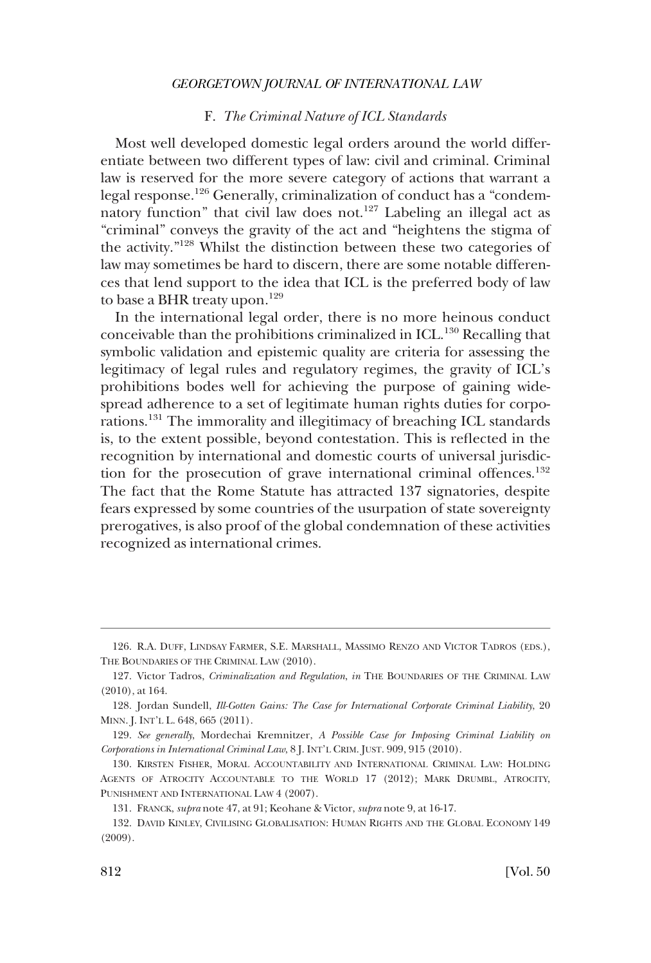## F. *The Criminal Nature of ICL Standards*

<span id="page-23-0"></span>Most well developed domestic legal orders around the world differentiate between two different types of law: civil and criminal. Criminal law is reserved for the more severe category of actions that warrant a legal response.126 Generally, criminalization of conduct has a "condemnatory function" that civil law does not.<sup>127</sup> Labeling an illegal act as "criminal" conveys the gravity of the act and "heightens the stigma of the activity."128 Whilst the distinction between these two categories of law may sometimes be hard to discern, there are some notable differences that lend support to the idea that ICL is the preferred body of law to base a BHR treaty upon.<sup>129</sup>

In the international legal order, there is no more heinous conduct conceivable than the prohibitions criminalized in ICL.<sup>130</sup> Recalling that symbolic validation and epistemic quality are criteria for assessing the legitimacy of legal rules and regulatory regimes, the gravity of ICL's prohibitions bodes well for achieving the purpose of gaining widespread adherence to a set of legitimate human rights duties for corporations.131 The immorality and illegitimacy of breaching ICL standards is, to the extent possible, beyond contestation. This is refected in the recognition by international and domestic courts of universal jurisdiction for the prosecution of grave international criminal offences.<sup>132</sup> The fact that the Rome Statute has attracted 137 signatories, despite fears expressed by some countries of the usurpation of state sovereignty prerogatives, is also proof of the global condemnation of these activities recognized as international crimes.

<sup>126.</sup> R.A. DUFF, LINDSAY FARMER, S.E. MARSHALL, MASSIMO RENZO AND VICTOR TADROS (EDS.), THE BOUNDARIES OF THE CRIMINAL LAW (2010).

<sup>127.</sup> Victor Tadros, *Criminalization and Regulation*, *in* THE BOUNDARIES OF THE CRIMINAL LAW (2010), at 164.

<sup>128.</sup> Jordan Sundell, *Ill-Gotten Gains: The Case for International Corporate Criminal Liability*, 20 MINN. J. INT'L L. 648, 665 (2011).

<sup>129.</sup> *See generally*, Mordechai Kremnitzer, *A Possible Case for Imposing Criminal Liability on Corporations in International Criminal Law*, 8 J. INT'L CRIM. JUST. 909, 915 (2010).

<sup>130.</sup> KIRSTEN FISHER, MORAL ACCOUNTABILITY AND INTERNATIONAL CRIMINAL LAW: HOLDING AGENTS OF ATROCITY ACCOUNTABLE TO THE WORLD 17 (2012); MARK DRUMBL, ATROCITY, PUNISHMENT AND INTERNATIONAL LAW 4 (2007).

<sup>131.</sup> FRANCK, *supra* note 47, at 91; Keohane & Victor, *supra* note 9, at 16-17.

<sup>132.</sup> DAVID KINLEY, CIVILISING GLOBALISATION: HUMAN RIGHTS AND THE GLOBAL ECONOMY 149 (2009).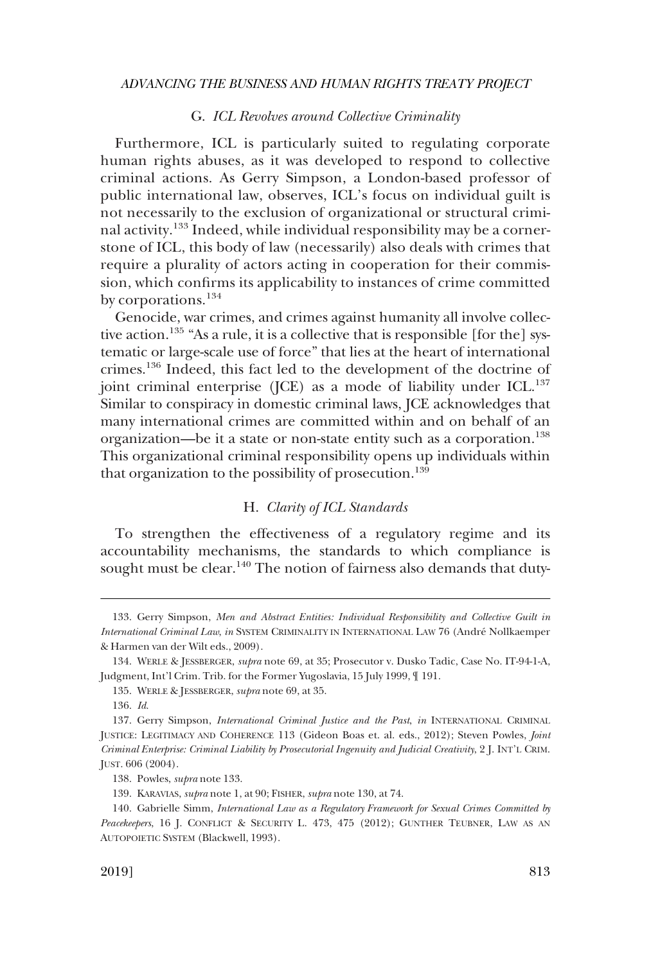#### G. *ICL Revolves around Collective Criminality*

<span id="page-24-0"></span>Furthermore, ICL is particularly suited to regulating corporate human rights abuses, as it was developed to respond to collective criminal actions. As Gerry Simpson, a London-based professor of public international law, observes, ICL's focus on individual guilt is not necessarily to the exclusion of organizational or structural criminal activity.133 Indeed, while individual responsibility may be a cornerstone of ICL, this body of law (necessarily) also deals with crimes that require a plurality of actors acting in cooperation for their commission, which confrms its applicability to instances of crime committed by corporations.<sup>134</sup>

Genocide, war crimes, and crimes against humanity all involve collective action.<sup>135</sup> "As a rule, it is a collective that is responsible [for the] systematic or large-scale use of force" that lies at the heart of international crimes.136 Indeed, this fact led to the development of the doctrine of joint criminal enterprise (JCE) as a mode of liability under ICL. $^{137}$ Similar to conspiracy in domestic criminal laws, JCE acknowledges that many international crimes are committed within and on behalf of an organization—be it a state or non-state entity such as a corporation.<sup>138</sup> This organizational criminal responsibility opens up individuals within that organization to the possibility of prosecution.<sup>139</sup>

#### H. *Clarity of ICL Standards*

To strengthen the effectiveness of a regulatory regime and its accountability mechanisms, the standards to which compliance is sought must be clear.<sup>140</sup> The notion of fairness also demands that duty-

<sup>133.</sup> Gerry Simpson, *Men and Abstract Entities: Individual Responsibility and Collective Guilt in International Criminal Law*, *in* SYSTEM CRIMINALITY IN INTERNATIONAL LAW 76 (Andre´ Nollkaemper & Harmen van der Wilt eds., 2009).

<sup>134.</sup> WERLE & JESSBERGER, *supra* note 69, at 35; Prosecutor v. Dusko Tadic, Case No. IT-94-1-A, Judgment, Int'l Crim. Trib. for the Former Yugoslavia, 15 July 1999, ¶ 191.

<sup>135.</sup> WERLE & JESSBERGER, *supra* note 69, at 35.

<sup>136.</sup> *Id*.

<sup>137.</sup> Gerry Simpson, *International Criminal Justice and the Past*, *in* INTERNATIONAL CRIMINAL JUSTICE: LEGITIMACY AND COHERENCE 113 (Gideon Boas et. al. eds., 2012); Steven Powles, *Joint Criminal Enterprise: Criminal Liability by Prosecutorial Ingenuity and Judicial Creativity*, 2 J. INT'L CRIM. JUST. 606 (2004).

<sup>138.</sup> Powles, *supra* note 133.

<sup>139.</sup> KARAVIAS, *supra* note 1, at 90; FISHER, *supra* note 130, at 74.

<sup>140.</sup> Gabrielle Simm, *International Law as a Regulatory Framework for Sexual Crimes Committed by Peacekeepers*, 16 J. CONFLICT & SECURITY L. 473, 475 (2012); GUNTHER TEUBNER, LAW AS AN AUTOPOIETIC SYSTEM (Blackwell, 1993).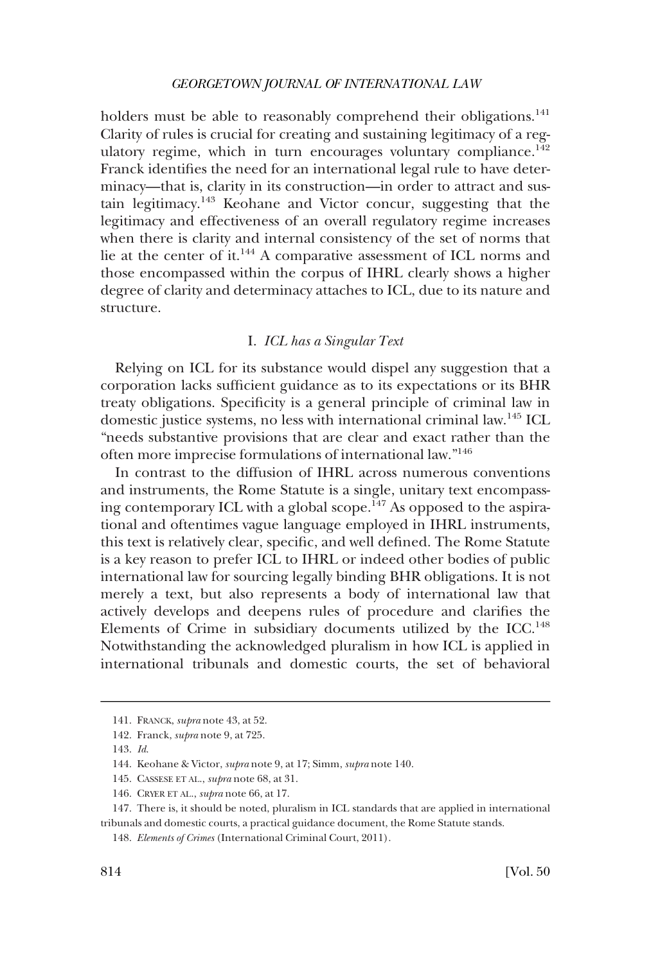<span id="page-25-0"></span>holders must be able to reasonably comprehend their obligations.<sup>141</sup> Clarity of rules is crucial for creating and sustaining legitimacy of a regulatory regime, which in turn encourages voluntary compliance.<sup>142</sup> Franck identifes the need for an international legal rule to have determinacy—that is, clarity in its construction—in order to attract and sustain legitimacy.143 Keohane and Victor concur, suggesting that the legitimacy and effectiveness of an overall regulatory regime increases when there is clarity and internal consistency of the set of norms that lie at the center of it.144 A comparative assessment of ICL norms and those encompassed within the corpus of IHRL clearly shows a higher degree of clarity and determinacy attaches to ICL, due to its nature and structure.

## I. *ICL has a Singular Text*

Relying on ICL for its substance would dispel any suggestion that a corporation lacks suffcient guidance as to its expectations or its BHR treaty obligations. Specifcity is a general principle of criminal law in domestic justice systems, no less with international criminal law.145 ICL "needs substantive provisions that are clear and exact rather than the often more imprecise formulations of international law."146

In contrast to the diffusion of IHRL across numerous conventions and instruments, the Rome Statute is a single, unitary text encompassing contemporary ICL with a global scope.<sup>147</sup> As opposed to the aspirational and oftentimes vague language employed in IHRL instruments, this text is relatively clear, specifc, and well defned. The Rome Statute is a key reason to prefer ICL to IHRL or indeed other bodies of public international law for sourcing legally binding BHR obligations. It is not merely a text, but also represents a body of international law that actively develops and deepens rules of procedure and clarifes the Elements of Crime in subsidiary documents utilized by the ICC.<sup>148</sup> Notwithstanding the acknowledged pluralism in how ICL is applied in international tribunals and domestic courts, the set of behavioral

<sup>141.</sup> FRANCK, *supra* note 43, at 52.

<sup>142.</sup> Franck, *supra* note 9, at 725.

<sup>143.</sup> *Id*.

<sup>144.</sup> Keohane & Victor, *supra* note 9, at 17; Simm, *supra* note 140.

<sup>145.</sup> CASSESE ET AL., *supra* note 68, at 31.

<sup>146.</sup> CRYER ET AL., *supra* note 66, at 17.

<sup>147.</sup> There is, it should be noted, pluralism in ICL standards that are applied in international tribunals and domestic courts, a practical guidance document, the Rome Statute stands.

<sup>148.</sup> *Elements of Crimes* (International Criminal Court, 2011).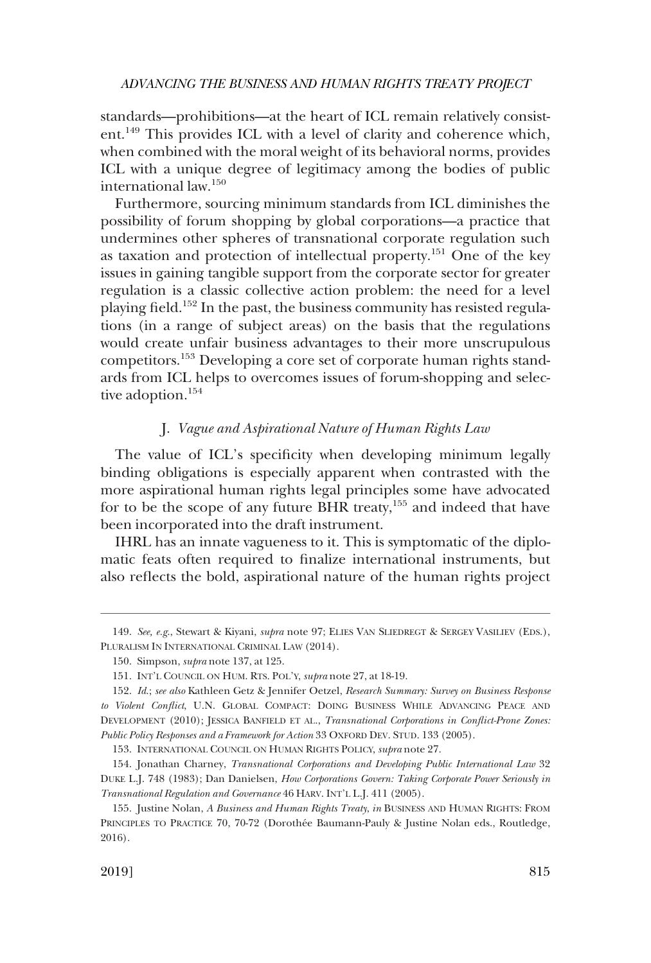<span id="page-26-0"></span>standards—prohibitions—at the heart of ICL remain relatively consistent.149 This provides ICL with a level of clarity and coherence which, when combined with the moral weight of its behavioral norms, provides ICL with a unique degree of legitimacy among the bodies of public international law.150

Furthermore, sourcing minimum standards from ICL diminishes the possibility of forum shopping by global corporations—a practice that undermines other spheres of transnational corporate regulation such as taxation and protection of intellectual property.151 One of the key issues in gaining tangible support from the corporate sector for greater regulation is a classic collective action problem: the need for a level playing feld.152 In the past, the business community has resisted regulations (in a range of subject areas) on the basis that the regulations would create unfair business advantages to their more unscrupulous competitors.153 Developing a core set of corporate human rights standards from ICL helps to overcomes issues of forum-shopping and selective adoption.<sup>154</sup>

## J. *Vague and Aspirational Nature of Human Rights Law*

The value of ICL's specifcity when developing minimum legally binding obligations is especially apparent when contrasted with the more aspirational human rights legal principles some have advocated for to be the scope of any future BHR treaty, $155$  and indeed that have been incorporated into the draft instrument.

IHRL has an innate vagueness to it. This is symptomatic of the diplomatic feats often required to fnalize international instruments, but also refects the bold, aspirational nature of the human rights project

<sup>149.</sup> *See, e.g*., Stewart & Kiyani, *supra* note 97; ELIES VAN SLIEDREGT & SERGEY VASILIEV (EDS.), PLURALISM IN INTERNATIONAL CRIMINAL LAW (2014).

<sup>150.</sup> Simpson, *supra* note 137, at 125.

<sup>151.</sup> INT'L COUNCIL ON HUM. RTS. POL'Y, *supra* note 27, at 18-19.

<sup>152.</sup> *Id*.; *see also* Kathleen Getz & Jennifer Oetzel, *Research Summary: Survey on Business Response to Violent Confict*, U.N. GLOBAL COMPACT: DOING BUSINESS WHILE ADVANCING PEACE AND DEVELOPMENT (2010); JESSICA BANFIELD ET AL., *Transnational Corporations in Confict-Prone Zones: Public Policy Responses and a Framework for Action* 33 OXFORD DEV. STUD. 133 (2005).

<sup>153.</sup> INTERNATIONAL COUNCIL ON HUMAN RIGHTS POLICY, *supra* note 27.

<sup>154.</sup> Jonathan Charney, *Transnational Corporations and Developing Public International Law* 32 DUKE L.J. 748 (1983); Dan Danielsen, *How Corporations Govern: Taking Corporate Power Seriously in Transnational Regulation and Governance* 46 HARV. INT'L L.J. 411 (2005).

<sup>155.</sup> Justine Nolan, *A Business and Human Rights Treaty*, *in* BUSINESS AND HUMAN RIGHTS: FROM PRINCIPLES TO PRACTICE 70, 70-72 (Dorothée Baumann-Pauly & Justine Nolan eds., Routledge, 2016).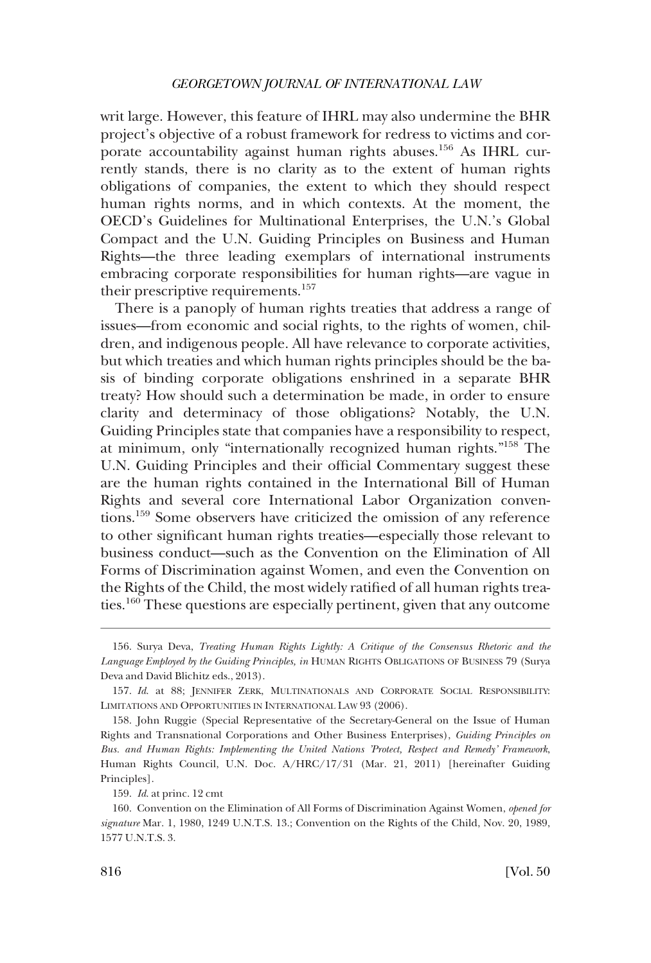writ large. However, this feature of IHRL may also undermine the BHR project's objective of a robust framework for redress to victims and corporate accountability against human rights abuses.<sup>156</sup> As IHRL currently stands, there is no clarity as to the extent of human rights obligations of companies, the extent to which they should respect human rights norms, and in which contexts. At the moment, the OECD's Guidelines for Multinational Enterprises, the U.N.'s Global Compact and the U.N. Guiding Principles on Business and Human Rights—the three leading exemplars of international instruments embracing corporate responsibilities for human rights—are vague in their prescriptive requirements.<sup>157</sup>

There is a panoply of human rights treaties that address a range of issues—from economic and social rights, to the rights of women, children, and indigenous people. All have relevance to corporate activities, but which treaties and which human rights principles should be the basis of binding corporate obligations enshrined in a separate BHR treaty? How should such a determination be made, in order to ensure clarity and determinacy of those obligations? Notably, the U.N. Guiding Principles state that companies have a responsibility to respect, at minimum, only "internationally recognized human rights."158 The U.N. Guiding Principles and their official Commentary suggest these are the human rights contained in the International Bill of Human Rights and several core International Labor Organization conventions.159 Some observers have criticized the omission of any reference to other signifcant human rights treaties—especially those relevant to business conduct—such as the Convention on the Elimination of All Forms of Discrimination against Women, and even the Convention on the Rights of the Child, the most widely ratifed of all human rights treaties.160 These questions are especially pertinent, given that any outcome

<sup>156.</sup> Surya Deva, *Treating Human Rights Lightly: A Critique of the Consensus Rhetoric and the Language Employed by the Guiding Principles, in* HUMAN RIGHTS OBLIGATIONS OF BUSINESS 79 (Surya Deva and David Blichitz eds., 2013).

<sup>157.</sup> *Id*. at 88; JENNIFER ZERK, MULTINATIONALS AND CORPORATE SOCIAL RESPONSIBILITY: LIMITATIONS AND OPPORTUNITIES IN INTERNATIONAL LAW 93 (2006).

<sup>158.</sup> John Ruggie (Special Representative of the Secretary-General on the Issue of Human Rights and Transnational Corporations and Other Business Enterprises), *Guiding Principles on Bus. and Human Rights: Implementing the United Nations 'Protect, Respect and Remedy' Framework*, Human Rights Council, U.N. Doc. A/HRC/17/31 (Mar. 21, 2011) [hereinafter Guiding Principles].

<sup>159.</sup> *Id*. at princ. 12 cmt

<sup>160.</sup> Convention on the Elimination of All Forms of Discrimination Against Women, *opened for signature* Mar. 1, 1980, 1249 U.N.T.S. 13.; Convention on the Rights of the Child, Nov. 20, 1989, 1577 U.N.T.S. 3.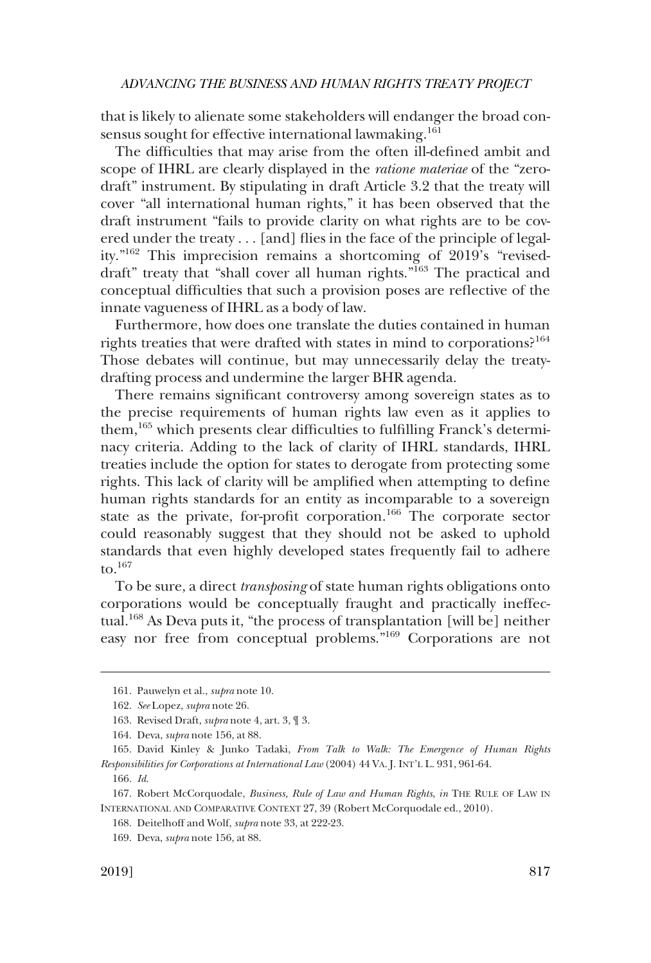that is likely to alienate some stakeholders will endanger the broad consensus sought for effective international lawmaking.<sup>161</sup>

The diffculties that may arise from the often ill-defned ambit and scope of IHRL are clearly displayed in the *ratione materiae* of the "zerodraft" instrument. By stipulating in draft Article 3.2 that the treaty will cover "all international human rights," it has been observed that the draft instrument "fails to provide clarity on what rights are to be covered under the treaty . . . [and] fies in the face of the principle of legality."162 This imprecision remains a shortcoming of 2019's "reviseddraft" treaty that "shall cover all human rights."<sup>163</sup> The practical and conceptual diffculties that such a provision poses are refective of the innate vagueness of IHRL as a body of law.

Furthermore, how does one translate the duties contained in human rights treaties that were drafted with states in mind to corporations?<sup>164</sup> Those debates will continue, but may unnecessarily delay the treatydrafting process and undermine the larger BHR agenda.

There remains signifcant controversy among sovereign states as to the precise requirements of human rights law even as it applies to them,<sup>165</sup> which presents clear difficulties to fulfilling Franck's determinacy criteria. Adding to the lack of clarity of IHRL standards, IHRL treaties include the option for states to derogate from protecting some rights. This lack of clarity will be amplifed when attempting to defne human rights standards for an entity as incomparable to a sovereign state as the private, for-proft corporation.166 The corporate sector could reasonably suggest that they should not be asked to uphold standards that even highly developed states frequently fail to adhere to. $167$ 

To be sure, a direct *transposing* of state human rights obligations onto corporations would be conceptually fraught and practically ineffectual.168 As Deva puts it, "the process of transplantation [will be] neither easy nor free from conceptual problems."169 Corporations are not

<sup>161.</sup> Pauwelyn et al., *supra* note 10.

<sup>162.</sup> *See* Lopez, *supra* note 26.

<sup>163.</sup> Revised Draft, *supra* note 4, art. 3, ¶ 3.

<sup>164.</sup> Deva, *supra* note 156, at 88.

<sup>165.</sup> David Kinley & Junko Tadaki, *From Talk to Walk: The Emergence of Human Rights Responsibilities for Corporations at International Law* (2004) 44 VA. J. INT'L L. 931, 961-64.

<sup>166.</sup> *Id*.

<sup>167.</sup> Robert McCorquodale, *Business, Rule of Law and Human Rights*, *in* THE RULE OF LAW IN INTERNATIONAL AND COMPARATIVE CONTEXT 27, 39 (Robert McCorquodale ed., 2010).

<sup>168.</sup> Deitelhoff and Wolf, *supra* note 33, at 222-23.

<sup>169.</sup> Deva, *supra* note 156, at 88.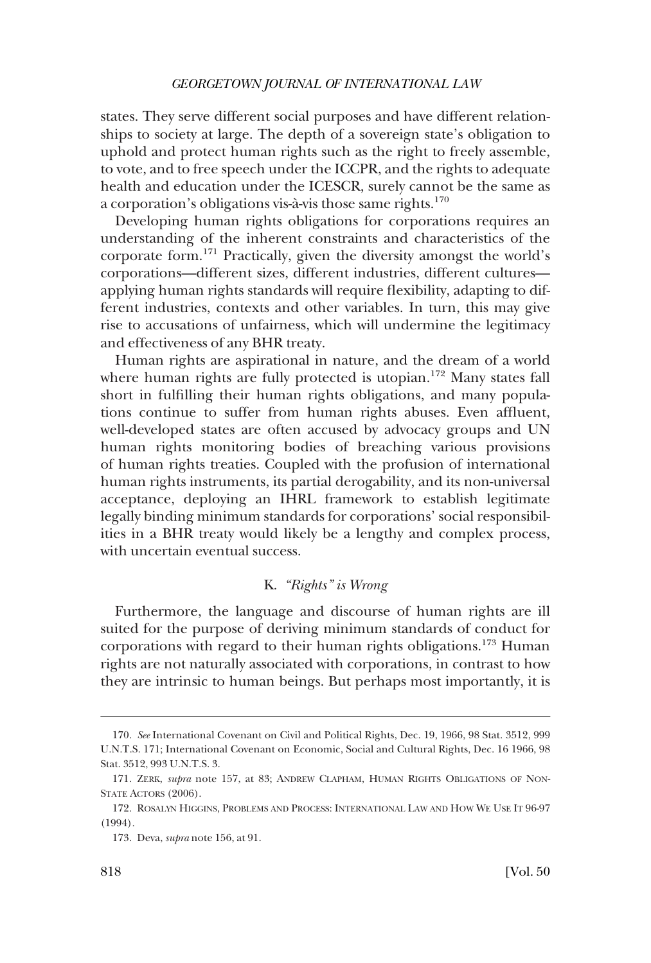<span id="page-29-0"></span>states. They serve different social purposes and have different relationships to society at large. The depth of a sovereign state's obligation to uphold and protect human rights such as the right to freely assemble, to vote, and to free speech under the ICCPR, and the rights to adequate health and education under the ICESCR, surely cannot be the same as a corporation's obligations vis-à-vis those same rights.<sup>170</sup>

Developing human rights obligations for corporations requires an understanding of the inherent constraints and characteristics of the corporate form.171 Practically, given the diversity amongst the world's corporations—different sizes, different industries, different cultures applying human rights standards will require fexibility, adapting to different industries, contexts and other variables. In turn, this may give rise to accusations of unfairness, which will undermine the legitimacy and effectiveness of any BHR treaty.

Human rights are aspirational in nature, and the dream of a world where human rights are fully protected is utopian.<sup>172</sup> Many states fall short in fulflling their human rights obligations, and many populations continue to suffer from human rights abuses. Even affuent, well-developed states are often accused by advocacy groups and UN human rights monitoring bodies of breaching various provisions of human rights treaties. Coupled with the profusion of international human rights instruments, its partial derogability, and its non-universal acceptance, deploying an IHRL framework to establish legitimate legally binding minimum standards for corporations' social responsibilities in a BHR treaty would likely be a lengthy and complex process, with uncertain eventual success.

## K. *"Rights" is Wrong*

Furthermore, the language and discourse of human rights are ill suited for the purpose of deriving minimum standards of conduct for corporations with regard to their human rights obligations.173 Human rights are not naturally associated with corporations, in contrast to how they are intrinsic to human beings. But perhaps most importantly, it is

<sup>170.</sup> *See* International Covenant on Civil and Political Rights, Dec. 19, 1966, 98 Stat. 3512, 999 U.N.T.S. 171; International Covenant on Economic, Social and Cultural Rights, Dec. 16 1966, 98 Stat. 3512, 993 U.N.T.S. 3.

<sup>171.</sup> ZERK, *supra* note 157, at 83; ANDREW CLAPHAM, HUMAN RIGHTS OBLIGATIONS OF NON-STATE ACTORS (2006).

<sup>172.</sup> ROSALYN HIGGINS, PROBLEMS AND PROCESS: INTERNATIONAL LAW AND HOW WE USE IT 96-97 (1994).

<sup>173.</sup> Deva, *supra* note 156, at 91.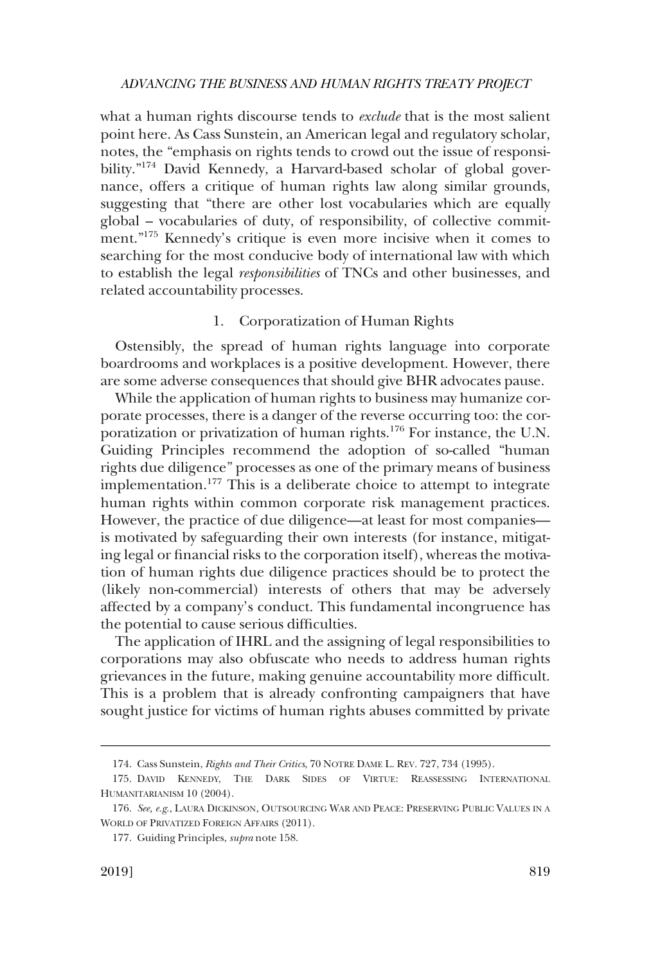<span id="page-30-0"></span>what a human rights discourse tends to *exclude* that is the most salient point here. As Cass Sunstein, an American legal and regulatory scholar, notes, the "emphasis on rights tends to crowd out the issue of responsibility."<sup>174</sup> David Kennedy, a Harvard-based scholar of global governance, offers a critique of human rights law along similar grounds, suggesting that "there are other lost vocabularies which are equally global – vocabularies of duty, of responsibility, of collective commitment."175 Kennedy's critique is even more incisive when it comes to searching for the most conducive body of international law with which to establish the legal *responsibilities* of TNCs and other businesses, and related accountability processes.

#### 1. Corporatization of Human Rights

Ostensibly, the spread of human rights language into corporate boardrooms and workplaces is a positive development. However, there are some adverse consequences that should give BHR advocates pause.

While the application of human rights to business may humanize corporate processes, there is a danger of the reverse occurring too: the corporatization or privatization of human rights.<sup>176</sup> For instance, the U.N. Guiding Principles recommend the adoption of so-called "human rights due diligence" processes as one of the primary means of business implementation.177 This is a deliberate choice to attempt to integrate human rights within common corporate risk management practices. However, the practice of due diligence—at least for most companies is motivated by safeguarding their own interests (for instance, mitigating legal or fnancial risks to the corporation itself), whereas the motivation of human rights due diligence practices should be to protect the (likely non-commercial) interests of others that may be adversely affected by a company's conduct. This fundamental incongruence has the potential to cause serious diffculties.

The application of IHRL and the assigning of legal responsibilities to corporations may also obfuscate who needs to address human rights grievances in the future, making genuine accountability more diffcult. This is a problem that is already confronting campaigners that have sought justice for victims of human rights abuses committed by private

<sup>174.</sup> Cass Sunstein, *Rights and Their Critics*, 70 NOTRE DAME L. REV. 727, 734 (1995).

<sup>175.</sup> DAVID KENNEDY, THE DARK SIDES OF VIRTUE: REASSESSING INTERNATIONAL HUMANITARIANISM 10 (2004).

<sup>176.</sup> *See, e.g*., LAURA DICKINSON, OUTSOURCING WAR AND PEACE: PRESERVING PUBLIC VALUES IN A WORLD OF PRIVATIZED FOREIGN AFFAIRS (2011).

<sup>177.</sup> Guiding Principles, *supra* note 158.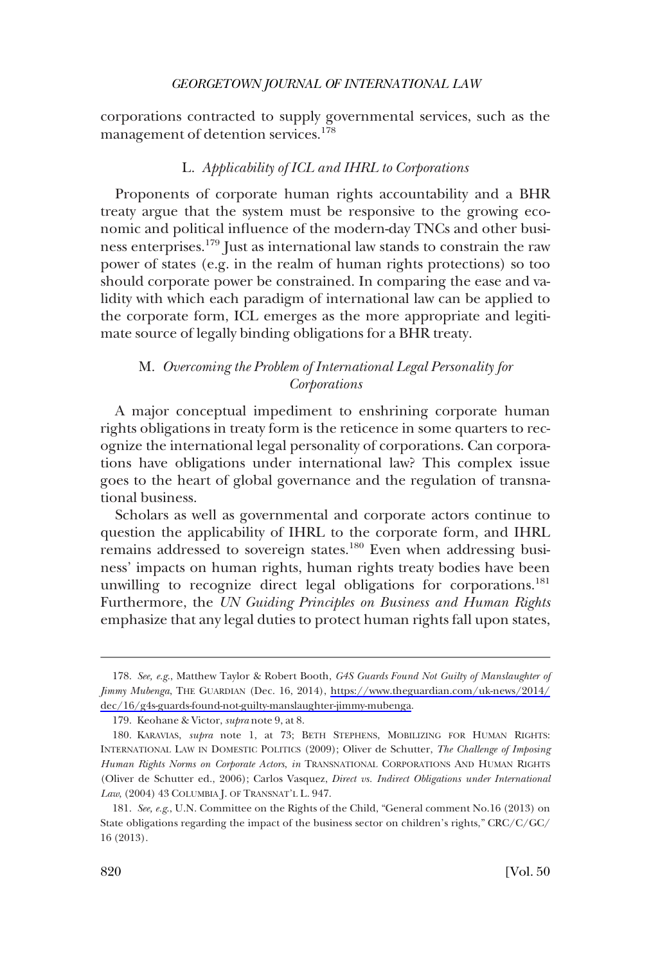<span id="page-31-0"></span>corporations contracted to supply governmental services, such as the management of detention services.<sup>178</sup>

## L. *Applicability of ICL and IHRL to Corporations*

Proponents of corporate human rights accountability and a BHR treaty argue that the system must be responsive to the growing economic and political infuence of the modern-day TNCs and other business enterprises.<sup>179</sup> Just as international law stands to constrain the raw power of states (e.g. in the realm of human rights protections) so too should corporate power be constrained. In comparing the ease and validity with which each paradigm of international law can be applied to the corporate form, ICL emerges as the more appropriate and legitimate source of legally binding obligations for a BHR treaty.

## M. *Overcoming the Problem of International Legal Personality for Corporations*

A major conceptual impediment to enshrining corporate human rights obligations in treaty form is the reticence in some quarters to recognize the international legal personality of corporations. Can corporations have obligations under international law? This complex issue goes to the heart of global governance and the regulation of transnational business.

Scholars as well as governmental and corporate actors continue to question the applicability of IHRL to the corporate form, and IHRL remains addressed to sovereign states.<sup>180</sup> Even when addressing business' impacts on human rights, human rights treaty bodies have been unwilling to recognize direct legal obligations for corporations.<sup>181</sup> Furthermore, the *UN Guiding Principles on Business and Human Rights*  emphasize that any legal duties to protect human rights fall upon states,

*See, e.g*., Matthew Taylor & Robert Booth, *G4S Guards Found Not Guilty of Manslaughter of*  178. *Jimmy Mubenga*, THE GUARDIAN (Dec. 16, 2014), [https://www.theguardian.com/uk-news/2014/](https://www.theguardian.com/uk-news/2014/dec/16/g4s-guards-found-not-guilty-manslaughter-jimmy-mubenga)  [dec/16/g4s-guards-found-not-guilty-manslaughter-jimmy-mubenga](https://www.theguardian.com/uk-news/2014/dec/16/g4s-guards-found-not-guilty-manslaughter-jimmy-mubenga).

<sup>179.</sup> Keohane & Victor, *supra* note 9, at 8.

<sup>180.</sup> KARAVIAS, *supra* note 1, at 73; BETH STEPHENS, MOBILIZING FOR HUMAN RIGHTS: INTERNATIONAL LAW IN DOMESTIC POLITICS (2009); Oliver de Schutter, *The Challenge of Imposing Human Rights Norms on Corporate Actors*, *in* TRANSNATIONAL CORPORATIONS AND HUMAN RIGHTS (Oliver de Schutter ed., 2006); Carlos Vasquez, *Direct vs. Indirect Obligations under International Law*, (2004) 43 COLUMBIA J. OF TRANSNAT'L L. 947.

<sup>181.</sup> *See, e.g*., U.N. Committee on the Rights of the Child, "General comment No.16 (2013) on State obligations regarding the impact of the business sector on children's rights," CRC/C/GC/ 16 (2013).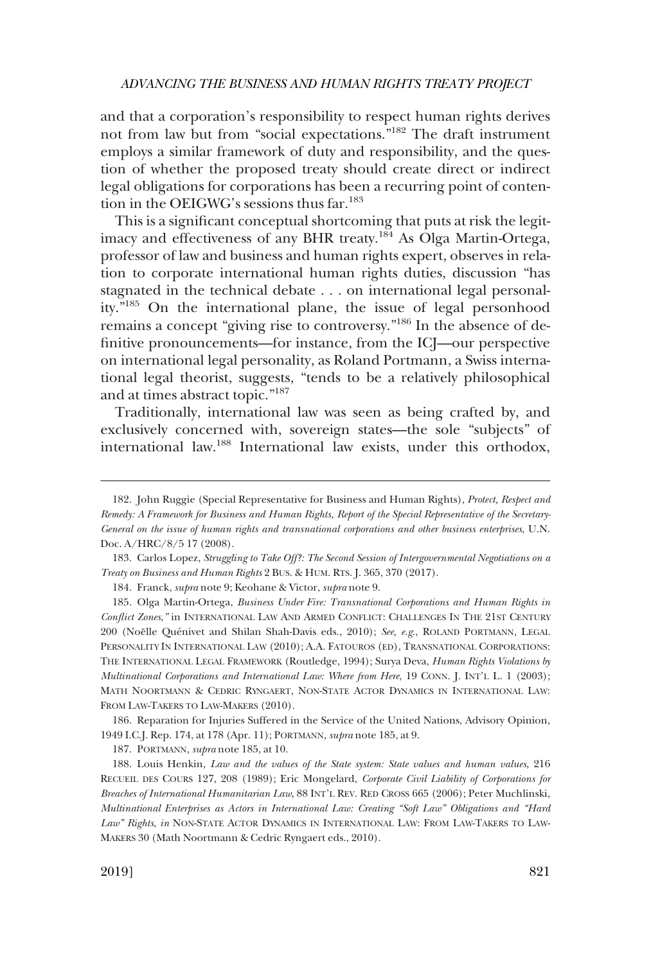and that a corporation's responsibility to respect human rights derives not from law but from "social expectations."182 The draft instrument employs a similar framework of duty and responsibility, and the question of whether the proposed treaty should create direct or indirect legal obligations for corporations has been a recurring point of contention in the OEIGWG's sessions thus far.<sup>183</sup>

This is a signifcant conceptual shortcoming that puts at risk the legitimacy and effectiveness of any BHR treaty.<sup>184</sup> As Olga Martin-Ortega, professor of law and business and human rights expert, observes in relation to corporate international human rights duties, discussion "has stagnated in the technical debate . . . on international legal personality."185 On the international plane, the issue of legal personhood remains a concept "giving rise to controversy."186 In the absence of defnitive pronouncements—for instance, from the ICJ—our perspective on international legal personality, as Roland Portmann, a Swiss international legal theorist, suggests, "tends to be a relatively philosophical and at times abstract topic."<sup>187</sup>

Traditionally, international law was seen as being crafted by, and exclusively concerned with, sovereign states—the sole "subjects" of international law.188 International law exists, under this orthodox,

184. Franck, *supra* note 9; Keohane & Victor, *supra* note 9.

186. Reparation for Injuries Suffered in the Service of the United Nations, Advisory Opinion, 1949 I.C.J. Rep. 174, at 178 (Apr. 11); PORTMANN, *supra* note 185, at 9.

187. PORTMANN, *supra* note 185, at 10.

<sup>182.</sup> John Ruggie (Special Representative for Business and Human Rights), *Protect, Respect and Remedy: A Framework for Business and Human Rights, Report of the Special Representative of the Secretary-General on the issue of human rights and transnational corporations and other business enterprises*, U.N. Doc. A/HRC/8/5 17 (2008).

<sup>183.</sup> Carlos Lopez, *Struggling to Take Off?: The Second Session of Intergovernmental Negotiations on a Treaty on Business and Human Rights* 2 BUS. & HUM. RTS. J. 365, 370 (2017).

<sup>185.</sup> Olga Martin-Ortega, *Business Under Fire: Transnational Corporations and Human Rights in Confict Zones*,*"* in INTERNATIONAL LAW AND ARMED CONFLICT: CHALLENGES IN THE 21ST CENTURY 200 (Noëlle Quénivet and Shilan Shah-Davis eds., 2010); *See, e.g.*, ROLAND PORTMANN, LEGAL PERSONALITY IN INTERNATIONAL LAW (2010); A.A. FATOUROS (ED), TRANSNATIONAL CORPORATIONS: THE INTERNATIONAL LEGAL FRAMEWORK (Routledge, 1994); Surya Deva, *Human Rights Violations by Multinational Corporations and International Law: Where from Here*, 19 CONN. J. INT'L L. 1 (2003); MATH NOORTMANN & CEDRIC RYNGAERT, NON-STATE ACTOR DYNAMICS IN INTERNATIONAL LAW: FROM LAW-TAKERS TO LAW-MAKERS (2010).

<sup>188.</sup> Louis Henkin, *Law and the values of the State system: State values and human values*, 216 RECUEIL DES COURS 127, 208 (1989); Eric Mongelard, *Corporate Civil Liability of Corporations for Breaches of International Humanitarian Law*, 88 INT'L REV. RED CROSS 665 (2006); Peter Muchlinski, *Multinational Enterprises as Actors in International Law: Creating "Soft Law" Obligations and "Hard Law" Rights*, *in* NON-STATE ACTOR DYNAMICS IN INTERNATIONAL LAW: FROM LAW-TAKERS TO LAW-MAKERS 30 (Math Noortmann & Cedric Ryngaert eds., 2010).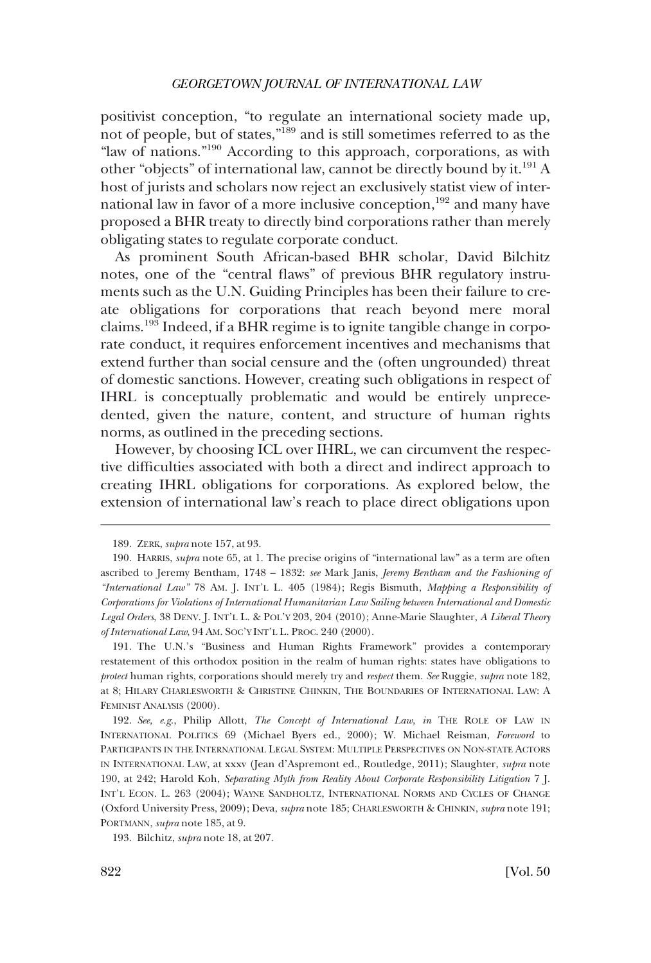positivist conception, "to regulate an international society made up, not of people, but of states,"189 and is still sometimes referred to as the "law of nations."190 According to this approach, corporations, as with other "objects" of international law, cannot be directly bound by it.191 A host of jurists and scholars now reject an exclusively statist view of international law in favor of a more inclusive conception,<sup>192</sup> and many have proposed a BHR treaty to directly bind corporations rather than merely obligating states to regulate corporate conduct.

As prominent South African-based BHR scholar, David Bilchitz notes, one of the "central faws" of previous BHR regulatory instruments such as the U.N. Guiding Principles has been their failure to create obligations for corporations that reach beyond mere moral claims.193 Indeed, if a BHR regime is to ignite tangible change in corporate conduct, it requires enforcement incentives and mechanisms that extend further than social censure and the (often ungrounded) threat of domestic sanctions. However, creating such obligations in respect of IHRL is conceptually problematic and would be entirely unprecedented, given the nature, content, and structure of human rights norms, as outlined in the preceding sections.

However, by choosing ICL over IHRL, we can circumvent the respective diffculties associated with both a direct and indirect approach to creating IHRL obligations for corporations. As explored below, the extension of international law's reach to place direct obligations upon

193. Bilchitz, *supra* note 18, at 207.

<sup>189.</sup> ZERK, *supra* note 157, at 93.

<sup>190.</sup> HARRIS, *supra* note 65, at 1. The precise origins of "international law" as a term are often ascribed to Jeremy Bentham, 1748 – 1832: *see* Mark Janis, *Jeremy Bentham and the Fashioning of "International Law"* 78 AM. J. INT'L L. 405 (1984); Regis Bismuth, *Mapping a Responsibility of Corporations for Violations of International Humanitarian Law Sailing between International and Domestic Legal Orders*, 38 DENV. J. INT'L L. & POL'Y 203, 204 (2010); Anne-Marie Slaughter, *A Liberal Theory of International Law*, 94 AM. SOC'Y INT'L L. PROC. 240 (2000).

<sup>191.</sup> The U.N.'s "Business and Human Rights Framework" provides a contemporary restatement of this orthodox position in the realm of human rights: states have obligations to *protect* human rights, corporations should merely try and *respect* them. *See* Ruggie, *supra* note 182, at 8; HILARY CHARLESWORTH & CHRISTINE CHINKIN, THE BOUNDARIES OF INTERNATIONAL LAW: A FEMINIST ANALYSIS (2000).

<sup>192.</sup> *See, e.g*., Philip Allott, *The Concept of International Law*, *in* THE ROLE OF LAW IN INTERNATIONAL POLITICS 69 (Michael Byers ed., 2000); W. Michael Reisman, *Foreword* to PARTICIPANTS IN THE INTERNATIONAL LEGAL SYSTEM: MULTIPLE PERSPECTIVES ON NON-STATE ACTORS IN INTERNATIONAL LAW, at xxxv (Jean d'Aspremont ed., Routledge, 2011); Slaughter, *supra* note 190, at 242; Harold Koh, *Separating Myth from Reality About Corporate Responsibility Litigation* 7 J. INT'L ECON. L. 263 (2004); WAYNE SANDHOLTZ, INTERNATIONAL NORMS AND CYCLES OF CHANGE (Oxford University Press, 2009); Deva, *supra* note 185; CHARLESWORTH & CHINKIN, *supra* note 191; PORTMANN, *supra* note 185, at 9.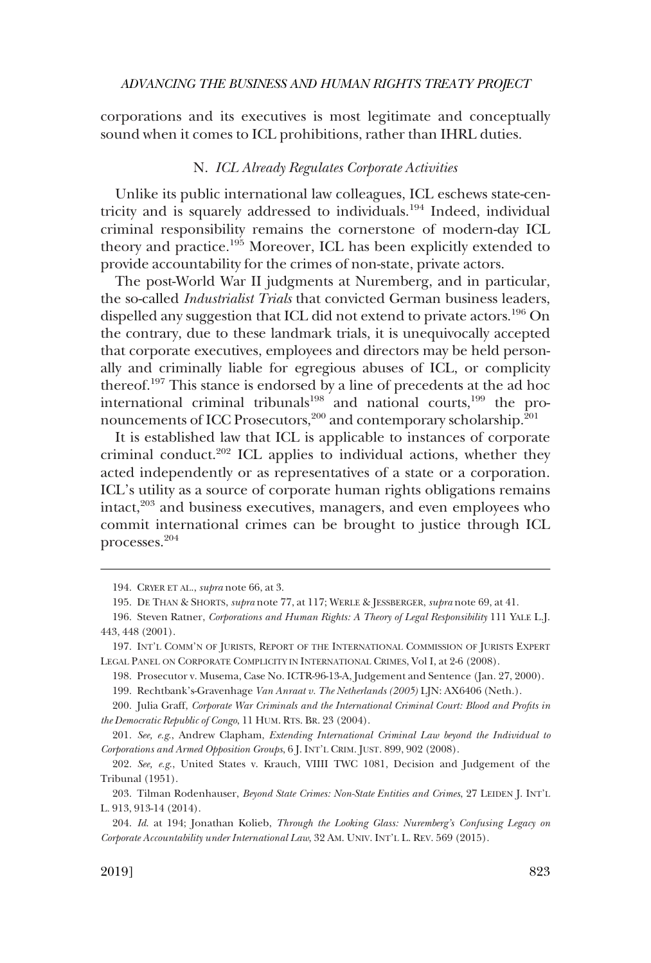<span id="page-34-0"></span>corporations and its executives is most legitimate and conceptually sound when it comes to ICL prohibitions, rather than IHRL duties.

#### N. *ICL Already Regulates Corporate Activities*

Unlike its public international law colleagues, ICL eschews state-centricity and is squarely addressed to individuals.194 Indeed, individual criminal responsibility remains the cornerstone of modern-day ICL theory and practice.<sup>195</sup> Moreover, ICL has been explicitly extended to provide accountability for the crimes of non-state, private actors.

The post-World War II judgments at Nuremberg, and in particular, the so-called *Industrialist Trials* that convicted German business leaders, dispelled any suggestion that ICL did not extend to private actors.<sup>196</sup> On the contrary, due to these landmark trials, it is unequivocally accepted that corporate executives, employees and directors may be held personally and criminally liable for egregious abuses of ICL, or complicity thereof.<sup>197</sup> This stance is endorsed by a line of precedents at the ad hoc international criminal tribunals<sup>198</sup> and national courts,<sup>199</sup> the pronouncements of ICC Prosecutors,<sup>200</sup> and contemporary scholarship.<sup>201</sup>

It is established law that ICL is applicable to instances of corporate criminal conduct.<sup>202</sup> ICL applies to individual actions, whether they acted independently or as representatives of a state or a corporation. ICL's utility as a source of corporate human rights obligations remains intact,<sup>203</sup> and business executives, managers, and even employees who commit international crimes can be brought to justice through ICL processes.204

<sup>194.</sup> CRYER ET AL., *supra* note 66, at 3.

<sup>195.</sup> DE THAN & SHORTS, *supra* note 77, at 117; WERLE & JESSBERGER, *supra* note 69, at 41.

<sup>196.</sup> Steven Ratner, *Corporations and Human Rights: A Theory of Legal Responsibility* 111 YALE L.J. 443, 448 (2001).

<sup>197.</sup> INT'L COMM'N OF JURISTS, REPORT OF THE INTERNATIONAL COMMISSION OF JURISTS EXPERT LEGAL PANEL ON CORPORATE COMPLICITY IN INTERNATIONAL CRIMES, Vol I, at 2-6 (2008).

<sup>198.</sup> Prosecutor v. Musema, Case No. ICTR-96-13-A, Judgement and Sentence (Jan. 27, 2000).

<sup>199.</sup> Rechtbank's-Gravenhage *Van Anraat v. The Netherlands (2005)* LJN: AX6406 (Neth.).

<sup>200.</sup> Julia Graff, *Corporate War Criminals and the International Criminal Court: Blood and Profts in the Democratic Republic of Congo*, 11 HUM. RTS. BR. 23 (2004).

<sup>201.</sup> *See, e.g*., Andrew Clapham, *Extending International Criminal Law beyond the Individual to Corporations and Armed Opposition Groups*, 6 J. INT'L CRIM. JUST. 899, 902 (2008).

<sup>202.</sup> *See, e.g*., United States v. Krauch, VIIII TWC 1081, Decision and Judgement of the Tribunal (1951).

<sup>203.</sup> Tilman Rodenhauser, *Beyond State Crimes: Non-State Entities and Crimes*, 27 LEIDEN J. INT'L L. 913, 913-14 (2014).

<sup>204.</sup> *Id*. at 194; Jonathan Kolieb, *Through the Looking Glass: Nuremberg's Confusing Legacy on Corporate Accountability under International Law*, 32 AM. UNIV. INT'L L. REV. 569 (2015).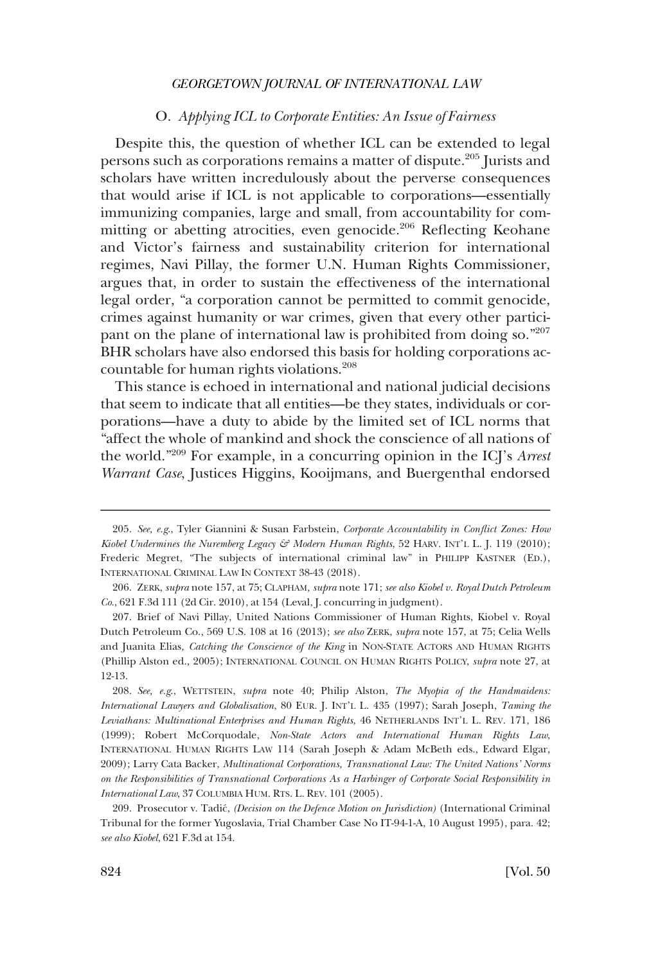### O. *Applying ICL to Corporate Entities: An Issue of Fairness*

<span id="page-35-0"></span>Despite this, the question of whether ICL can be extended to legal persons such as corporations remains a matter of dispute.205 Jurists and scholars have written incredulously about the perverse consequences that would arise if ICL is not applicable to corporations—essentially immunizing companies, large and small, from accountability for committing or abetting atrocities, even genocide.<sup>206</sup> Reflecting Keohane and Victor's fairness and sustainability criterion for international regimes, Navi Pillay, the former U.N. Human Rights Commissioner, argues that, in order to sustain the effectiveness of the international legal order, "a corporation cannot be permitted to commit genocide, crimes against humanity or war crimes, given that every other participant on the plane of international law is prohibited from doing so."207 BHR scholars have also endorsed this basis for holding corporations accountable for human rights violations.<sup>208</sup>

This stance is echoed in international and national judicial decisions that seem to indicate that all entities—be they states, individuals or corporations—have a duty to abide by the limited set of ICL norms that "affect the whole of mankind and shock the conscience of all nations of the world."209 For example, in a concurring opinion in the ICJ's *Arrest Warrant Case*, Justices Higgins, Kooijmans, and Buergenthal endorsed

208. *See, e.g*., WETTSTEIN, *supra* note 40; Philip Alston, *The Myopia of the Handmaidens: International Lawyers and Globalisation*, 80 EUR. J. INT'L L. 435 (1997); Sarah Joseph, *Taming the Leviathans: Multinational Enterprises and Human Rights*, 46 NETHERLANDS INT'L L. REV. 171, 186 (1999); Robert McCorquodale, *Non-State Actors and International Human Rights Law*, INTERNATIONAL HUMAN RIGHTS LAW 114 (Sarah Joseph & Adam McBeth eds., Edward Elgar, 2009); Larry Cata Backer, *Multinational Corporations, Transnational Law: The United Nations' Norms on the Responsibilities of Transnational Corporations As a Harbinger of Corporate Social Responsibility in International Law*, 37 COLUMBIA HUM. RTS. L. REV. 101 (2005).

<sup>205.</sup> *See, e.g*., Tyler Giannini & Susan Farbstein, *Corporate Accountability in Confict Zones: How Kiobel Undermines the Nuremberg Legacy & Modern Human Rights*, 52 HARV. INT'L L. J. 119 (2010); Frederic Megret, "The subjects of international criminal law" in PHILIPP KASTNER (ED.), INTERNATIONAL CRIMINAL LAW IN CONTEXT 38-43 (2018).

<sup>206.</sup> ZERK, *supra* note 157, at 75; CLAPHAM*, supra* note 171; *see also Kiobel v. Royal Dutch Petroleum Co*., 621 F.3d 111 (2d Cir. 2010), at 154 (Leval, J. concurring in judgment).

<sup>207.</sup> Brief of Navi Pillay, United Nations Commissioner of Human Rights, Kiobel v. Royal Dutch Petroleum Co., 569 U.S. 108 at 16 (2013); *see also* ZERK, *supra* note 157, at 75; Celia Wells and Juanita Elias*, Catching the Conscience of the King* in NON-STATE ACTORS AND HUMAN RIGHTS (Phillip Alston ed., 2005); INTERNATIONAL COUNCIL ON HUMAN RIGHTS POLICY, *supra* note 27, at 12-13.

<sup>209.</sup> Prosecutor v. Tadic´, *(Decision on the Defence Motion on Jurisdiction)* (International Criminal Tribunal for the former Yugoslavia, Trial Chamber Case No IT-94-1-A, 10 August 1995), para. 42; *see also Kiobel*, 621 F.3d at 154.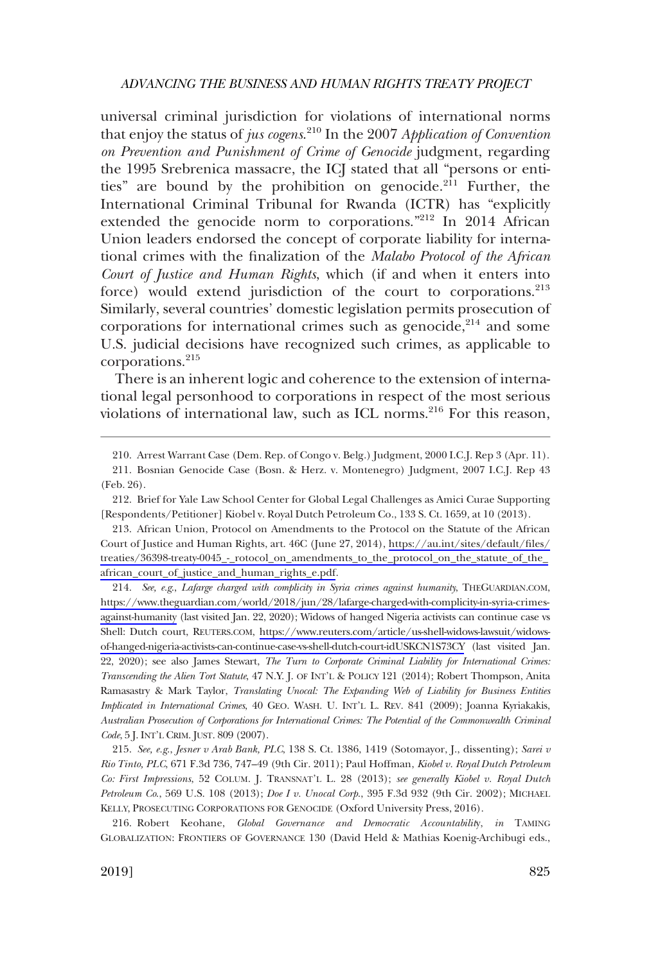universal criminal jurisdiction for violations of international norms that enjoy the status of *jus cogens*. 210 In the 2007 *Application of Convention on Prevention and Punishment of Crime of Genocide* judgment, regarding the 1995 Srebrenica massacre, the ICJ stated that all "persons or entities" are bound by the prohibition on genocide. $2^{11}$  Further, the International Criminal Tribunal for Rwanda (ICTR) has "explicitly extended the genocide norm to corporations."212 In 2014 African Union leaders endorsed the concept of corporate liability for international crimes with the fnalization of the *Malabo Protocol of the African Court of Justice and Human Rights*, which (if and when it enters into force) would extend jurisdiction of the court to corporations.<sup>213</sup> Similarly, several countries' domestic legislation permits prosecution of corporations for international crimes such as genocide, $2^{14}$  and some U.S. judicial decisions have recognized such crimes, as applicable to corporations.215

There is an inherent logic and coherence to the extension of international legal personhood to corporations in respect of the most serious violations of international law, such as ICL norms.<sup>216</sup> For this reason,

*See, e.g*., *Lafarge charged with complicity in Syria crimes against humanity*, THEGUARDIAN.COM, 214. [https://www.theguardian.com/world/2018/jun/28/lafarge-charged-with-complicity-in-syria-crimes](https://www.theguardian.com/world/2018/jun/28/lafarge-charged-with-complicity-in-syria-crimes-against-humanity)[against-humanity](https://www.theguardian.com/world/2018/jun/28/lafarge-charged-with-complicity-in-syria-crimes-against-humanity) (last visited Jan. 22, 2020); Widows of hanged Nigeria activists can continue case vs Shell: Dutch court, REUTERS.COM, [https://www.reuters.com/article/us-shell-widows-lawsuit/widows](https://www.reuters.com/article/us-shell-widows-lawsuit/widows-of-hanged-nigeria-activists-can-continue-case-vs-shell-dutch-court-idUSKCN1S73CY)[of-hanged-nigeria-activists-can-continue-case-vs-shell-dutch-court-idUSKCN1S73CY](https://www.reuters.com/article/us-shell-widows-lawsuit/widows-of-hanged-nigeria-activists-can-continue-case-vs-shell-dutch-court-idUSKCN1S73CY) (last visited Jan. 22, 2020); see also James Stewart, *The Turn to Corporate Criminal Liability for International Crimes: Transcending the Alien Tort Statute*, 47 N.Y. J. OF INT'L & POLICY 121 (2014); Robert Thompson, Anita Ramasastry & Mark Taylor, *Translating Unocal: The Expanding Web of Liability for Business Entities Implicated in International Crimes*, 40 GEO. WASH. U. INT'L L. REV. 841 (2009); Joanna Kyriakakis, *Australian Prosecution of Corporations for International Crimes: The Potential of the Commonwealth Criminal Code*, 5 J. INT'L CRIM. JUST. 809 (2007).

215. *See, e.g*., *Jesner v Arab Bank, PLC*, 138 S. Ct. 1386, 1419 (Sotomayor, J., dissenting); *Sarei v Rio Tinto, PLC*, 671 F.3d 736, 747–49 (9th Cir. 2011); Paul Hoffman, *Kiobel v. Royal Dutch Petroleum Co: First Impressions*, 52 COLUM. J. TRANSNAT'L L. 28 (2013); *see generally Kiobel v. Royal Dutch Petroleum Co*., 569 U.S. 108 (2013); *Doe I v. Unocal Corp*., 395 F.3d 932 (9th Cir. 2002); MICHAEL KELLY, PROSECUTING CORPORATIONS FOR GENOCIDE (Oxford University Press, 2016).

216. Robert Keohane, *Global Governance and Democratic Accountabilit*y, *in* TAMING GLOBALIZATION: FRONTIERS OF GOVERNANCE 130 (David Held & Mathias Koenig-Archibugi eds.,

<sup>210.</sup> Arrest Warrant Case (Dem. Rep. of Congo v. Belg.) Judgment, 2000 I.C.J. Rep 3 (Apr. 11).

<sup>211.</sup> Bosnian Genocide Case (Bosn. & Herz. v. Montenegro) Judgment, 2007 I.C.J. Rep 43 (Feb. 26).

<sup>212.</sup> Brief for Yale Law School Center for Global Legal Challenges as Amici Curae Supporting [Respondents/Petitioner] Kiobel v. Royal Dutch Petroleum Co., 133 S. Ct. 1659, at 10 (2013).

African Union, Protocol on Amendments to the Protocol on the Statute of the African 213. Court of Justice and Human Rights, art. 46C (June 27, 2014), [https://au.int/sites/default/fles/](https://au.int/sites/default/files/treaties/36398-treaty-0045_-_protocol_on_amendments_to_the_protocol_on_the_statute_of_the_african_court_of_justice_and_human_rights_e.pdf)  [treaties/36398-treaty-0045\\_-\\_rotocol\\_on\\_amendments\\_to\\_the\\_protocol\\_on\\_the\\_statute\\_of\\_the\\_](https://au.int/sites/default/files/treaties/36398-treaty-0045_-_protocol_on_amendments_to_the_protocol_on_the_statute_of_the_african_court_of_justice_and_human_rights_e.pdf) [african\\_court\\_of\\_justice\\_and\\_human\\_rights\\_e.pdf.](https://au.int/sites/default/files/treaties/36398-treaty-0045_-_protocol_on_amendments_to_the_protocol_on_the_statute_of_the_african_court_of_justice_and_human_rights_e.pdf)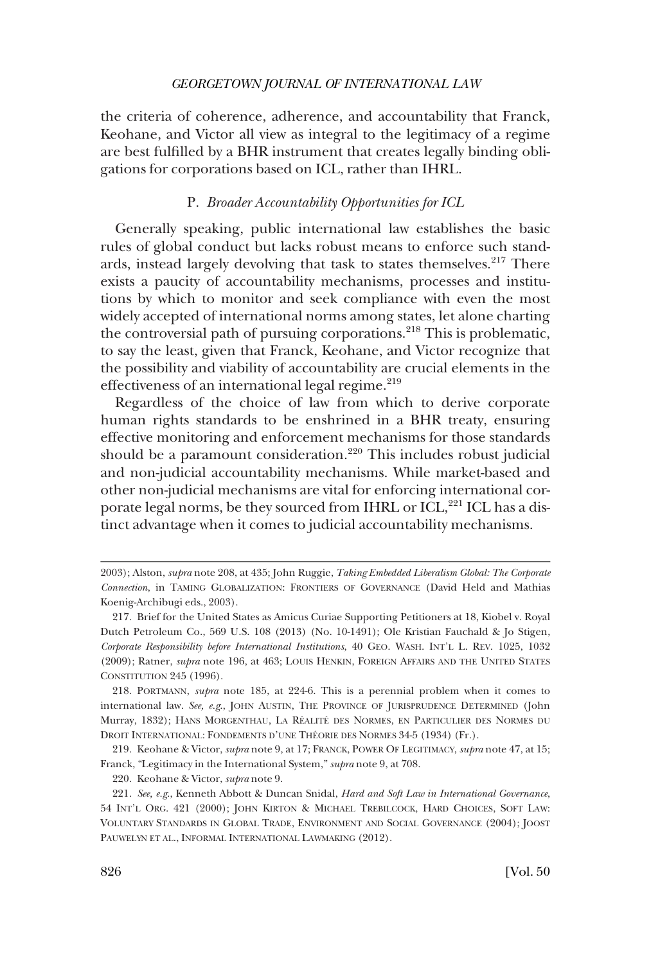<span id="page-37-0"></span>the criteria of coherence, adherence, and accountability that Franck, Keohane, and Victor all view as integral to the legitimacy of a regime are best fulflled by a BHR instrument that creates legally binding obligations for corporations based on ICL, rather than IHRL.

#### P. *Broader Accountability Opportunities for ICL*

Generally speaking, public international law establishes the basic rules of global conduct but lacks robust means to enforce such standards, instead largely devolving that task to states themselves.<sup>217</sup> There exists a paucity of accountability mechanisms, processes and institutions by which to monitor and seek compliance with even the most widely accepted of international norms among states, let alone charting the controversial path of pursuing corporations.<sup>218</sup> This is problematic, to say the least, given that Franck, Keohane, and Victor recognize that the possibility and viability of accountability are crucial elements in the effectiveness of an international legal regime.<sup>219</sup>

Regardless of the choice of law from which to derive corporate human rights standards to be enshrined in a BHR treaty, ensuring effective monitoring and enforcement mechanisms for those standards should be a paramount consideration.<sup>220</sup> This includes robust judicial and non-judicial accountability mechanisms. While market-based and other non-judicial mechanisms are vital for enforcing international corporate legal norms, be they sourced from IHRL or ICL,<sup>221</sup> ICL has a distinct advantage when it comes to judicial accountability mechanisms.

<sup>2003);</sup> Alston, *supra* note 208, at 435; John Ruggie, *Taking Embedded Liberalism Global: The Corporate Connection*, in TAMING GLOBALIZATION: FRONTIERS OF GOVERNANCE (David Held and Mathias Koenig-Archibugi eds., 2003).

<sup>217.</sup> Brief for the United States as Amicus Curiae Supporting Petitioners at 18, Kiobel v. Royal Dutch Petroleum Co., 569 U.S. 108 (2013) (No. 10-1491); Ole Kristian Fauchald & Jo Stigen, *Corporate Responsibility before International Institutions*, 40 GEO. WASH. INT'L L. REV. 1025, 1032 (2009); Ratner, *supra* note 196, at 463; LOUIS HENKIN, FOREIGN AFFAIRS AND THE UNITED STATES CONSTITUTION 245 (1996).

<sup>218.</sup> PORTMANN, *supra* note 185, at 224-6. This is a perennial problem when it comes to international law. *See, e.g*., JOHN AUSTIN, THE PROVINCE OF JURISPRUDENCE DETERMINED (John Murray, 1832); HANS MORGENTHAU, LA RÉALITÉ DES NORMES, EN PARTICULIER DES NORMES DU DROIT INTERNATIONAL: FONDEMENTS D'UNE THÉORIE DES NORMES 34-5 (1934) (Fr.).

<sup>219.</sup> Keohane & Victor, *supra* note 9, at 17; FRANCK, POWER OF LEGITIMACY, *supra* note 47, at 15; Franck, "Legitimacy in the International System," *supra* note 9, at 708.

<sup>220.</sup> Keohane & Victor, *supra* note 9.

<sup>221.</sup> *See, e.g*., Kenneth Abbott & Duncan Snidal, *Hard and Soft Law in International Governance*, 54 INT'L ORG. 421 (2000); JOHN KIRTON & MICHAEL TREBILCOCK, HARD CHOICES, SOFT LAW: VOLUNTARY STANDARDS IN GLOBAL TRADE, ENVIRONMENT AND SOCIAL GOVERNANCE (2004); JOOST PAUWELYN ET AL., INFORMAL INTERNATIONAL LAWMAKING (2012).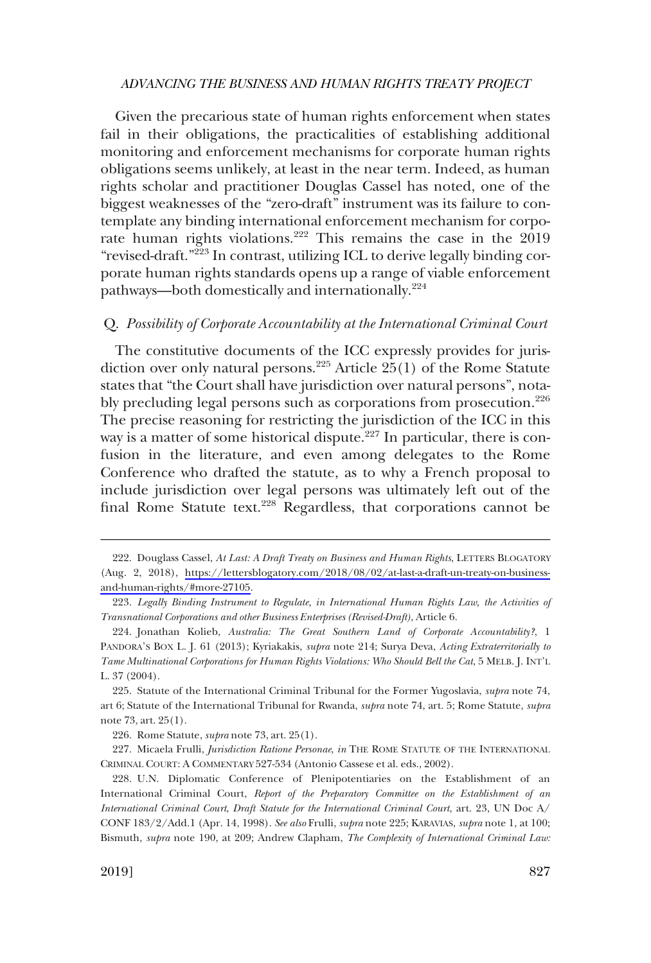<span id="page-38-0"></span>Given the precarious state of human rights enforcement when states fail in their obligations, the practicalities of establishing additional monitoring and enforcement mechanisms for corporate human rights obligations seems unlikely, at least in the near term. Indeed, as human rights scholar and practitioner Douglas Cassel has noted, one of the biggest weaknesses of the "zero-draft" instrument was its failure to contemplate any binding international enforcement mechanism for corporate human rights violations.<sup>222</sup> This remains the case in the 2019 "revised-draft."223 In contrast, utilizing ICL to derive legally binding corporate human rights standards opens up a range of viable enforcement pathways—both domestically and internationally.<sup>224</sup>

#### Q. *Possibility of Corporate Accountability at the International Criminal Court*

The constitutive documents of the ICC expressly provides for jurisdiction over only natural persons.<sup>225</sup> Article  $25(1)$  of the Rome Statute states that "the Court shall have jurisdiction over natural persons", notably precluding legal persons such as corporations from prosecution.<sup>226</sup> The precise reasoning for restricting the jurisdiction of the ICC in this way is a matter of some historical dispute.<sup>227</sup> In particular, there is confusion in the literature, and even among delegates to the Rome Conference who drafted the statute, as to why a French proposal to include jurisdiction over legal persons was ultimately left out of the final Rome Statute text.<sup>228</sup> Regardless, that corporations cannot be

<sup>222.</sup> Douglass Cassel, *At Last: A Draft Treaty on Business and Human Rights*, LETTERS BLOGATORY (Aug. 2, 2018), [https://lettersblogatory.com/2018/08/02/at-last-a-draft-un-treaty-on-business](https://lettersblogatory.com/2018/08/02/at-last-a-draft-un-treaty-on-business-and-human-rights/#more-27105)[and-human-rights/#more-27105.](https://lettersblogatory.com/2018/08/02/at-last-a-draft-un-treaty-on-business-and-human-rights/#more-27105)

<sup>223.</sup> *Legally Binding Instrument to Regulate, in International Human Rights Law, the Activities of Transnational Corporations and other Business Enterprises (Revised-Draft)*, Article 6.

<sup>224.</sup> Jonathan Kolieb, *Australia: The Great Southern Land of Corporate Accountability?*, 1 PANDORA'S BOX L. J. 61 (2013); Kyriakakis, *supra* note 214; Surya Deva, *Acting Extraterritorially to Tame Multinational Corporations for Human Rights Violations: Who Should Bell the Cat*, 5 MELB. J. INT'L L. 37 (2004).

<sup>225.</sup> Statute of the International Criminal Tribunal for the Former Yugoslavia, *supra* note 74, art 6; Statute of the International Tribunal for Rwanda, *supra* note 74, art. 5; Rome Statute, *supra*  note 73, art. 25(1).

<sup>226.</sup> Rome Statute, *supra* note 73, art. 25(1).

<sup>227.</sup> Micaela Frulli, *Jurisdiction Ratione Personae*, *in* THE ROME STATUTE OF THE INTERNATIONAL CRIMINAL COURT: A COMMENTARY 527-534 (Antonio Cassese et al. eds., 2002).

<sup>228.</sup> U.N. Diplomatic Conference of Plenipotentiaries on the Establishment of an International Criminal Court, *Report of the Preparatory Committee on the Establishment of an International Criminal Court*, *Draft Statute for the International Criminal Court*, art. 23, UN Doc A/ CONF 183/2/Add.1 (Apr. 14, 1998). *See also* Frulli, *supra* note 225; KARAVIAS, *supra* note 1, at 100; Bismuth, *supra* note 190, at 209; Andrew Clapham, *The Complexity of International Criminal Law:*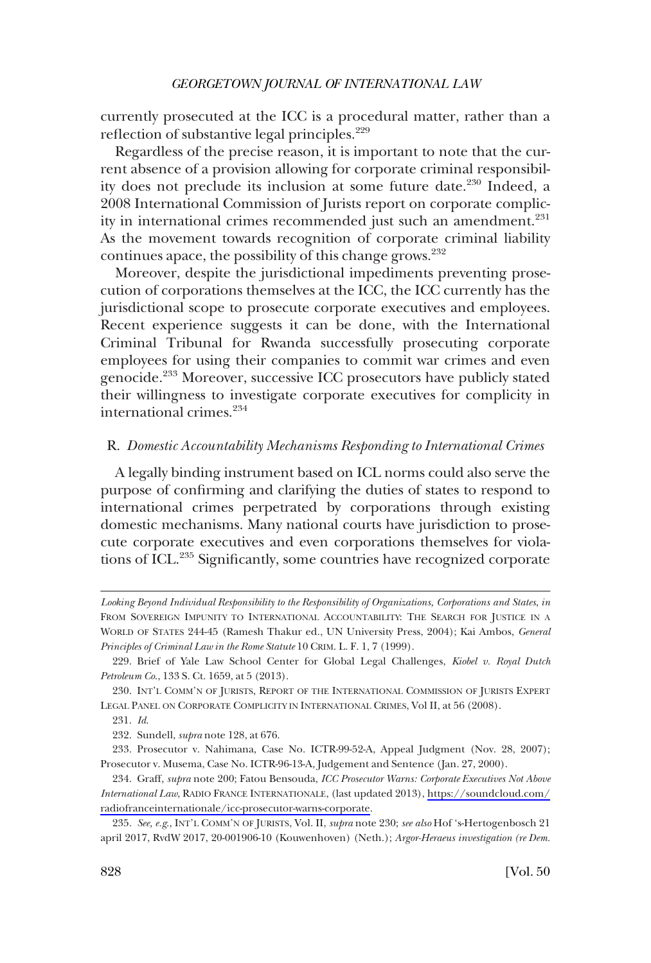<span id="page-39-0"></span>currently prosecuted at the ICC is a procedural matter, rather than a reflection of substantive legal principles.<sup>229</sup>

Regardless of the precise reason, it is important to note that the current absence of a provision allowing for corporate criminal responsibility does not preclude its inclusion at some future date.<sup>230</sup> Indeed, a 2008 International Commission of Jurists report on corporate complicity in international crimes recommended just such an amendment.<sup>231</sup> As the movement towards recognition of corporate criminal liability continues apace, the possibility of this change grows.232

Moreover, despite the jurisdictional impediments preventing prosecution of corporations themselves at the ICC, the ICC currently has the jurisdictional scope to prosecute corporate executives and employees. Recent experience suggests it can be done, with the International Criminal Tribunal for Rwanda successfully prosecuting corporate employees for using their companies to commit war crimes and even genocide.233 Moreover, successive ICC prosecutors have publicly stated their willingness to investigate corporate executives for complicity in international crimes.234

#### R. *Domestic Accountability Mechanisms Responding to International Crimes*

A legally binding instrument based on ICL norms could also serve the purpose of confrming and clarifying the duties of states to respond to international crimes perpetrated by corporations through existing domestic mechanisms. Many national courts have jurisdiction to prosecute corporate executives and even corporations themselves for violations of ICL.235 Signifcantly, some countries have recognized corporate

231. *Id*.

*Looking Beyond Individual Responsibility to the Responsibility of Organizations, Corporations and States*, *in*  FROM SOVEREIGN IMPUNITY TO INTERNATIONAL ACCOUNTABILITY: THE SEARCH FOR JUSTICE IN A WORLD OF STATES 244-45 (Ramesh Thakur ed., UN University Press, 2004); Kai Ambos, *General Principles of Criminal Law in the Rome Statute* 10 CRIM. L. F. 1, 7 (1999).

<sup>229.</sup> Brief of Yale Law School Center for Global Legal Challenges, *Kiobel v. Royal Dutch Petroleum Co*., 133 S. Ct. 1659, at 5 (2013).

<sup>230.</sup> INT'L COMM'N OF JURISTS, REPORT OF THE INTERNATIONAL COMMISSION OF JURISTS EXPERT LEGAL PANEL ON CORPORATE COMPLICITY IN INTERNATIONAL CRIMES, Vol II, at 56 (2008).

<sup>232.</sup> Sundell, *supra* note 128, at 676.

<sup>233.</sup> Prosecutor v. Nahimana, Case No. ICTR-99-52-A, Appeal Judgment (Nov. 28, 2007); Prosecutor v. Musema, Case No. ICTR-96-13-A, Judgement and Sentence (Jan. 27, 2000).

<sup>234.</sup> Graff, *supra* note 200; Fatou Bensouda, *ICC Prosecutor Warns: Corporate Executives Not Above International Law*, RADIO FRANCE INTERNATIONALE, (last updated 2013), [https://soundcloud.com/](https://soundcloud.com/radiofranceinternationale/icc-prosecutor-warns-corporate) [radiofranceinternationale/icc-prosecutor-warns-corporate](https://soundcloud.com/radiofranceinternationale/icc-prosecutor-warns-corporate).

*See, e.g*., INT'L COMM'N OF JURISTS, Vol. II, *supra* note 230; *see also* Hof 's-Hertogenbosch 21 235. april 2017, RvdW 2017, 20-001906-10 (Kouwenhoven) (Neth.); *Argor-Heraeus investigation (re Dem.*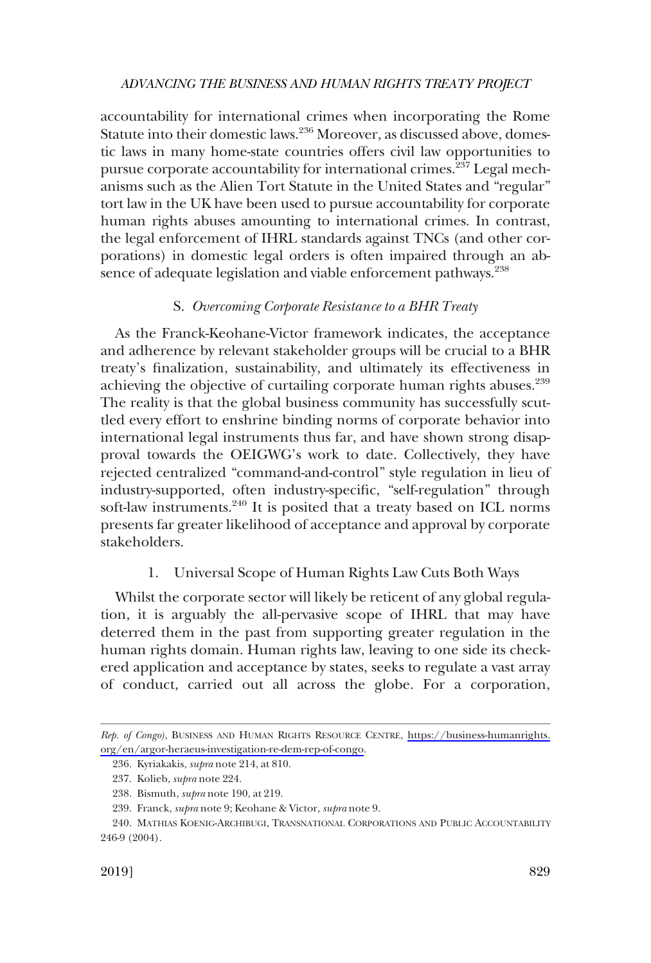<span id="page-40-0"></span>accountability for international crimes when incorporating the Rome Statute into their domestic laws.<sup>236</sup> Moreover, as discussed above, domestic laws in many home-state countries offers civil law opportunities to pursue corporate accountability for international crimes.<sup>237</sup> Legal mechanisms such as the Alien Tort Statute in the United States and "regular" tort law in the UK have been used to pursue accountability for corporate human rights abuses amounting to international crimes. In contrast, the legal enforcement of IHRL standards against TNCs (and other corporations) in domestic legal orders is often impaired through an absence of adequate legislation and viable enforcement pathways.<sup>238</sup>

### S. *Overcoming Corporate Resistance to a BHR Treaty*

As the Franck-Keohane-Victor framework indicates, the acceptance and adherence by relevant stakeholder groups will be crucial to a BHR treaty's fnalization, sustainability, and ultimately its effectiveness in achieving the objective of curtailing corporate human rights abuses.<sup>239</sup> The reality is that the global business community has successfully scuttled every effort to enshrine binding norms of corporate behavior into international legal instruments thus far, and have shown strong disapproval towards the OEIGWG's work to date. Collectively, they have rejected centralized "command-and-control" style regulation in lieu of industry-supported, often industry-specifc, "self-regulation" through soft-law instruments.<sup>240</sup> It is posited that a treaty based on ICL norms presents far greater likelihood of acceptance and approval by corporate stakeholders.

## 1. Universal Scope of Human Rights Law Cuts Both Ways

Whilst the corporate sector will likely be reticent of any global regulation, it is arguably the all-pervasive scope of IHRL that may have deterred them in the past from supporting greater regulation in the human rights domain. Human rights law, leaving to one side its checkered application and acceptance by states, seeks to regulate a vast array of conduct, carried out all across the globe. For a corporation,

Rep. of Congo), BUSINESS AND HUMAN RIGHTS RESOURCE CENTRE, [https://business-humanrights.](https://business-humanrights.org/en/argor-heraeus-investigation-re-dem-rep-of-congo) [org/en/argor-heraeus-investigation-re-dem-rep-of-congo.](https://business-humanrights.org/en/argor-heraeus-investigation-re-dem-rep-of-congo)

<sup>236.</sup> Kyriakakis, *supra* note 214, at 810.

<sup>237.</sup> Kolieb, *supra* note 224.

<sup>238.</sup> Bismuth, *supra* note 190, at 219.

<sup>239.</sup> Franck, *supra* note 9; Keohane & Victor, *supra* note 9.

<sup>240.</sup> MATHIAS KOENIG-ARCHIBUGI, TRANSNATIONAL CORPORATIONS AND PUBLIC ACCOUNTABILITY 246-9 (2004).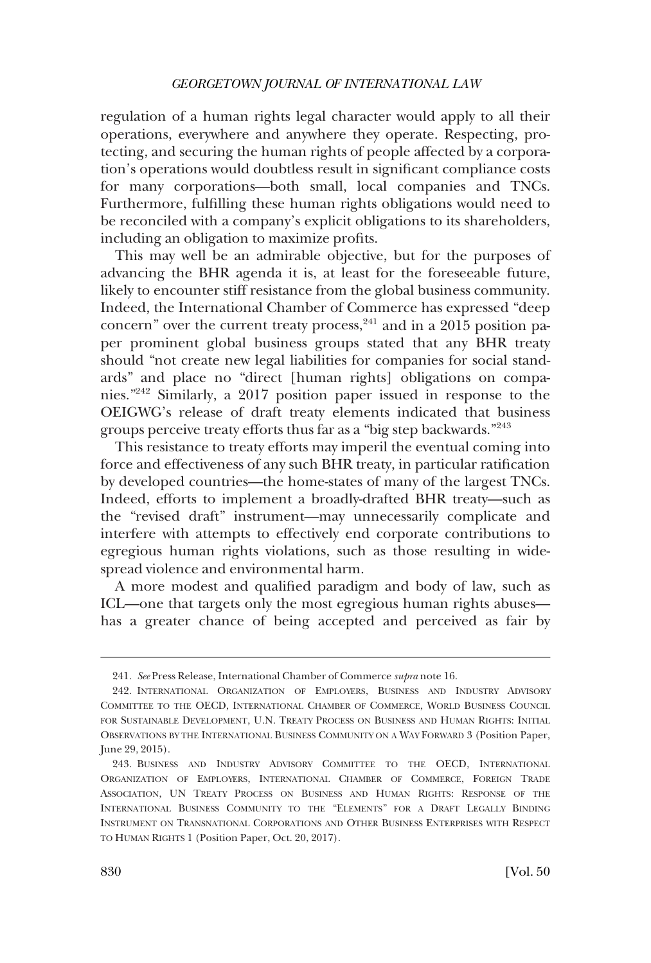regulation of a human rights legal character would apply to all their operations, everywhere and anywhere they operate. Respecting, protecting, and securing the human rights of people affected by a corporation's operations would doubtless result in signifcant compliance costs for many corporations—both small, local companies and TNCs. Furthermore, fulflling these human rights obligations would need to be reconciled with a company's explicit obligations to its shareholders, including an obligation to maximize profts.

This may well be an admirable objective, but for the purposes of advancing the BHR agenda it is, at least for the foreseeable future, likely to encounter stiff resistance from the global business community. Indeed, the International Chamber of Commerce has expressed "deep concern" over the current treaty process,  $241$  and in a 2015 position paper prominent global business groups stated that any BHR treaty should "not create new legal liabilities for companies for social standards" and place no "direct [human rights] obligations on companies."242 Similarly, a 2017 position paper issued in response to the OEIGWG's release of draft treaty elements indicated that business groups perceive treaty efforts thus far as a "big step backwards."<sup>243</sup>

This resistance to treaty efforts may imperil the eventual coming into force and effectiveness of any such BHR treaty, in particular ratifcation by developed countries—the home-states of many of the largest TNCs. Indeed, efforts to implement a broadly-drafted BHR treaty—such as the "revised draft" instrument—may unnecessarily complicate and interfere with attempts to effectively end corporate contributions to egregious human rights violations, such as those resulting in widespread violence and environmental harm.

A more modest and qualifed paradigm and body of law, such as ICL—one that targets only the most egregious human rights abuses has a greater chance of being accepted and perceived as fair by

<sup>241.</sup> *See* Press Release, International Chamber of Commerce *supra* note 16.

<sup>242.</sup> INTERNATIONAL ORGANIZATION OF EMPLOYERS, BUSINESS AND INDUSTRY ADVISORY COMMITTEE TO THE OECD, INTERNATIONAL CHAMBER OF COMMERCE, WORLD BUSINESS COUNCIL FOR SUSTAINABLE DEVELOPMENT, U.N. TREATY PROCESS ON BUSINESS AND HUMAN RIGHTS: INITIAL OBSERVATIONS BY THE INTERNATIONAL BUSINESS COMMUNITY ON A WAY FORWARD 3 (Position Paper, June 29, 2015).

<sup>243.</sup> BUSINESS AND INDUSTRY ADVISORY COMMITTEE TO THE OECD, INTERNATIONAL ORGANIZATION OF EMPLOYERS, INTERNATIONAL CHAMBER OF COMMERCE, FOREIGN TRADE ASSOCIATION, UN TREATY PROCESS ON BUSINESS AND HUMAN RIGHTS: RESPONSE OF THE INTERNATIONAL BUSINESS COMMUNITY TO THE "ELEMENTS" FOR A DRAFT LEGALLY BINDING INSTRUMENT ON TRANSNATIONAL CORPORATIONS AND OTHER BUSINESS ENTERPRISES WITH RESPECT TO HUMAN RIGHTS 1 (Position Paper, Oct. 20, 2017).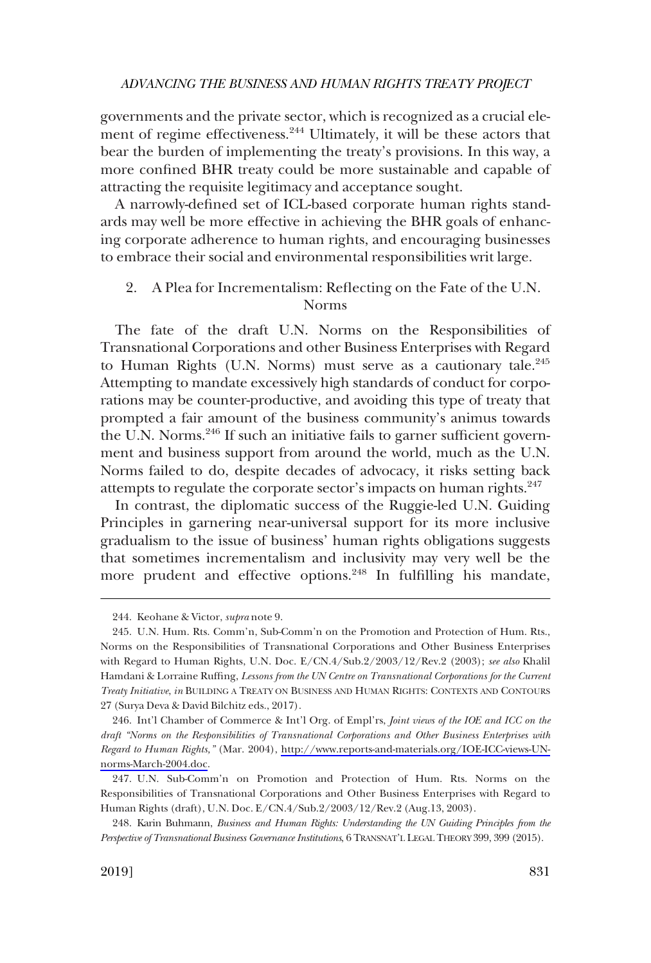<span id="page-42-0"></span>governments and the private sector, which is recognized as a crucial element of regime effectiveness.<sup>244</sup> Ultimately, it will be these actors that bear the burden of implementing the treaty's provisions. In this way, a more confned BHR treaty could be more sustainable and capable of attracting the requisite legitimacy and acceptance sought.

A narrowly-defned set of ICL-based corporate human rights standards may well be more effective in achieving the BHR goals of enhancing corporate adherence to human rights, and encouraging businesses to embrace their social and environmental responsibilities writ large.

## 2. A Plea for Incrementalism: Refecting on the Fate of the U.N. Norms

The fate of the draft U.N. Norms on the Responsibilities of Transnational Corporations and other Business Enterprises with Regard to Human Rights (U.N. Norms) must serve as a cautionary tale. $245$ Attempting to mandate excessively high standards of conduct for corporations may be counter-productive, and avoiding this type of treaty that prompted a fair amount of the business community's animus towards the U.N. Norms.<sup>246</sup> If such an initiative fails to garner sufficient government and business support from around the world, much as the U.N. Norms failed to do, despite decades of advocacy, it risks setting back attempts to regulate the corporate sector's impacts on human rights.<sup>247</sup>

In contrast, the diplomatic success of the Ruggie-led U.N. Guiding Principles in garnering near-universal support for its more inclusive gradualism to the issue of business' human rights obligations suggests that sometimes incrementalism and inclusivity may very well be the more prudent and effective options.<sup>248</sup> In fulfilling his mandate,

246. Int'l Chamber of Commerce & Int'l Org. of Empl'rs, *Joint views of the IOE and ICC on the draft "Norms on the Responsibilities of Transnational Corporations and Other Business Enterprises with Regard to Human Rights,"* (Mar. 2004), [http://www.reports-and-materials.org/IOE-ICC-views-UN](http://www.reports-and-materials.org/IOE-ICC-views-UN-norms-March-2004.doc)[norms-March-2004.doc.](http://www.reports-and-materials.org/IOE-ICC-views-UN-norms-March-2004.doc)

<sup>244.</sup> Keohane & Victor, *supra* note 9.

<sup>245.</sup> U.N. Hum. Rts. Comm'n, Sub-Comm'n on the Promotion and Protection of Hum. Rts., Norms on the Responsibilities of Transnational Corporations and Other Business Enterprises with Regard to Human Rights, U.N. Doc. E/CN.4/Sub.2/2003/12/Rev.2 (2003); *see also* Khalil Hamdani & Lorraine Ruffng, *Lessons from the UN Centre on Transnational Corporations for the Current Treaty Initiative*, *in* BUILDING A TREATY ON BUSINESS AND HUMAN RIGHTS: CONTEXTS AND CONTOURS 27 (Surya Deva & David Bilchitz eds., 2017).

<sup>247.</sup> U.N. Sub-Comm'n on Promotion and Protection of Hum. Rts. Norms on the Responsibilities of Transnational Corporations and Other Business Enterprises with Regard to Human Rights (draft), U.N. Doc. E/CN.4/Sub.2/2003/12/Rev.2 (Aug.13, 2003).

<sup>248.</sup> Karin Buhmann, *Business and Human Rights: Understanding the UN Guiding Principles from the Perspective of Transnational Business Governance Institutions*, 6 TRANSNAT'L LEGAL THEORY 399, 399 (2015).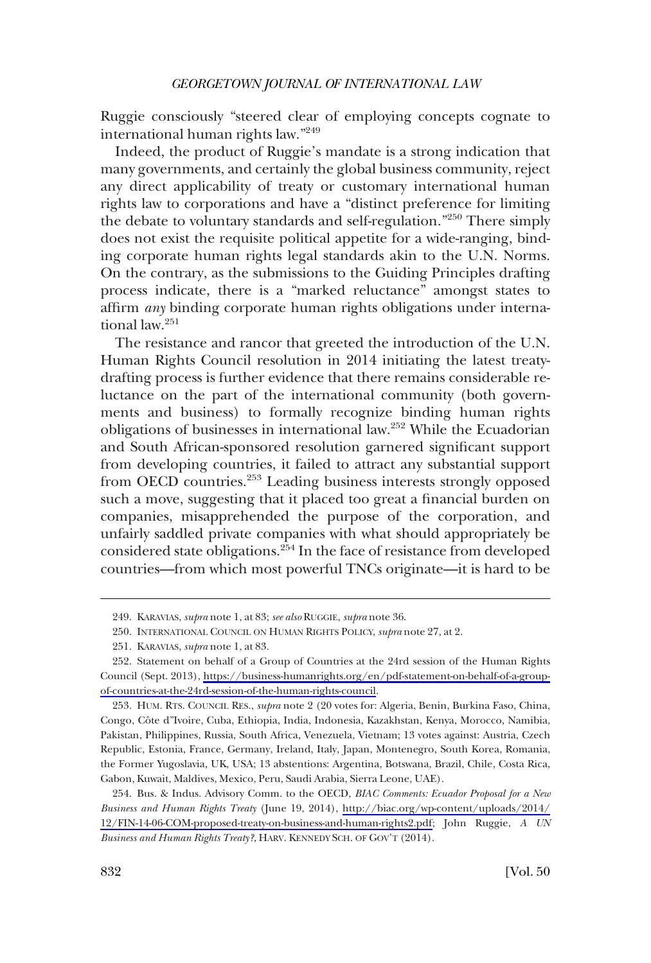Ruggie consciously "steered clear of employing concepts cognate to international human rights law."249

Indeed, the product of Ruggie's mandate is a strong indication that many governments, and certainly the global business community, reject any direct applicability of treaty or customary international human rights law to corporations and have a "distinct preference for limiting the debate to voluntary standards and self-regulation."250 There simply does not exist the requisite political appetite for a wide-ranging, binding corporate human rights legal standards akin to the U.N. Norms. On the contrary, as the submissions to the Guiding Principles drafting process indicate, there is a "marked reluctance" amongst states to affrm *any* binding corporate human rights obligations under international law.<sup>251</sup>

The resistance and rancor that greeted the introduction of the U.N. Human Rights Council resolution in 2014 initiating the latest treatydrafting process is further evidence that there remains considerable reluctance on the part of the international community (both governments and business) to formally recognize binding human rights obligations of businesses in international law.<sup>252</sup> While the Ecuadorian and South African-sponsored resolution garnered signifcant support from developing countries, it failed to attract any substantial support from OECD countries.253 Leading business interests strongly opposed such a move, suggesting that it placed too great a fnancial burden on companies, misapprehended the purpose of the corporation, and unfairly saddled private companies with what should appropriately be considered state obligations.<sup>254</sup> In the face of resistance from developed countries—from which most powerful TNCs originate—it is hard to be

<sup>249.</sup> KARAVIAS, *supra* note 1, at 83; *see also* RUGGIE, *supra* note 36.

<sup>250.</sup> INTERNATIONAL COUNCIL ON HUMAN RIGHTS POLICY, *supra* note 27, at 2.

<sup>251.</sup> KARAVIAS, *supra* note 1, at 83.

<sup>252.</sup> Statement on behalf of a Group of Countries at the 24rd session of the Human Rights Council (Sept. 2013), [https://business-humanrights.org/en/pdf-statement-on-behalf-of-a-group](https://business-humanrights.org/en/pdf-statement-on-behalf-of-a-group-of-countries-at-the-24rd-session-of-the-human-rights-council)[of-countries-at-the-24rd-session-of-the-human-rights-council.](https://business-humanrights.org/en/pdf-statement-on-behalf-of-a-group-of-countries-at-the-24rd-session-of-the-human-rights-council)

<sup>253.</sup> HUM. RTS. COUNCIL RES., *supra* note 2 (20 votes for: Algeria, Benin, Burkina Faso, China, Congo, Côte d'Ivoire, Cuba, Ethiopia, India, Indonesia, Kazakhstan, Kenya, Morocco, Namibia, Pakistan, Philippines, Russia, South Africa, Venezuela, Vietnam; 13 votes against: Austria, Czech Republic, Estonia, France, Germany, Ireland, Italy, Japan, Montenegro, South Korea, Romania, the Former Yugoslavia, UK, USA; 13 abstentions: Argentina, Botswana, Brazil, Chile, Costa Rica, Gabon, Kuwait, Maldives, Mexico, Peru, Saudi Arabia, Sierra Leone, UAE).

Bus. & Indus. Advisory Comm. to the OECD, *BIAC Comments: Ecuador Proposal for a New*  254. *Business and Human Rights Treaty* (June 19, 2014), [http://biac.org/wp-content/uploads/2014/](http://biac.org/wp-content/uploads/2014/12/FIN-14-06-COM-proposed-treaty-on-business-and-human-rights2.pdf)  [12/FIN-14-06-COM-proposed-treaty-on-business-and-human-rights2.pdf;](http://biac.org/wp-content/uploads/2014/12/FIN-14-06-COM-proposed-treaty-on-business-and-human-rights2.pdf) John Ruggie, *A UN Business and Human Rights Treaty?*, HARV. KENNEDY SCH. OF GOV'T (2014).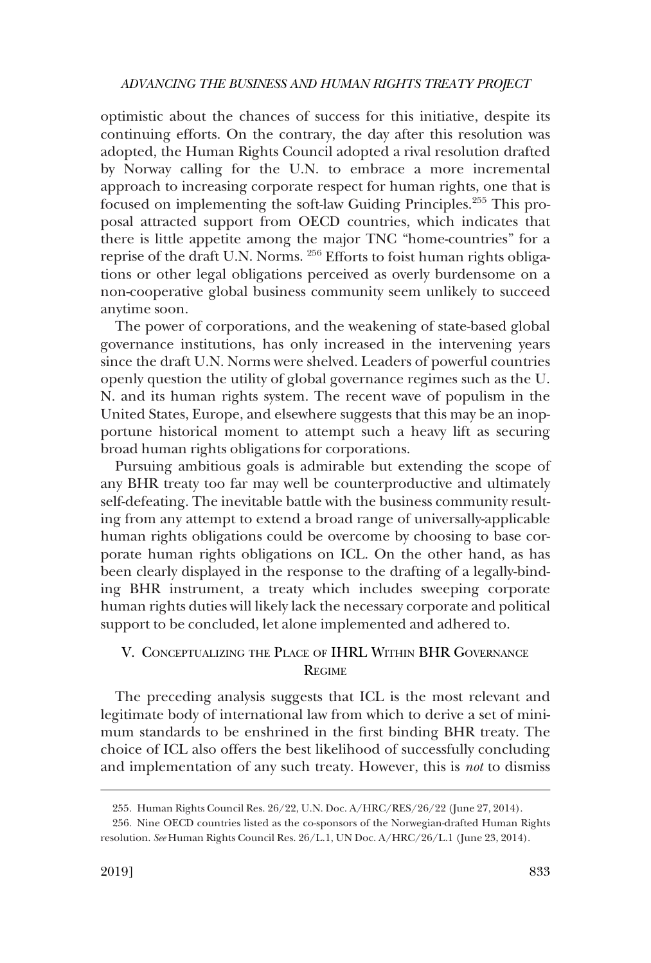<span id="page-44-0"></span>optimistic about the chances of success for this initiative, despite its continuing efforts. On the contrary, the day after this resolution was adopted, the Human Rights Council adopted a rival resolution drafted by Norway calling for the U.N. to embrace a more incremental approach to increasing corporate respect for human rights, one that is focused on implementing the soft-law Guiding Principles.255 This proposal attracted support from OECD countries, which indicates that there is little appetite among the major TNC "home-countries" for a reprise of the draft U.N. Norms. 256 Efforts to foist human rights obligations or other legal obligations perceived as overly burdensome on a non-cooperative global business community seem unlikely to succeed anytime soon.

The power of corporations, and the weakening of state-based global governance institutions, has only increased in the intervening years since the draft U.N. Norms were shelved. Leaders of powerful countries openly question the utility of global governance regimes such as the U. N. and its human rights system. The recent wave of populism in the United States, Europe, and elsewhere suggests that this may be an inopportune historical moment to attempt such a heavy lift as securing broad human rights obligations for corporations.

Pursuing ambitious goals is admirable but extending the scope of any BHR treaty too far may well be counterproductive and ultimately self-defeating. The inevitable battle with the business community resulting from any attempt to extend a broad range of universally-applicable human rights obligations could be overcome by choosing to base corporate human rights obligations on ICL. On the other hand, as has been clearly displayed in the response to the drafting of a legally-binding BHR instrument, a treaty which includes sweeping corporate human rights duties will likely lack the necessary corporate and political support to be concluded, let alone implemented and adhered to.

## V. CONCEPTUALIZING THE PLACE OF IHRL WITHIN BHR GOVERNANCE **REGIME**

The preceding analysis suggests that ICL is the most relevant and legitimate body of international law from which to derive a set of minimum standards to be enshrined in the frst binding BHR treaty. The choice of ICL also offers the best likelihood of successfully concluding and implementation of any such treaty. However, this is *not* to dismiss

<sup>255.</sup> Human Rights Council Res. 26/22, U.N. Doc. A/HRC/RES/26/22 (June 27, 2014).

<sup>256.</sup> Nine OECD countries listed as the co-sponsors of the Norwegian-drafted Human Rights resolution. *See* Human Rights Council Res. 26/L.1, UN Doc. A/HRC/26/L.1 (June 23, 2014).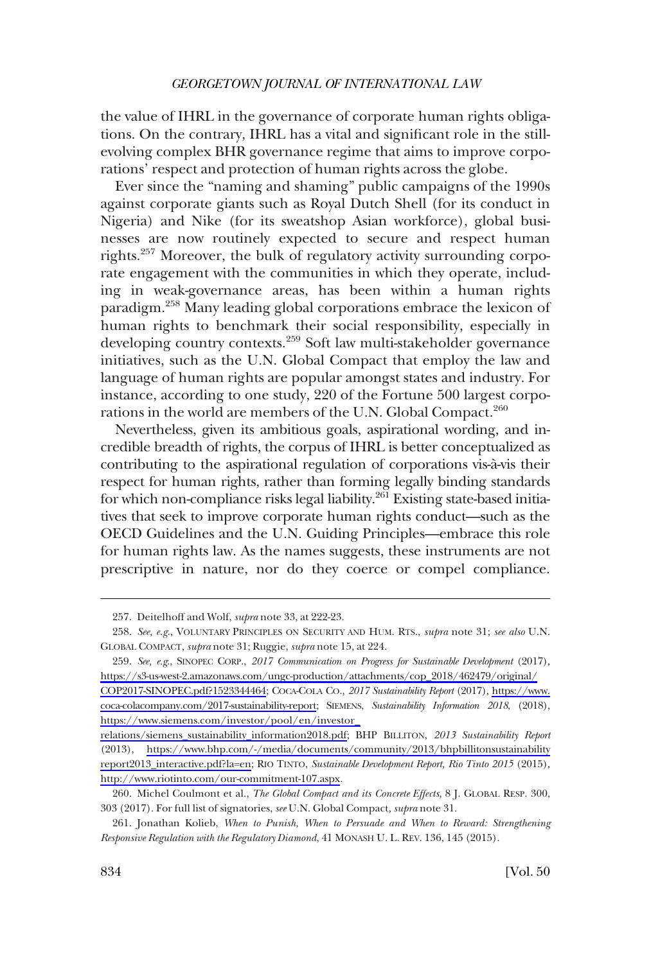the value of IHRL in the governance of corporate human rights obligations. On the contrary, IHRL has a vital and signifcant role in the stillevolving complex BHR governance regime that aims to improve corporations' respect and protection of human rights across the globe.

Ever since the "naming and shaming" public campaigns of the 1990s against corporate giants such as Royal Dutch Shell (for its conduct in Nigeria) and Nike (for its sweatshop Asian workforce), global businesses are now routinely expected to secure and respect human rights.257 Moreover, the bulk of regulatory activity surrounding corporate engagement with the communities in which they operate, including in weak-governance areas, has been within a human rights paradigm.258 Many leading global corporations embrace the lexicon of human rights to benchmark their social responsibility, especially in developing country contexts.<sup>259</sup> Soft law multi-stakeholder governance initiatives, such as the U.N. Global Compact that employ the law and language of human rights are popular amongst states and industry. For instance, according to one study, 220 of the Fortune 500 largest corporations in the world are members of the U.N. Global Compact.<sup>260</sup>

Nevertheless, given its ambitious goals, aspirational wording, and incredible breadth of rights, the corpus of IHRL is better conceptualized as contributing to the aspirational regulation of corporations vis-à-vis their respect for human rights, rather than forming legally binding standards for which non-compliance risks legal liability.<sup>261</sup> Existing state-based initiatives that seek to improve corporate human rights conduct—such as the OECD Guidelines and the U.N. Guiding Principles—embrace this role for human rights law. As the names suggests, these instruments are not prescriptive in nature, nor do they coerce or compel compliance.

<sup>257.</sup> Deitelhoff and Wolf, *supra* note 33, at 222-23.

<sup>258.</sup> *See, e.g*., VOLUNTARY PRINCIPLES ON SECURITY AND HUM. RTS., *supra* note 31; *see also* U.N. GLOBAL COMPACT, *supra* note 31; Ruggie, *supra* note 15, at 224.

<sup>259.</sup> See, e.g., SINOPEC CORP., 2017 Communication on Progress for Sustainable Development (2017), [https://s3-us-west-2.amazonaws.com/ungc-production/attachments/cop\\_2018/462479/original/](https://s3-us-west-2.amazonaws.com/ungc-production/attachments/cop_2018/462479/original/COP2017-SINOPEC.pdf?1523344464)

[COP2017-SINOPEC.pdf?1523344464;](https://s3-us-west-2.amazonaws.com/ungc-production/attachments/cop_2018/462479/original/COP2017-SINOPEC.pdf?1523344464) COCA-COLA CO., *2017 Sustainability Report* (2017), [https://www.](https://www.coca-colacompany.com/2017-sustainability-report)  [coca-colacompany.com/2017-sustainability-report](https://www.coca-colacompany.com/2017-sustainability-report); SIEMENS, *Sustainability Information 2018*, (2018), [https://www.siemens.com/investor/pool/en/investor\\_](https://www.siemens.com/investor/pool/en/investor_relations/siemens_sustainability_information2018.pdf)

[relations/siemens\\_sustainability\\_information2018.pdf;](https://www.siemens.com/investor/pool/en/investor_relations/siemens_sustainability_information2018.pdf) BHP BILLITON, *2013 Sustainability Report*  (2013), [https://www.bhp.com/-/media/documents/community/2013/bhpbillitonsustainability](https://www.bhp.com/-/media/documents/community/2013/bhpbillitonsustainabilityreport2013_interactive.pdf?la=en)  [report2013\\_interactive.pdf?la=en;](https://www.bhp.com/-/media/documents/community/2013/bhpbillitonsustainabilityreport2013_interactive.pdf?la=en) RIO TINTO, *Sustainable Development Report, Rio Tinto 2015* (2015), <http://www.riotinto.com/our-commitment-107.aspx>.

<sup>260.</sup> Michel Coulmont et al., *The Global Compact and its Concrete Effects*, 8 J. GLOBAL RESP. 300, 303 (2017). For full list of signatories, *see* U.N. Global Compact, *supra* note 31.

<sup>261.</sup> Jonathan Kolieb, *When to Punish, When to Persuade and When to Reward: Strengthening Responsive Regulation with the Regulatory Diamond*, 41 MONASH U. L. REV. 136, 145 (2015).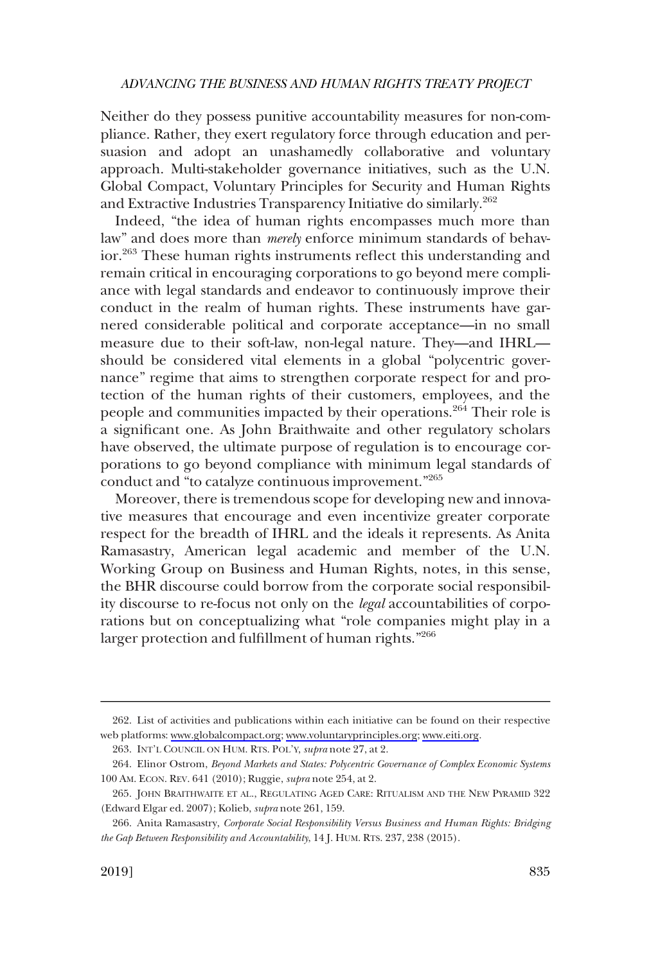Neither do they possess punitive accountability measures for non-compliance. Rather, they exert regulatory force through education and persuasion and adopt an unashamedly collaborative and voluntary approach. Multi-stakeholder governance initiatives, such as the U.N. Global Compact, Voluntary Principles for Security and Human Rights and Extractive Industries Transparency Initiative do similarly.<sup>262</sup>

Indeed, "the idea of human rights encompasses much more than law" and does more than *merely* enforce minimum standards of behavior.263 These human rights instruments refect this understanding and remain critical in encouraging corporations to go beyond mere compliance with legal standards and endeavor to continuously improve their conduct in the realm of human rights. These instruments have garnered considerable political and corporate acceptance—in no small measure due to their soft-law, non-legal nature. They—and IHRL should be considered vital elements in a global "polycentric governance" regime that aims to strengthen corporate respect for and protection of the human rights of their customers, employees, and the people and communities impacted by their operations.264 Their role is a signifcant one. As John Braithwaite and other regulatory scholars have observed, the ultimate purpose of regulation is to encourage corporations to go beyond compliance with minimum legal standards of conduct and "to catalyze continuous improvement."<sup>265</sup>

Moreover, there is tremendous scope for developing new and innovative measures that encourage and even incentivize greater corporate respect for the breadth of IHRL and the ideals it represents. As Anita Ramasastry, American legal academic and member of the U.N. Working Group on Business and Human Rights, notes, in this sense, the BHR discourse could borrow from the corporate social responsibility discourse to re-focus not only on the *legal* accountabilities of corporations but on conceptualizing what "role companies might play in a larger protection and fulfllment of human rights."266

List of activities and publications within each initiative can be found on their respective 262. web platforms: [www.globalcompact.org;](http://www.globalcompact.org) [www.voluntaryprinciples.org;](http://www.voluntaryprinciples.org) [www.eiti.org.](http://www.eiti.org)

<sup>263.</sup> INT'L COUNCIL ON HUM. RTS. POL'Y, *supra* note 27, at 2.

<sup>264.</sup> Elinor Ostrom, *Beyond Markets and States: Polycentric Governance of Complex Economic Systems*  100 AM. ECON. REV. 641 (2010); Ruggie, *supra* note 254, at 2.

<sup>265.</sup> JOHN BRAITHWAITE ET AL., REGULATING AGED CARE: RITUALISM AND THE NEW PYRAMID 322 (Edward Elgar ed. 2007); Kolieb, *supra* note 261, 159.

<sup>266.</sup> Anita Ramasastry, *Corporate Social Responsibility Versus Business and Human Rights: Bridging the Gap Between Responsibility and Accountability*, 14 J. HUM. RTS. 237, 238 (2015).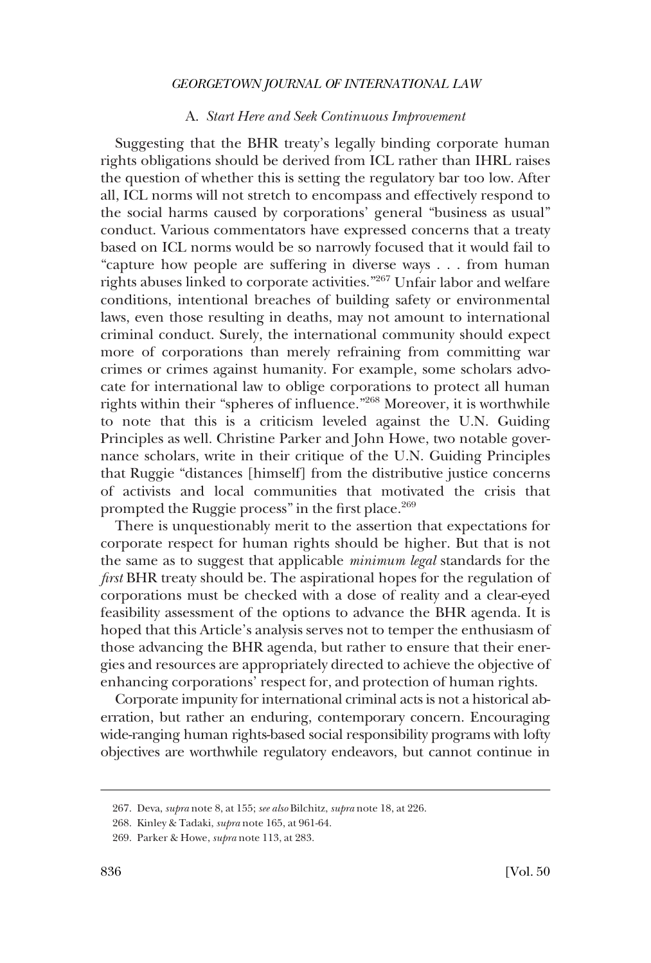#### A. *Start Here and Seek Continuous Improvement*

<span id="page-47-0"></span>Suggesting that the BHR treaty's legally binding corporate human rights obligations should be derived from ICL rather than IHRL raises the question of whether this is setting the regulatory bar too low. After all, ICL norms will not stretch to encompass and effectively respond to the social harms caused by corporations' general "business as usual" conduct. Various commentators have expressed concerns that a treaty based on ICL norms would be so narrowly focused that it would fail to "capture how people are suffering in diverse ways . . . from human rights abuses linked to corporate activities."267 Unfair labor and welfare conditions, intentional breaches of building safety or environmental laws, even those resulting in deaths, may not amount to international criminal conduct. Surely, the international community should expect more of corporations than merely refraining from committing war crimes or crimes against humanity. For example, some scholars advocate for international law to oblige corporations to protect all human rights within their "spheres of infuence."268 Moreover, it is worthwhile to note that this is a criticism leveled against the U.N. Guiding Principles as well. Christine Parker and John Howe, two notable governance scholars, write in their critique of the U.N. Guiding Principles that Ruggie "distances [himself] from the distributive justice concerns of activists and local communities that motivated the crisis that prompted the Ruggie process" in the first place.<sup>269</sup>

There is unquestionably merit to the assertion that expectations for corporate respect for human rights should be higher. But that is not the same as to suggest that applicable *minimum legal* standards for the *frst* BHR treaty should be. The aspirational hopes for the regulation of corporations must be checked with a dose of reality and a clear-eyed feasibility assessment of the options to advance the BHR agenda. It is hoped that this Article's analysis serves not to temper the enthusiasm of those advancing the BHR agenda, but rather to ensure that their energies and resources are appropriately directed to achieve the objective of enhancing corporations' respect for, and protection of human rights.

Corporate impunity for international criminal acts is not a historical aberration, but rather an enduring, contemporary concern. Encouraging wide-ranging human rights-based social responsibility programs with lofty objectives are worthwhile regulatory endeavors, but cannot continue in

<sup>267.</sup> Deva, *supra* note 8, at 155; *see also* Bilchitz, *supra* note 18, at 226.

<sup>268.</sup> Kinley & Tadaki, *supra* note 165, at 961-64.

<sup>269.</sup> Parker & Howe, *supra* note 113, at 283.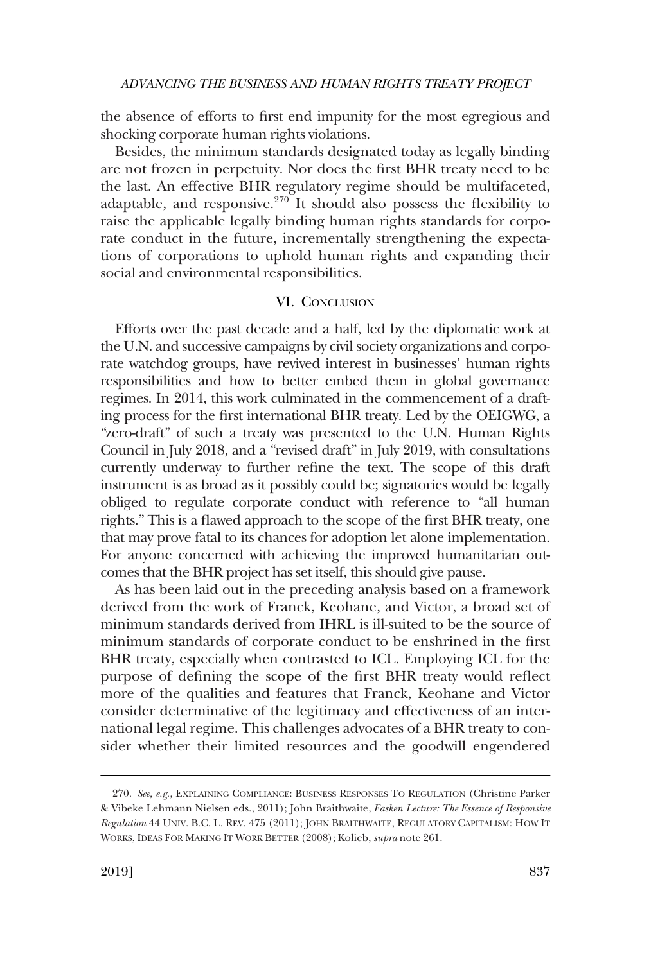<span id="page-48-0"></span>the absence of efforts to frst end impunity for the most egregious and shocking corporate human rights violations.

Besides, the minimum standards designated today as legally binding are not frozen in perpetuity. Nor does the frst BHR treaty need to be the last. An effective BHR regulatory regime should be multifaceted, adaptable, and responsive.<sup>270</sup> It should also possess the flexibility to raise the applicable legally binding human rights standards for corporate conduct in the future, incrementally strengthening the expectations of corporations to uphold human rights and expanding their social and environmental responsibilities.

### VI. CONCLUSION

Efforts over the past decade and a half, led by the diplomatic work at the U.N. and successive campaigns by civil society organizations and corporate watchdog groups, have revived interest in businesses' human rights responsibilities and how to better embed them in global governance regimes. In 2014, this work culminated in the commencement of a drafting process for the frst international BHR treaty. Led by the OEIGWG, a "zero-draft" of such a treaty was presented to the U.N. Human Rights Council in July 2018, and a "revised draft" in July 2019, with consultations currently underway to further refne the text. The scope of this draft instrument is as broad as it possibly could be; signatories would be legally obliged to regulate corporate conduct with reference to "all human rights." This is a fawed approach to the scope of the frst BHR treaty, one that may prove fatal to its chances for adoption let alone implementation. For anyone concerned with achieving the improved humanitarian outcomes that the BHR project has set itself, this should give pause.

As has been laid out in the preceding analysis based on a framework derived from the work of Franck, Keohane, and Victor, a broad set of minimum standards derived from IHRL is ill-suited to be the source of minimum standards of corporate conduct to be enshrined in the frst BHR treaty, especially when contrasted to ICL. Employing ICL for the purpose of defning the scope of the frst BHR treaty would refect more of the qualities and features that Franck, Keohane and Victor consider determinative of the legitimacy and effectiveness of an international legal regime. This challenges advocates of a BHR treaty to consider whether their limited resources and the goodwill engendered

<sup>270.</sup> *See, e.g*., EXPLAINING COMPLIANCE: BUSINESS RESPONSES TO REGULATION (Christine Parker & Vibeke Lehmann Nielsen eds., 2011); John Braithwaite, *Fasken Lecture: The Essence of Responsive Regulation* 44 UNIV. B.C. L. REV. 475 (2011); JOHN BRAITHWAITE, REGULATORY CAPITALISM: HOW IT WORKS, IDEAS FOR MAKING IT WORK BETTER (2008); Kolieb, *supra* note 261.